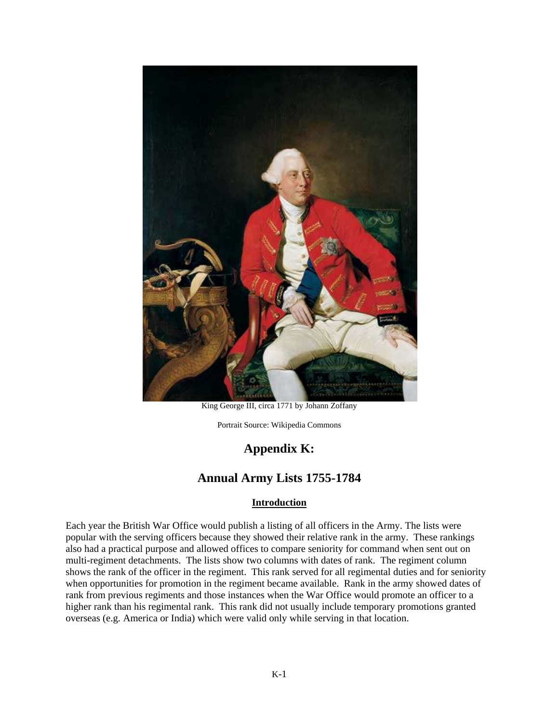

King George III, circa 1771 by Johann Zoffany

Portrait Source: Wikipedia Commons

# **Appendix K:**

# **Annual Army Lists 1755-1784**

### **Introduction**

Each year the British War Office would publish a listing of all officers in the Army. The lists were popular with the serving officers because they showed their relative rank in the army. These rankings also had a practical purpose and allowed offices to compare seniority for command when sent out on multi-regiment detachments. The lists show two columns with dates of rank. The regiment column shows the rank of the officer in the regiment. This rank served for all regimental duties and for seniority when opportunities for promotion in the regiment became available. Rank in the army showed dates of rank from previous regiments and those instances when the War Office would promote an officer to a higher rank than his regimental rank. This rank did not usually include temporary promotions granted overseas (e.g. America or India) which were valid only while serving in that location.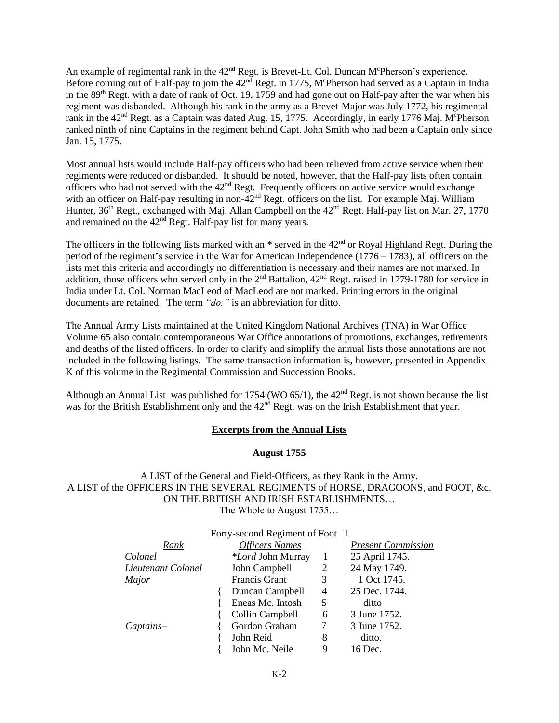An example of regimental rank in the  $42<sup>nd</sup>$  Regt. is Brevet-Lt. Col. Duncan M<sup>c</sup>Pherson's experience. Before coming out of Half-pay to join the  $42<sup>n\bar{d}</sup>$  Regt. in 1775, M°Pherson had served as a Captain in India in the 89<sup>th</sup> Regt. with a date of rank of Oct. 19, 1759 and had gone out on Half-pay after the war when his regiment was disbanded. Although his rank in the army as a Brevet-Major was July 1772, his regimental rank in the 42<sup>nd</sup> Regt. as a Captain was dated Aug. 15, 1775. Accordingly, in early 1776 Maj. M<sup>c</sup>Pherson ranked ninth of nine Captains in the regiment behind Capt. John Smith who had been a Captain only since Jan. 15, 1775.

Most annual lists would include Half-pay officers who had been relieved from active service when their regiments were reduced or disbanded. It should be noted, however, that the Half-pay lists often contain officers who had not served with the  $42<sup>nd</sup>$  Regt. Frequently officers on active service would exchange with an officer on Half-pay resulting in non-42<sup>nd</sup> Regt. officers on the list. For example Maj. William Hunter,  $36<sup>th</sup>$  Regt., exchanged with Maj. Allan Campbell on the  $42<sup>nd</sup>$  Regt. Half-pay list on Mar. 27, 1770 and remained on the 42<sup>nd</sup> Regt. Half-pay list for many years.

The officers in the following lists marked with an  $*$  served in the  $42<sup>nd</sup>$  or Royal Highland Regt. During the period of the regiment's service in the War for American Independence (1776 – 1783), all officers on the lists met this criteria and accordingly no differentiation is necessary and their names are not marked. In addition, those officers who served only in the 2<sup>nd</sup> Battalion, 42<sup>nd</sup> Regt. raised in 1779-1780 for service in India under Lt. Col. Norman MacLeod of MacLeod are not marked. Printing errors in the original documents are retained. The term *"do."* is an abbreviation for ditto.

The Annual Army Lists maintained at the United Kingdom National Archives (TNA) in War Office Volume 65 also contain contemporaneous War Office annotations of promotions, exchanges, retirements and deaths of the listed officers. In order to clarify and simplify the annual lists those annotations are not included in the following listings. The same transaction information is, however, presented in Appendix K of this volume in the Regimental Commission and Succession Books.

Although an Annual List was published for 1754 (WO  $65/1$ ), the  $42<sup>nd</sup>$  Regt. is not shown because the list was for the British Establishment only and the 42<sup>nd</sup> Regt. was on the Irish Establishment that year.

#### **Excerpts from the Annual Lists**

#### **August 1755**

A LIST of the General and Field-Officers, as they Rank in the Army. A LIST of the OFFICERS IN THE SEVERAL REGIMENTS of HORSE, DRAGOONS, and FOOT, &c. ON THE BRITISH AND IRISH ESTABLISHMENTS… The Whole to August 1755…

|                    | Forty-second Regiment of Foot I |                |                           |
|--------------------|---------------------------------|----------------|---------------------------|
| Rank               | <b>Officers Names</b>           |                | <b>Present Commission</b> |
| Colonel            | <i>*Lord</i> John Murray        | 1              | 25 April 1745.            |
| Lieutenant Colonel | John Campbell                   | 2              | 24 May 1749.              |
| Major              | <b>Francis Grant</b>            | 3              | 1 Oct 1745.               |
|                    | Duncan Campbell                 | $\overline{4}$ | 25 Dec. 1744.             |
|                    | Eneas Mc. Intosh                | 5              | ditto                     |
|                    | Collin Campbell                 | 6              | 3 June 1752.              |
| $Captains-$        | Gordon Graham                   |                | 3 June 1752.              |
|                    | John Reid                       | 8              | ditto.                    |
|                    | John Mc. Neile                  | 9              | 16 Dec.                   |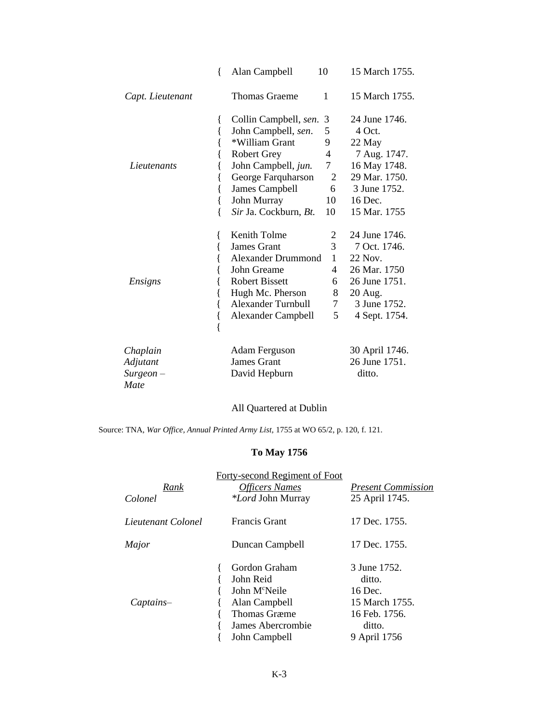|                  | ∤    | Alan Campbell             | 10             | 15 March 1755. |
|------------------|------|---------------------------|----------------|----------------|
| Capt. Lieutenant |      | <b>Thomas Graeme</b>      | 1              | 15 March 1755. |
|                  | $\{$ | Collin Campbell, sen.     | 3              | 24 June 1746.  |
|                  |      | John Campbell, sen.       | 5              | 4 Oct.         |
|                  |      | *William Grant            | 9              | 22 May         |
|                  |      | <b>Robert Grey</b>        | 4              | 7 Aug. 1747.   |
| Lieutenants      |      | John Campbell, jun.       | $\overline{7}$ | 16 May 1748.   |
|                  |      | George Farquharson        | 2              | 29 Mar. 1750.  |
|                  |      | James Campbell            | 6              | 3 June 1752.   |
|                  |      | John Murray               | 10             | 16 Dec.        |
|                  |      | Sir Ja. Cockburn, Bt.     | 10             | 15 Mar. 1755   |
|                  |      | Kenith Tolme              | 2              | 24 June 1746.  |
|                  |      | <b>James Grant</b>        | 3              | 7 Oct. 1746.   |
|                  |      | <b>Alexander Drummond</b> | $\mathbf{1}$   | 22 Nov.        |
|                  |      | John Greame               | 4              | 26 Mar. 1750   |
| Ensigns          |      | <b>Robert Bissett</b>     | 6              | 26 June 1751.  |
|                  |      | Hugh Mc. Pherson          | 8              | 20 Aug.        |
|                  |      | <b>Alexander Turnbull</b> | 7              | 3 June 1752.   |
|                  |      | <b>Alexander Campbell</b> | 5              | 4 Sept. 1754.  |
|                  |      |                           |                |                |
| Chaplain         |      | <b>Adam Ferguson</b>      |                | 30 April 1746. |
| Adjutant         |      | <b>James Grant</b>        |                | 26 June 1751.  |
| $Surgeon -$      |      | David Hepburn             |                | ditto.         |
| Mate             |      |                           |                |                |

All Quartered at Dublin

Source: TNA, *War Office, Annual Printed Army List,* 1755 at WO 65/2, p. 120, f. 121.

# **To May 1756**

| Rank<br>Colonel    | Forty-second Regiment of Foot<br><b>Officers Names</b><br><i>*Lord</i> John Murray                                                    | <b>Present Commission</b><br>25 April 1745.                                                    |
|--------------------|---------------------------------------------------------------------------------------------------------------------------------------|------------------------------------------------------------------------------------------------|
| Lieutenant Colonel | <b>Francis Grant</b>                                                                                                                  | 17 Dec. 1755.                                                                                  |
| Major              | Duncan Campbell                                                                                                                       | 17 Dec. 1755.                                                                                  |
| $Captains-$        | Gordon Graham<br>John Reid<br>John M <sup>c</sup> Neile<br>Alan Campbell<br><b>Thomas Græme</b><br>James Abercrombie<br>John Campbell | 3 June 1752.<br>ditto.<br>16 Dec.<br>15 March 1755.<br>16 Feb. 1756.<br>ditto.<br>9 April 1756 |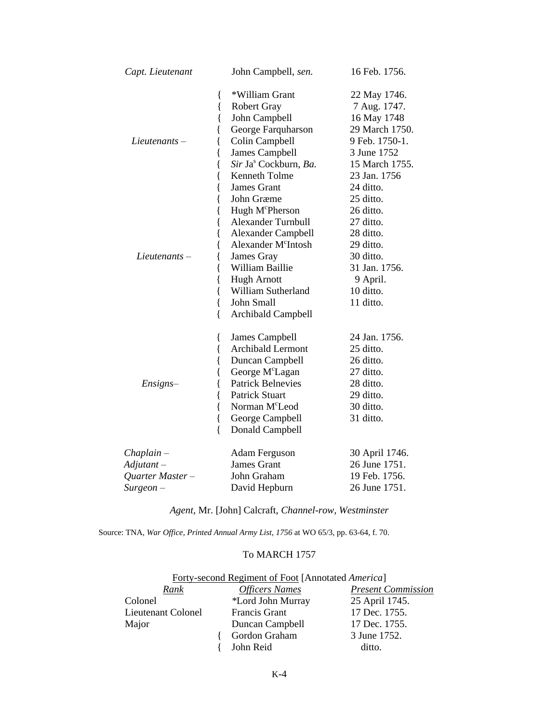| Capt. Lieutenant                                          | John Campbell, sen.                                                                                                                                                                                                                                                                                                                                                                                                                                              | 16 Feb. 1756.                                                                                                                                                                                                                                                         |
|-----------------------------------------------------------|------------------------------------------------------------------------------------------------------------------------------------------------------------------------------------------------------------------------------------------------------------------------------------------------------------------------------------------------------------------------------------------------------------------------------------------------------------------|-----------------------------------------------------------------------------------------------------------------------------------------------------------------------------------------------------------------------------------------------------------------------|
| $Lieutenants -$<br>$Lieutenants -$                        | *William Grant<br>ł<br>$\{$<br><b>Robert Gray</b><br>{<br>John Campbell<br>George Farquharson<br>Colin Campbell<br>James Campbell<br>Sir Ja <sup>s</sup> Cockburn, Ba.<br>Kenneth Tolme<br>James Grant<br>John Græme<br>Hugh M <sup>c</sup> Pherson<br>{<br><b>Alexander Turnbull</b><br>{<br><b>Alexander Campbell</b><br>{<br>Alexander M <sup>c</sup> Intosh<br>James Gray<br>{<br>William Baillie<br>{<br><b>Hugh Arnott</b><br>{<br>{<br>William Sutherland | 22 May 1746.<br>7 Aug. 1747.<br>16 May 1748<br>29 March 1750.<br>9 Feb. 1750-1.<br>3 June 1752<br>15 March 1755.<br>23 Jan. 1756<br>24 ditto.<br>25 ditto.<br>26 ditto.<br>27 ditto.<br>28 ditto.<br>29 ditto.<br>30 ditto.<br>31 Jan. 1756.<br>9 April.<br>10 ditto. |
| Ensigns-                                                  | {<br>John Small<br>∤<br><b>Archibald Campbell</b><br>{<br>James Campbell<br><b>Archibald Lermont</b><br>{<br>Duncan Campbell<br>{<br>George M <sup>c</sup> Lagan<br>{<br><b>Patrick Belnevies</b><br><b>Patrick Stuart</b><br>Norman M <sup>c</sup> Leod<br>{<br>George Campbell<br>{                                                                                                                                                                            | 11 ditto.<br>24 Jan. 1756.<br>25 ditto.<br>26 ditto.<br>27 ditto.<br>28 ditto.<br>29 ditto.<br>30 ditto.<br>31 ditto.                                                                                                                                                 |
| $Chaplain-$<br>Adjutant –<br>Quarter Master-<br>Surgeon – | $\{$<br>Donald Campbell<br><b>Adam Ferguson</b><br><b>James Grant</b><br>John Graham<br>David Hepburn                                                                                                                                                                                                                                                                                                                                                            | 30 April 1746.<br>26 June 1751.<br>19 Feb. 1756.<br>26 June 1751.                                                                                                                                                                                                     |

*Agent,* Mr. [John] Calcraft, *Channel-row, Westminster*

Source: TNA, *War Office, Printed Annual Army List, 1756* at WO 65/3, pp. 63-64, f. 70.

# To MARCH 1757

| Forty-second Regiment of Foot [Annotated America] |                       |                           |  |
|---------------------------------------------------|-----------------------|---------------------------|--|
| Rank                                              | <b>Officers Names</b> | <b>Present Commission</b> |  |
| Colonel                                           | *Lord John Murray     | 25 April 1745.            |  |
| Lieutenant Colonel                                | <b>Francis Grant</b>  | 17 Dec. 1755.             |  |
| Major                                             | Duncan Campbell       | 17 Dec. 1755.             |  |
|                                                   | Gordon Graham         | 3 June 1752.              |  |
|                                                   | John Reid             | ditto.                    |  |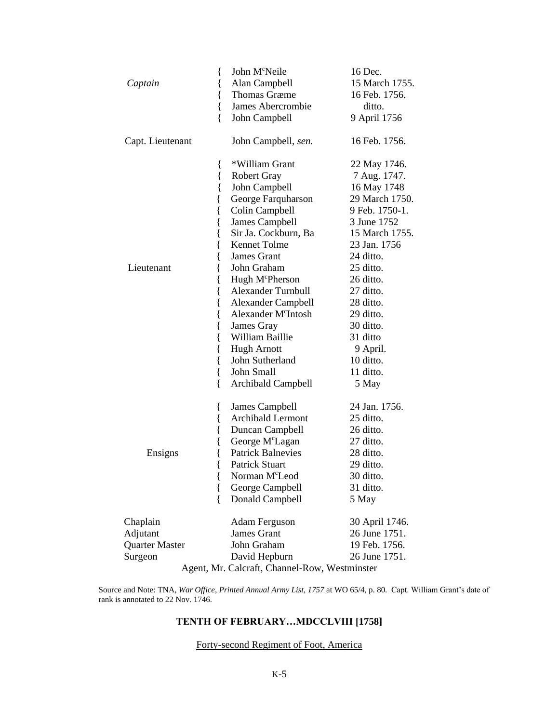|                  | John M <sup>c</sup> Neile<br>{                | 16 Dec.        |
|------------------|-----------------------------------------------|----------------|
| Captain          | Alan Campbell<br>{                            | 15 March 1755. |
|                  | <b>Thomas Græme</b><br>{                      | 16 Feb. 1756.  |
|                  | James Abercrombie<br>{                        | ditto.         |
|                  | {<br>John Campbell                            | 9 April 1756   |
| Capt. Lieutenant | John Campbell, sen.                           | 16 Feb. 1756.  |
|                  | *William Grant<br>{                           | 22 May 1746.   |
|                  | {<br><b>Robert Gray</b>                       | 7 Aug. 1747.   |
|                  | {<br>John Campbell                            | 16 May 1748    |
|                  | George Farquharson<br>l                       | 29 March 1750. |
|                  | Colin Campbell<br>l                           | 9 Feb. 1750-1. |
|                  | James Campbell<br>{                           | 3 June 1752    |
|                  | Sir Ja. Cockburn, Ba<br>{                     | 15 March 1755. |
|                  | Kennet Tolme                                  | 23 Jan. 1756   |
|                  | James Grant                                   | 24 ditto.      |
| Lieutenant       | John Graham                                   | 25 ditto.      |
|                  | Hugh M <sup>c</sup> Pherson                   | 26 ditto.      |
|                  | <b>Alexander Turnbull</b>                     | 27 ditto.      |
|                  | <b>Alexander Campbell</b><br>l                | 28 ditto.      |
|                  | Alexander M <sup>c</sup> Intosh<br>{          | 29 ditto.      |
|                  | James Gray<br>{                               | 30 ditto.      |
|                  | William Baillie<br>{                          | 31 ditto       |
|                  | <b>Hugh Arnott</b><br>{                       | 9 April.       |
|                  | John Sutherland<br>{                          | 10 ditto.      |
|                  | {<br>John Small                               | 11 ditto.      |
|                  | {<br>Archibald Campbell                       | 5 May          |
|                  | James Campbell<br>{                           | 24 Jan. 1756.  |
|                  | Archibald Lermont<br>ł                        | 25 ditto.      |
|                  | Duncan Campbell<br>ł                          | 26 ditto.      |
|                  | George M <sup>c</sup> Lagan<br>ł              | 27 ditto.      |
| Ensigns          | <b>Patrick Balnevies</b>                      | 28 ditto.      |
|                  | Patrick Stuart                                | 29 ditto.      |
|                  | Norman M <sup>c</sup> Leod<br>{               | 30 ditto.      |
|                  | {<br>George Campbell                          | 31 ditto.      |
|                  | $\{$<br>Donald Campbell                       | 5 May          |
| Chaplain         | Adam Ferguson                                 | 30 April 1746. |
| Adjutant         | <b>James Grant</b>                            | 26 June 1751.  |
| Quarter Master   | John Graham                                   | 19 Feb. 1756.  |
| Surgeon          | David Hepburn                                 | 26 June 1751.  |
|                  | Agent, Mr. Calcraft, Channel-Row, Westminster |                |

Source and Note: TNA, *War Office, Printed Annual Army List, 1757* at WO 65/4, p. 80. Capt. William Grant's date of rank is annotated to 22 Nov. 1746.

## **TENTH OF FEBRUARY…MDCCLVIII [1758]**

### Forty-second Regiment of Foot, America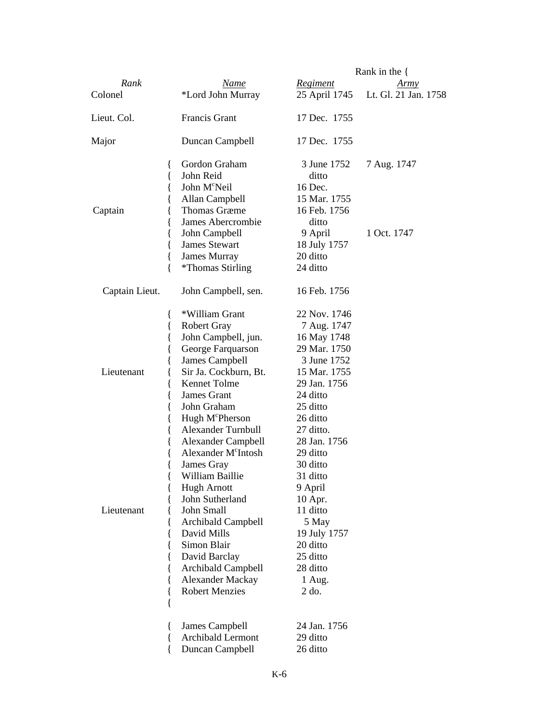|                                                                                                                                        |                                                                                                                                                                                                                                                                                                                                                                                                                                                                                                                                       |                                                                                                                                                                                                                                                                                                                                    | Rank in the $\{$           |
|----------------------------------------------------------------------------------------------------------------------------------------|---------------------------------------------------------------------------------------------------------------------------------------------------------------------------------------------------------------------------------------------------------------------------------------------------------------------------------------------------------------------------------------------------------------------------------------------------------------------------------------------------------------------------------------|------------------------------------------------------------------------------------------------------------------------------------------------------------------------------------------------------------------------------------------------------------------------------------------------------------------------------------|----------------------------|
| Rank                                                                                                                                   | Name                                                                                                                                                                                                                                                                                                                                                                                                                                                                                                                                  | Regiment                                                                                                                                                                                                                                                                                                                           | Army                       |
| Colonel                                                                                                                                | *Lord John Murray                                                                                                                                                                                                                                                                                                                                                                                                                                                                                                                     | 25 April 1745                                                                                                                                                                                                                                                                                                                      | Lt. Gl. 21 Jan. 1758       |
| Lieut. Col.                                                                                                                            | <b>Francis Grant</b>                                                                                                                                                                                                                                                                                                                                                                                                                                                                                                                  | 17 Dec. 1755                                                                                                                                                                                                                                                                                                                       |                            |
| Major                                                                                                                                  | Duncan Campbell                                                                                                                                                                                                                                                                                                                                                                                                                                                                                                                       | 17 Dec. 1755                                                                                                                                                                                                                                                                                                                       |                            |
| $\{$<br>{<br>{<br>Captain<br>{<br>{<br>{<br>{<br>{<br>{                                                                                | Gordon Graham<br>John Reid<br>John M <sup>c</sup> Neil<br>Allan Campbell<br><b>Thomas Græme</b><br>James Abercrombie<br>John Campbell<br><b>James Stewart</b><br>James Murray<br>*Thomas Stirling                                                                                                                                                                                                                                                                                                                                     | 3 June 1752<br>ditto<br>16 Dec.<br>15 Mar. 1755<br>16 Feb. 1756<br>ditto<br>9 April<br>18 July 1757<br>20 ditto<br>24 ditto                                                                                                                                                                                                        | 7 Aug. 1747<br>1 Oct. 1747 |
| Captain Lieut.                                                                                                                         | John Campbell, sen.                                                                                                                                                                                                                                                                                                                                                                                                                                                                                                                   | 16 Feb. 1756                                                                                                                                                                                                                                                                                                                       |                            |
| {<br>{<br>{<br>{<br>ł<br>Lieutenant<br>{<br>{<br>{<br>{<br>{<br>{<br>{<br>{<br>{<br>Lieutenant<br>{<br>{<br>{<br>{<br>∤<br>{<br>₹<br>ł | *William Grant<br><b>Robert Gray</b><br>John Campbell, jun.<br>George Farquarson<br>James Campbell<br>Sir Ja. Cockburn, Bt.<br>Kennet Tolme<br>James Grant<br>John Graham<br>Hugh M <sup>c</sup> Pherson<br><b>Alexander Turnbull</b><br><b>Alexander Campbell</b><br>Alexander M <sup>c</sup> Intosh<br>James Gray<br>William Baillie<br><b>Hugh Arnott</b><br>John Sutherland<br>John Small<br>Archibald Campbell<br>David Mills<br>Simon Blair<br>David Barclay<br>Archibald Campbell<br>Alexander Mackay<br><b>Robert Menzies</b> | 22 Nov. 1746<br>7 Aug. 1747<br>16 May 1748<br>29 Mar. 1750<br>3 June 1752<br>15 Mar. 1755<br>29 Jan. 1756<br>24 ditto<br>25 ditto<br>26 ditto<br>27 ditto.<br>28 Jan. 1756<br>29 ditto<br>30 ditto<br>31 ditto<br>9 April<br>10 Apr.<br>11 ditto<br>5 May<br>19 July 1757<br>20 ditto<br>25 ditto<br>28 ditto<br>1 Aug.<br>$2$ do. |                            |
| ₹<br>{<br>₹                                                                                                                            | James Campbell<br>Archibald Lermont<br>Duncan Campbell                                                                                                                                                                                                                                                                                                                                                                                                                                                                                | 24 Jan. 1756<br>29 ditto<br>26 ditto                                                                                                                                                                                                                                                                                               |                            |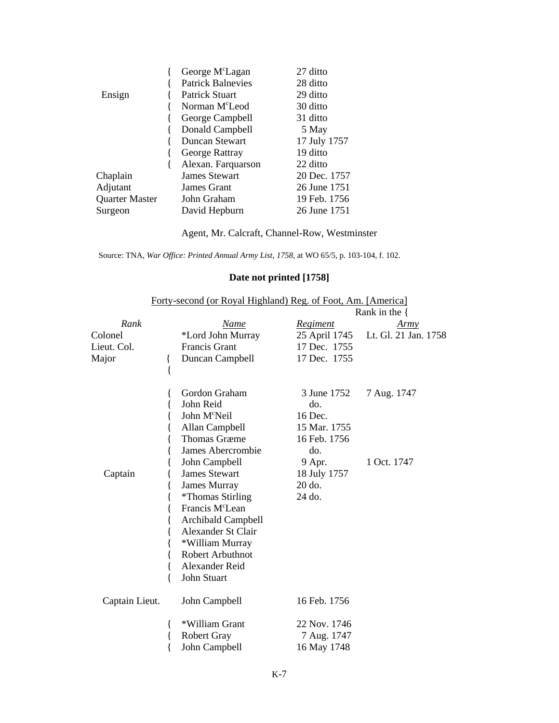|                | George M <sup>c</sup> Lagan | 27 ditto     |
|----------------|-----------------------------|--------------|
|                | <b>Patrick Balnevies</b>    | 28 ditto     |
| Ensign         | Patrick Stuart              | 29 ditto     |
|                | Norman M <sup>c</sup> Leod  | 30 ditto     |
|                | George Campbell             | 31 ditto     |
|                | Donald Campbell             | 5 May        |
|                | Duncan Stewart              | 17 July 1757 |
|                | George Rattray              | 19 ditto     |
|                | Alexan. Farquarson          | 22 ditto     |
| Chaplain       | <b>James Stewart</b>        | 20 Dec. 1757 |
| Adjutant       | James Grant                 | 26 June 1751 |
| Quarter Master | John Graham                 | 19 Feb. 1756 |
| Surgeon        | David Hepburn               | 26 June 1751 |

Agent*,* Mr. Calcraft, Channel-Row, Westminster

Source: TNA, *War Office: Printed Annual Army List, 1758*, at WO 65/5, p. 103-104, f. 102.

## **Date not printed [1758]**

|                                         |        | Forty-second (or Royal Highland) Reg. of Foot, Am. [America]                                                                                                                                                                                                                                                                                                        |                                                                                                                    | Rank in the $\{$                    |
|-----------------------------------------|--------|---------------------------------------------------------------------------------------------------------------------------------------------------------------------------------------------------------------------------------------------------------------------------------------------------------------------------------------------------------------------|--------------------------------------------------------------------------------------------------------------------|-------------------------------------|
| Rank<br>Colonel<br>Lieut. Col.<br>Major | {<br>{ | Name<br>*Lord John Murray<br>Francis Grant<br>Duncan Campbell                                                                                                                                                                                                                                                                                                       | <b>Regiment</b><br>25 April 1745<br>17 Dec. 1755<br>17 Dec. 1755                                                   | <u>Army</u><br>Lt. Gl. 21 Jan. 1758 |
| Captain                                 | ₹<br>∤ | Gordon Graham<br>John Reid<br>John M <sup>c</sup> Neil<br>Allan Campbell<br><b>Thomas Græme</b><br>James Abercrombie<br>John Campbell<br><b>James Stewart</b><br>James Murray<br><i>*</i> Thomas Stirling<br>Francis M <sup>c</sup> Lean<br><b>Archibald Campbell</b><br>Alexander St Clair<br>*William Murray<br>Robert Arbuthnot<br>Alexander Reid<br>John Stuart | 3 June 1752<br>do.<br>16 Dec.<br>15 Mar. 1755<br>16 Feb. 1756<br>do.<br>9 Apr.<br>18 July 1757<br>20 do.<br>24 do. | 7 Aug. 1747<br>1 Oct. 1747          |
| Captain Lieut.                          |        | John Campbell                                                                                                                                                                                                                                                                                                                                                       | 16 Feb. 1756                                                                                                       |                                     |
|                                         | ₹      | *William Grant<br><b>Robert Gray</b><br>John Campbell                                                                                                                                                                                                                                                                                                               | 22 Nov. 1746<br>7 Aug. 1747<br>16 May 1748                                                                         |                                     |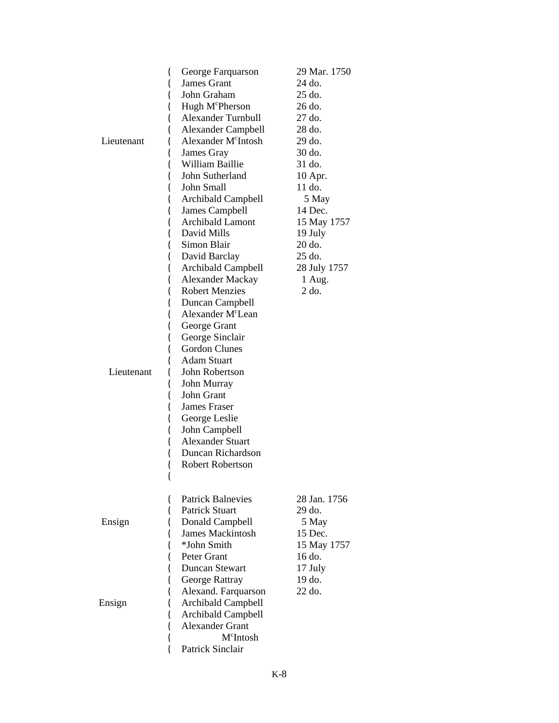| {               | George Farquarson               | 29 Mar. 1750 |  |  |
|-----------------|---------------------------------|--------------|--|--|
| {               | <b>James Grant</b>              | 24 do.       |  |  |
| {               | John Graham                     | 25 do.       |  |  |
| {               | Hugh M <sup>c</sup> Pherson     | 26 do.       |  |  |
| {               | Alexander Turnbull              | 27 do.       |  |  |
| {               | <b>Alexander Campbell</b>       | 28 do.       |  |  |
| Lieutenant      | Alexander M <sup>c</sup> Intosh | 29 do.       |  |  |
| {               | James Gray                      | 30 do.       |  |  |
| {               | William Baillie                 | 31 do.       |  |  |
| {               | John Sutherland                 | 10 Apr.      |  |  |
| {               | John Small                      | 11 do.       |  |  |
| {               | Archibald Campbell              | 5 May        |  |  |
| {               | <b>James Campbell</b>           | 14 Dec.      |  |  |
| {               | <b>Archibald Lamont</b>         | 15 May 1757  |  |  |
| {               | David Mills                     | 19 July      |  |  |
| {               | Simon Blair                     | 20 do.       |  |  |
| {               | David Barclay                   | 25 do.       |  |  |
| {               | Archibald Campbell              | 28 July 1757 |  |  |
| {               | <b>Alexander Mackay</b>         | 1 Aug.       |  |  |
| {               | <b>Robert Menzies</b>           | $2$ do.      |  |  |
| {               | Duncan Campbell                 |              |  |  |
| {               | Alexander M <sup>c</sup> Lean   |              |  |  |
| {               | George Grant                    |              |  |  |
| {               | George Sinclair                 |              |  |  |
| {               | <b>Gordon Clunes</b>            |              |  |  |
|                 | <b>Adam Stuart</b>              |              |  |  |
| Lieutenant<br>ł | John Robertson                  |              |  |  |
| {               | John Murray                     |              |  |  |
| {               | John Grant                      |              |  |  |
| {               | James Fraser                    |              |  |  |
| {               | George Leslie                   |              |  |  |
| {               | John Campbell                   |              |  |  |
| {               | <b>Alexander Stuart</b>         |              |  |  |
| {               | Duncan Richardson               |              |  |  |
| l               | <b>Robert Robertson</b>         |              |  |  |
| {               |                                 |              |  |  |
|                 |                                 |              |  |  |
| {               | <b>Patrick Balnevies</b>        | 28 Jan. 1756 |  |  |
| {               | <b>Patrick Stuart</b>           | $29$ do.     |  |  |
| Ensign          | Donald Campbell                 | 5 May        |  |  |
|                 | <b>James Mackintosh</b>         | 15 Dec.      |  |  |
|                 | *John Smith                     | 15 May 1757  |  |  |
| {               | Peter Grant                     | 16 do.       |  |  |
|                 | <b>Duncan Stewart</b>           | 17 July      |  |  |
| {               | George Rattray                  | 19 do.       |  |  |
|                 | Alexand. Farquarson             | 22 do.       |  |  |
| Ensign          | Archibald Campbell              |              |  |  |
|                 | <b>Archibald Campbell</b>       |              |  |  |
|                 | <b>Alexander Grant</b>          |              |  |  |
| {               | M <sup>c</sup> Intosh           |              |  |  |
| {               | Patrick Sinclair                |              |  |  |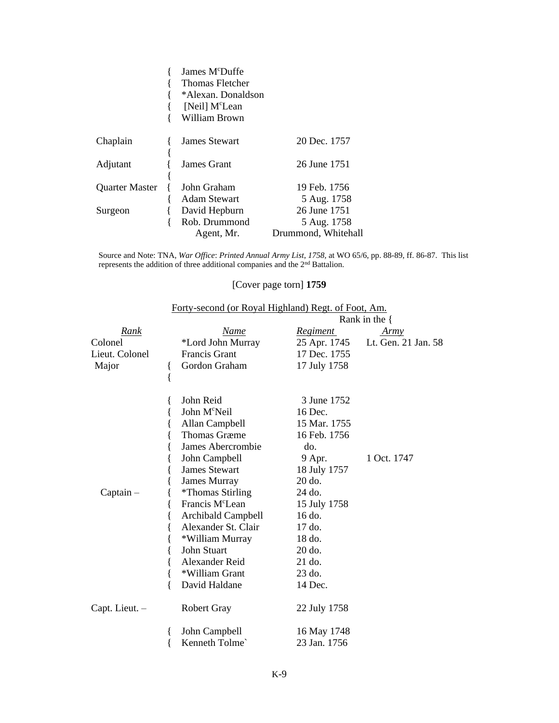|                       | James M <sup>c</sup> Duffe |                     |
|-----------------------|----------------------------|---------------------|
|                       | Thomas Fletcher            |                     |
|                       | *Alexan. Donaldson         |                     |
|                       | [Neil] M <sup>c</sup> Lean |                     |
|                       | William Brown              |                     |
| Chaplain              | James Stewart              | 20 Dec. 1757        |
| Adjutant              | James Grant                | 26 June 1751        |
|                       |                            |                     |
| <b>Quarter Master</b> | John Graham                | 19 Feb. 1756        |
|                       | <b>Adam Stewart</b>        | 5 Aug. 1758         |
| Surgeon               | David Hepburn              | 26 June 1751        |
|                       | Rob. Drummond              | 5 Aug. 1758         |
|                       | Agent, Mr.                 | Drummond, Whitehall |

Source and Note: TNA, *War Office*: *Printed Annual Army List*, *1758,* at WO 65/6, pp. 88-89, ff. 86-87. This list represents the addition of three additional companies and the 2<sup>nd</sup> Battalion.

## [Cover page torn] **1759**

|                | Forty-second (or Royal Highland) Regt. of Foot, Am. |                  |                     |  |
|----------------|-----------------------------------------------------|------------------|---------------------|--|
|                |                                                     | Rank in the $\{$ |                     |  |
| Rank           | Name                                                | Regiment         | Army                |  |
| Colonel        | *Lord John Murray                                   | 25 Apr. 1745     | Lt. Gen. 21 Jan. 58 |  |
| Lieut. Colonel | Francis Grant                                       | 17 Dec. 1755     |                     |  |
| Major          | Gordon Graham                                       | 17 July 1758     |                     |  |
|                | $\{$                                                |                  |                     |  |
|                | John Reid                                           | 3 June 1752      |                     |  |
|                | John M <sup>c</sup> Neil                            | 16 Dec.          |                     |  |
|                | Allan Campbell                                      | 15 Mar. 1755     |                     |  |
|                | <b>Thomas Græme</b>                                 | 16 Feb. 1756     |                     |  |
|                | James Abercrombie                                   | do.              |                     |  |
|                | John Campbell                                       | 9 Apr.           | 1 Oct. 1747         |  |
|                | <b>James Stewart</b>                                | 18 July 1757     |                     |  |
|                | James Murray                                        | 20 do.           |                     |  |
| $Captain -$    | <i>*Thomas Stirling</i>                             | 24 do.           |                     |  |
|                | Francis M <sup>c</sup> Lean                         | 15 July 1758     |                     |  |
|                | Archibald Campbell                                  | 16 do.           |                     |  |
|                | Alexander St. Clair                                 | 17 do.           |                     |  |
|                | *William Murray                                     | 18 do.           |                     |  |
|                | John Stuart                                         | 20 do.           |                     |  |
|                | Alexander Reid                                      | 21 do.           |                     |  |
|                | *William Grant<br>{                                 | 23 do.           |                     |  |
|                | David Haldane<br>{                                  | 14 Dec.          |                     |  |
| Capt. Lieut. - | <b>Robert Gray</b>                                  | 22 July 1758     |                     |  |
|                | John Campbell                                       | 16 May 1748      |                     |  |
|                | Kenneth Tolme`                                      | 23 Jan. 1756     |                     |  |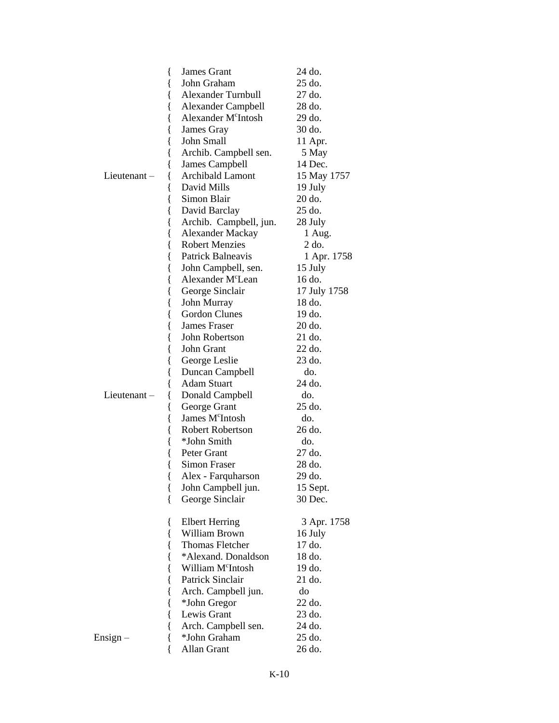|                | James Grant<br>{                              | 24 do.       |
|----------------|-----------------------------------------------|--------------|
|                | John Graham<br>{                              | 25 do.       |
|                | <b>Alexander Turnbull</b><br>{                | 27 do.       |
|                | <b>Alexander Campbell</b><br>{                | 28 do.       |
|                | Alexander M <sup>c</sup> Intosh<br>{          | 29 do.       |
|                | {<br>James Gray                               | 30 do.       |
|                | John Small<br>{                               | 11 Apr.      |
|                | Archib. Campbell sen.<br>{                    | 5 May        |
|                | James Campbell                                | 14 Dec.      |
| Lieutenant $-$ | <b>Archibald Lamont</b>                       | 15 May 1757  |
|                | David Mills<br>ί                              | 19 July      |
|                | Simon Blair<br>{                              | 20 do.       |
|                | David Barclay                                 | 25 do.       |
|                | Archib. Campbell, jun.<br>{                   | 28 July      |
|                | <b>Alexander Mackay</b><br>{                  | 1 Aug.       |
|                | <b>Robert Menzies</b>                         | $2$ do.      |
|                | Patrick Balneavis                             | 1 Apr. 1758  |
|                | John Campbell, sen.<br>l                      | 15 July      |
|                | Alexander M <sup>c</sup> Lean<br>{            | 16 do.       |
|                | George Sinclair<br>{                          | 17 July 1758 |
|                | John Murray<br>{                              | 18 do.       |
|                | <b>Gordon Clunes</b><br>{                     | 19 do.       |
|                | <b>James Fraser</b>                           | 20 do.       |
|                | John Robertson<br>{                           | 21 do.       |
|                | John Grant<br>{                               | 22 do.       |
|                | {<br>George Leslie                            | 23 do.       |
|                | Duncan Campbell<br>{                          | do.          |
|                | Adam Stuart                                   | 24 do.       |
| Lieutenant $-$ | Donald Campbell                               | do.          |
|                | ί<br>George Grant<br>{                        | 25 do.       |
|                | James M <sup>c</sup> Intosh                   | do.          |
|                | {<br><b>Robert Robertson</b>                  | 26 do.       |
|                | *John Smith                                   | do.          |
|                | l<br>Peter Grant                              | 27 do.       |
|                | Simon Fraser                                  | 28 do.       |
|                |                                               | 29 do.       |
|                | Alex - Farquharson<br>ί<br>John Campbell jun. | 15 Sept.     |
|                | ł<br>{<br>George Sinclair                     | 30 Dec.      |
|                |                                               |              |
|                | <b>Elbert Herring</b>                         | 3 Apr. 1758  |
|                | {<br><b>William Brown</b><br>{                | 16 July      |
|                | <b>Thomas Fletcher</b><br>{                   | 17 do.       |
|                | *Alexand. Donaldson                           | 18 do.       |
|                | {<br>William M <sup>c</sup> Intosh            | 19 do.       |
|                | Patrick Sinclair                              | 21 do.       |
|                |                                               | do           |
|                | Arch. Campbell jun.<br>ί                      | 22 do.       |
|                | *John Gregor<br>l<br>Lewis Grant              | 23 do.       |
|                | {                                             |              |
|                | Arch. Campbell sen.<br>{                      | 24 do.       |
| Ensign –       | *John Graham                                  | 25 do.       |
|                | Allan Grant                                   | 26 do.       |

K-10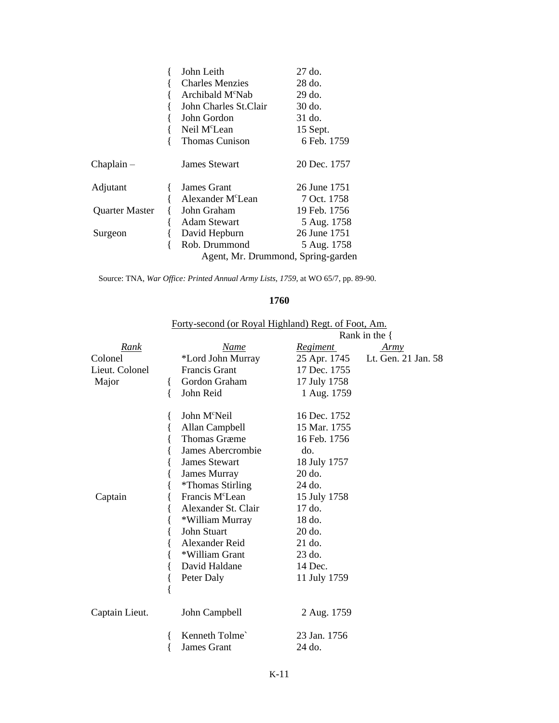|                       | John Leith |                               | 27 do.                             |  |
|-----------------------|------------|-------------------------------|------------------------------------|--|
|                       |            | <b>Charles Menzies</b>        | 28 do.                             |  |
|                       |            | Archibald M <sup>c</sup> Nab  | 29 do.                             |  |
|                       |            | John Charles St.Clair         | 30 do.                             |  |
|                       |            | John Gordon                   | 31 do.                             |  |
|                       |            | Neil M <sup>c</sup> Lean      | 15 Sept.                           |  |
|                       |            | <b>Thomas Cunison</b>         | 6 Feb. 1759                        |  |
| Chaplain –            |            | <b>James Stewart</b>          | 20 Dec. 1757                       |  |
| Adjutant              |            | James Grant                   | 26 June 1751                       |  |
|                       |            | Alexander M <sup>c</sup> Lean | 7 Oct. 1758                        |  |
| <b>Quarter Master</b> |            | John Graham                   | 19 Feb. 1756                       |  |
|                       |            | Adam Stewart                  | 5 Aug. 1758                        |  |
| Surgeon               |            | David Hepburn                 | 26 June 1751                       |  |
|                       |            | Rob. Drummond                 | 5 Aug. 1758                        |  |
|                       |            |                               | Agent, Mr. Drummond, Spring-garden |  |
|                       |            |                               |                                    |  |

Source: TNA, *War Office: Printed Annual Army Lists*, *1759*, at WO 65/7, pp. 89-90.

#### **1760**

|                |                             |                 | Rank in the $\{$    |  |  |
|----------------|-----------------------------|-----------------|---------------------|--|--|
| Rank           | Name                        | <u>Regiment</u> | <u>Army</u>         |  |  |
| Colonel        | *Lord John Murray           | 25 Apr. 1745    | Lt. Gen. 21 Jan. 58 |  |  |
| Lieut. Colonel | <b>Francis Grant</b>        | 17 Dec. 1755    |                     |  |  |
| Major          | Gordon Graham<br>₹          | 17 July 1758    |                     |  |  |
|                | John Reid<br>$\{$           | 1 Aug. 1759     |                     |  |  |
|                | John M <sup>c</sup> Neil    | 16 Dec. 1752    |                     |  |  |
|                | Allan Campbell              | 15 Mar. 1755    |                     |  |  |
|                | <b>Thomas Græme</b>         | 16 Feb. 1756    |                     |  |  |
|                | James Abercrombie           | do.             |                     |  |  |
|                | <b>James Stewart</b>        | 18 July 1757    |                     |  |  |
|                | James Murray                | 20 do.          |                     |  |  |
|                | <i>*</i> Thomas Stirling    | 24 do.          |                     |  |  |
| Captain        | Francis M <sup>c</sup> Lean | 15 July 1758    |                     |  |  |
|                | Alexander St. Clair         | 17 do.          |                     |  |  |
|                | *William Murray             | 18 do.          |                     |  |  |
|                | John Stuart                 | 20 do.          |                     |  |  |
|                | Alexander Reid              | 21 do.          |                     |  |  |
|                | *William Grant              | 23 do.          |                     |  |  |
|                | David Haldane               | 14 Dec.         |                     |  |  |
|                | Peter Daly                  | 11 July 1759    |                     |  |  |
|                | {                           |                 |                     |  |  |
| Captain Lieut. | John Campbell               | 2 Aug. 1759     |                     |  |  |
|                | Kenneth Tolme`              | 23 Jan. 1756    |                     |  |  |
|                | James Grant                 | 24 do.          |                     |  |  |

Forty-second (or Royal Highland) Regt. of Foot, Am.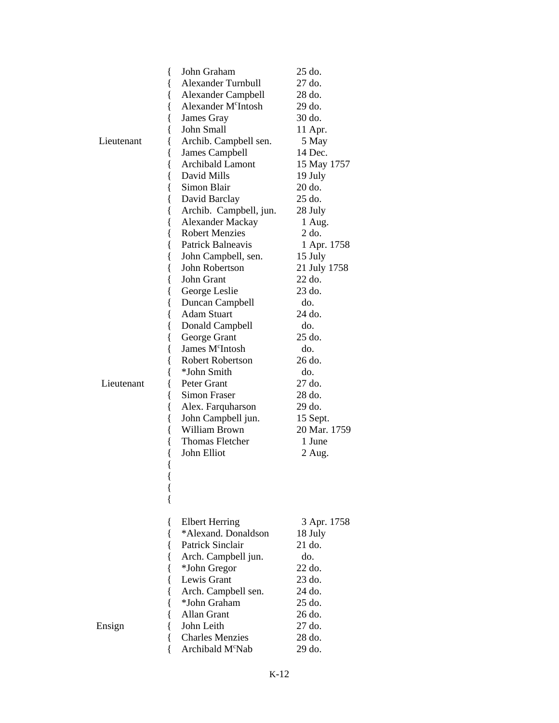| {<br>{<br>{     | John Graham<br><b>Alexander Turnbull</b><br><b>Alexander Campbell</b> | $25$ do.<br>27 do.<br>28 do. |
|-----------------|-----------------------------------------------------------------------|------------------------------|
| {               | Alexander M <sup>c</sup> Intosh                                       | 29 do.                       |
| l               | James Gray                                                            | 30 do.                       |
| ł               | John Small                                                            | 11 Apr.                      |
| Lieutenant<br>ł | Archib. Campbell sen.                                                 | 5 May                        |
| {               | James Campbell                                                        | 14 Dec.                      |
| {               | <b>Archibald Lamont</b>                                               | 15 May 1757                  |
| {               | David Mills                                                           | 19 July                      |
| l               | Simon Blair                                                           | 20 do.                       |
| {               | David Barclay                                                         | 25 do.                       |
| {               | Archib. Campbell, jun.                                                | 28 July                      |
| {               | <b>Alexander Mackay</b>                                               | 1 Aug.                       |
| {               | <b>Robert Menzies</b>                                                 | 2 do.                        |
| {               | Patrick Balneavis                                                     | 1 Apr. 1758                  |
| {               | John Campbell, sen.                                                   | 15 July                      |
| {               | John Robertson                                                        | 21 July 1758                 |
| l               | John Grant                                                            | 22 do.                       |
| {               | George Leslie                                                         | 23 do.                       |
| {               | Duncan Campbell                                                       | do.                          |
| {               | <b>Adam Stuart</b>                                                    | 24 do.                       |
| {               | Donald Campbell                                                       | do.                          |
| {               | George Grant                                                          | 25 do.                       |
| {               | James M <sup>c</sup> Intosh                                           | do.                          |
| {               | <b>Robert Robertson</b>                                               | 26 do.                       |
|                 | *John Smith                                                           | do.                          |
| Lieutenant<br>l | Peter Grant                                                           | 27 do.                       |
| l               | Simon Fraser                                                          | 28 do.                       |
| {               | Alex. Farquharson                                                     | 29 do.                       |
| {               | John Campbell jun.                                                    | 15 Sept.                     |
| {               | <b>William Brown</b>                                                  | 20 Mar. 1759                 |
| {               | <b>Thomas Fletcher</b>                                                | 1 June                       |
| {               | John Elliot                                                           | 2 Aug.                       |
| {               |                                                                       |                              |
| {               |                                                                       |                              |
| {               | <b>Elbert Herring</b>                                                 | 3 Apr. 1758                  |
| {               | *Alexand. Donaldson                                                   | 18 July                      |
| {               | <b>Patrick Sinclair</b>                                               | 21 do.                       |
|                 | Arch. Campbell jun.                                                   | do.                          |
| {               | *John Gregor                                                          | 22 do.                       |
|                 | Lewis Grant                                                           | 23 do.                       |
|                 | Arch. Campbell sen.                                                   | 24 do.                       |
|                 | *John Graham                                                          | 25 do.                       |
|                 | Allan Grant                                                           | 26 do.                       |
| Ensign<br>ł     | John Leith                                                            | 27 do.                       |
|                 | <b>Charles Menzies</b>                                                | 28 do.                       |
|                 | Archibald M <sup>c</sup> Nab                                          | 29 do.                       |
|                 |                                                                       |                              |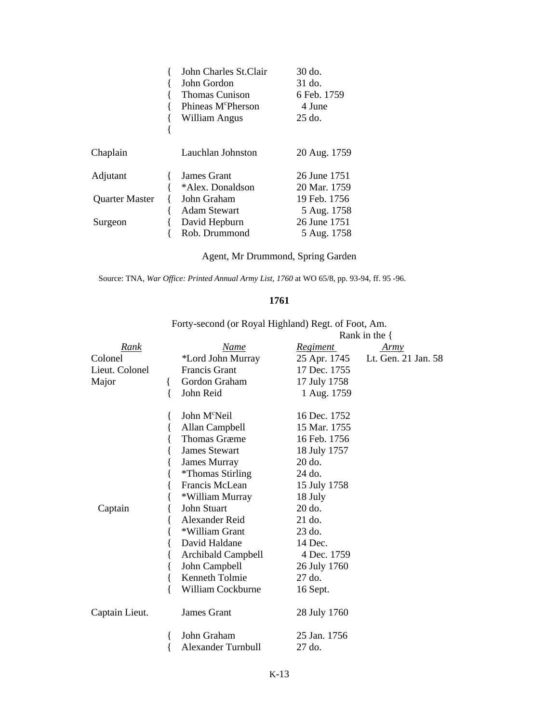|                                   | John Charles St.Clair<br>John Gordon<br><b>Thomas Cunison</b><br>Phineas M <sup>c</sup> Pherson<br>William Angus | $30$ do.<br>31 do.<br>6 Feb. 1759<br>4 June<br>$25$ do. |
|-----------------------------------|------------------------------------------------------------------------------------------------------------------|---------------------------------------------------------|
| Chaplain                          | Lauchlan Johnston                                                                                                | 20 Aug. 1759                                            |
| Adjutant<br><b>Quarter Master</b> | James Grant<br>*Alex. Donaldson<br>John Graham                                                                   | 26 June 1751<br>20 Mar. 1759<br>19 Feb. 1756            |
| Surgeon                           | <b>Adam Stewart</b><br>David Hepburn<br>Rob. Drummond                                                            | 5 Aug. 1758<br>26 June 1751<br>5 Aug. 1758              |

Agent, Mr Drummond, Spring Garden

Source: TNA, *War Office: Printed Annual Army List, 1760* at WO 65/8, pp. 93-94, ff. 95 -96.

#### **1761**

|                |                               |                 | Rank in the $\{$    |  |  |
|----------------|-------------------------------|-----------------|---------------------|--|--|
| Rank           | Name                          | <u>Regiment</u> | <u>Army</u>         |  |  |
| Colonel        | *Lord John Murray             | 25 Apr. 1745    | Lt. Gen. 21 Jan. 58 |  |  |
| Lieut. Colonel | <b>Francis Grant</b>          | 17 Dec. 1755    |                     |  |  |
| Major          | Gordon Graham<br>₹            | 17 July 1758    |                     |  |  |
|                | John Reid<br>{                | 1 Aug. 1759     |                     |  |  |
|                | John M <sup>c</sup> Neil<br>ł | 16 Dec. 1752    |                     |  |  |
|                | Allan Campbell<br>{           | 15 Mar. 1755    |                     |  |  |
|                | <b>Thomas Græme</b>           | 16 Feb. 1756    |                     |  |  |
|                | <b>James Stewart</b>          | 18 July 1757    |                     |  |  |
|                | <b>James Murray</b>           | 20 do.          |                     |  |  |
|                | <i>*</i> Thomas Stirling      | 24 do.          |                     |  |  |
|                | Francis McLean                | 15 July 1758    |                     |  |  |
|                | *William Murray               | 18 July         |                     |  |  |
| Captain        | <b>John Stuart</b>            | $20$ do.        |                     |  |  |
|                | Alexander Reid                | 21 do.          |                     |  |  |
|                | *William Grant                | 23 do.          |                     |  |  |
|                | David Haldane                 | 14 Dec.         |                     |  |  |
|                | Archibald Campbell            | 4 Dec. 1759     |                     |  |  |
|                | John Campbell                 | 26 July 1760    |                     |  |  |
|                | Kenneth Tolmie<br>{           | 27 do.          |                     |  |  |
|                | William Cockburne<br>∤        | 16 Sept.        |                     |  |  |
| Captain Lieut. | <b>James Grant</b>            | 28 July 1760    |                     |  |  |
|                | John Graham<br>ł              | 25 Jan. 1756    |                     |  |  |
|                | <b>Alexander Turnbull</b>     | 27 do.          |                     |  |  |

Forty-second (or Royal Highland) Regt. of Foot, Am.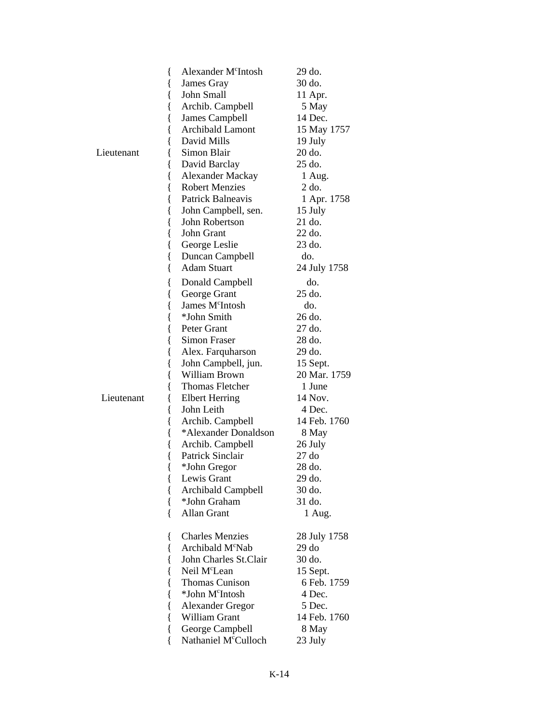|            | Alexander M <sup>c</sup> Intosh<br>{ | 29 do.       |
|------------|--------------------------------------|--------------|
|            | James Gray<br>₹                      | 30 do.       |
|            | John Small<br>{                      | 11 Apr.      |
|            | Archib. Campbell<br>ł                | 5 May        |
|            | James Campbell<br>{                  | 14 Dec.      |
|            | Archibald Lamont<br>{                | 15 May 1757  |
|            | David Mills<br>{                     | 19 July      |
| Lieutenant | Simon Blair<br>{                     | 20 do.       |
|            | David Barclay<br>{                   | 25 do.       |
|            | {<br>Alexander Mackay                | 1 Aug.       |
|            | <b>Robert Menzies</b><br>{           | $2$ do.      |
|            | Patrick Balneavis<br>{               | 1 Apr. 1758  |
|            | John Campbell, sen.<br>l             | 15 July      |
|            | John Robertson<br>{                  | 21 do.       |
|            | John Grant<br>{                      | 22 do.       |
|            | George Leslie<br>{                   | 23 do.       |
|            | {<br>Duncan Campbell                 | do.          |
|            | <b>Adam Stuart</b><br>∤              | 24 July 1758 |
|            | Donald Campbell                      | do.          |
|            | {<br>George Grant                    | 25 do.       |
|            | {<br>James M <sup>c</sup> Intosh     | do.          |
|            | {<br>*John Smith                     | 26 do.       |
|            | {<br>Peter Grant<br>{                | 27 do.       |
|            | {<br>Simon Fraser                    | 28 do.       |
|            | Alex. Farquharson                    | 29 do.       |
|            | {<br>John Campbell, jun.             | 15 Sept.     |
|            | l<br>William Brown<br>{              | 20 Mar. 1759 |
|            | Thomas Fletcher<br>{                 | 1 June       |
| Lieutenant | <b>Elbert Herring</b><br>{           | 14 Nov.      |
|            | John Leith<br>{                      | 4 Dec.       |
|            | Archib. Campbell<br>{                | 14 Feb. 1760 |
|            | *Alexander Donaldson                 | 8 May        |
|            | {<br>Archib. Campbell                | 26 July      |
|            | {<br>Patrick Sinclair                | 27 do        |
|            | {<br>{<br>*John Gregor               | 28 do.       |
|            | Lewis Grant                          | 29 do.       |
|            | ί<br><b>Archibald Campbell</b>       | 30 do.       |
|            | *John Graham<br>{                    | 31 do.       |
|            | <b>Allan Grant</b><br>∤              | 1 Aug.       |
|            |                                      |              |
|            | <b>Charles Menzies</b><br>₹          | 28 July 1758 |
|            | Archibald M <sup>c</sup> Nab<br>{    | $29d$ o      |
|            | John Charles St.Clair<br>{           | 30 do.       |
|            | Neil M <sup>c</sup> Lean             | 15 Sept.     |
|            | <b>Thomas Cunison</b>                | 6 Feb. 1759  |
|            | *John M <sup>c</sup> Intosh          | 4 Dec.       |
|            | <b>Alexander Gregor</b><br>{         | 5 Dec.       |
|            | William Grant<br>{                   | 14 Feb. 1760 |
|            | George Campbell<br>{                 | 8 May        |
|            | Nathaniel M <sup>c</sup> Culloch     | 23 July      |
|            |                                      |              |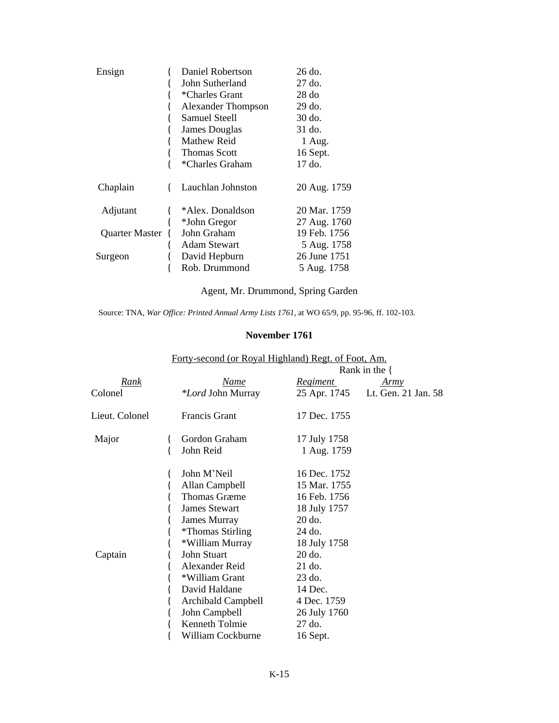| Ensign         | Daniel Robertson          | 26 do.       |
|----------------|---------------------------|--------------|
|                | John Sutherland           | 27 do.       |
|                | *Charles Grant            | 28d          |
|                | <b>Alexander Thompson</b> | 29 do.       |
|                | Samuel Steell             | 30 do.       |
|                | James Douglas             | 31 do.       |
|                | Mathew Reid               | 1 Aug.       |
|                | Thomas Scott              | 16 Sept.     |
|                | *Charles Graham           | 17 do.       |
| Chaplain       | Lauchlan Johnston         | 20 Aug. 1759 |
| Adjutant       | *Alex. Donaldson          | 20 Mar. 1759 |
|                | *John Gregor              | 27 Aug. 1760 |
| Quarter Master | John Graham               | 19 Feb. 1756 |
|                | Adam Stewart              | 5 Aug. 1758  |
| Surgeon        | David Hepburn             | 26 June 1751 |
|                | Rob. Drummond             | 5 Aug. 1758  |

Agent, Mr. Drummond, Spring Garden

Source: TNA, *War Office: Printed Annual Army Lists 1761*, at WO 65/9, pp. 95-96, ff. 102-103.

### **November 1761**

|                |                                                                                                                                                                                                                                                                                               |                                                                                                                                                                                                | Rank in the $\{$    |  |  |
|----------------|-----------------------------------------------------------------------------------------------------------------------------------------------------------------------------------------------------------------------------------------------------------------------------------------------|------------------------------------------------------------------------------------------------------------------------------------------------------------------------------------------------|---------------------|--|--|
| Rank           | Name                                                                                                                                                                                                                                                                                          | <i><u><b>Regiment</b></u></i>                                                                                                                                                                  | <u>Army</u>         |  |  |
| Colonel        | <i>*Lord</i> John Murray                                                                                                                                                                                                                                                                      | 25 Apr. 1745                                                                                                                                                                                   | Lt. Gen. 21 Jan. 58 |  |  |
| Lieut. Colonel | <b>Francis Grant</b>                                                                                                                                                                                                                                                                          | 17 Dec. 1755                                                                                                                                                                                   |                     |  |  |
| Major          | Gordon Graham<br>John Reid                                                                                                                                                                                                                                                                    | 17 July 1758<br>1 Aug. 1759                                                                                                                                                                    |                     |  |  |
| Captain        | John M'Neil<br>Allan Campbell<br><b>Thomas Græme</b><br><b>James Stewart</b><br>James Murray<br><i>*</i> Thomas Stirling<br>*William Murray<br>John Stuart<br>Alexander Reid<br>*William Grant<br>David Haldane<br>Archibald Campbell<br>John Campbell<br>Kenneth Tolmie<br>William Cockburne | 16 Dec. 1752<br>15 Mar. 1755<br>16 Feb. 1756<br>18 July 1757<br>20 do.<br>24 do.<br>18 July 1758<br>20 do.<br>21 do.<br>23 do.<br>14 Dec.<br>4 Dec. 1759<br>26 July 1760<br>27 do.<br>16 Sept. |                     |  |  |

Forty-second (or Royal Highland) Regt. of Foot, Am.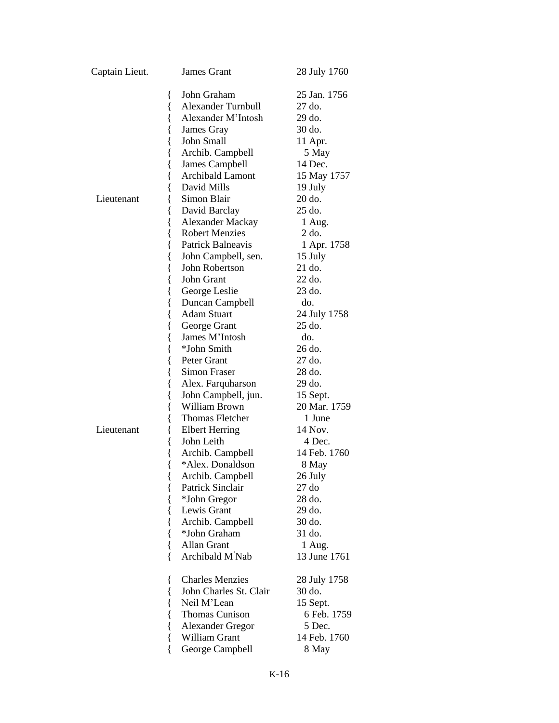| Captain Lieut. | <b>James Grant</b>                | 28 July 1760 |
|----------------|-----------------------------------|--------------|
|                | John Graham<br>∤                  | 25 Jan. 1756 |
|                | <b>Alexander Turnbull</b><br>{    | 27 do.       |
|                | Alexander M'Intosh<br>ł           | 29 do.       |
|                | {<br>James Gray                   | 30 do.       |
|                | John Small<br>{                   | 11 Apr.      |
|                | Archib. Campbell<br>{             | 5 May        |
|                | James Campbell<br>{               | 14 Dec.      |
|                | <b>Archibald Lamont</b><br>{      | 15 May 1757  |
|                | David Mills                       | 19 July      |
| Lieutenant     | Simon Blair                       | 20 do.       |
|                | David Barclay                     | 25 do.       |
|                | <b>Alexander Mackay</b><br>ł      | 1 Aug.       |
|                | <b>Robert Menzies</b><br>{        | 2 do.        |
|                | Patrick Balneavis<br>{            | 1 Apr. 1758  |
|                | John Campbell, sen.<br>{          | 15 July      |
|                | John Robertson<br>{               | 21 do.       |
|                | John Grant<br>{                   | 22 do.       |
|                | George Leslie<br>{                | 23 do.       |
|                | Duncan Campbell<br>ł              | do.          |
|                | <b>Adam Stuart</b>                | 24 July 1758 |
|                | George Grant                      | 25 do.       |
|                | James M'Intosh<br>ł               | do.          |
|                | *John Smith<br>{                  | 26 do.       |
|                | {<br>Peter Grant                  | 27 do.       |
|                | Simon Fraser<br>{                 | 28 do.       |
|                | Alex. Farquharson<br>{            | 29 do.       |
|                | John Campbell, jun.<br>{          | 15 Sept.     |
|                | William Brown                     | 20 Mar. 1759 |
|                | Thomas Fletcher                   | 1 June       |
| Lieutenant     | <b>Elbert Herring</b>             | 14 Nov.      |
|                | John Leith                        | 4 Dec.       |
|                | Archib. Campbell                  | 14 Feb. 1760 |
|                | *Alex. Donaldson<br>∤             | 8 May        |
|                | Archib. Campbell<br>$\{$          | 26 July      |
|                | Patrick Sinclair<br>{             | 27 do        |
|                | *John Gregor                      | 28 do.       |
|                | Lewis Grant                       | 29 do.       |
|                | Archib. Campbell                  | 30 do.       |
|                | *John Graham                      | 31 do.       |
|                | Allan Grant<br>∤                  | 1 Aug.       |
|                | Archibald M <sup>'</sup> Nab<br>{ | 13 June 1761 |
|                | <b>Charles Menzies</b><br>{       | 28 July 1758 |
|                | John Charles St. Clair<br>{       | 30 do.       |
|                | Neil M'Lean<br>{                  | 15 Sept.     |
|                | Thomas Cunison                    | 6 Feb. 1759  |
|                | Alexander Gregor<br>{             | 5 Dec.       |
|                | William Grant                     | 14 Feb. 1760 |
|                | George Campbell<br>{              | 8 May        |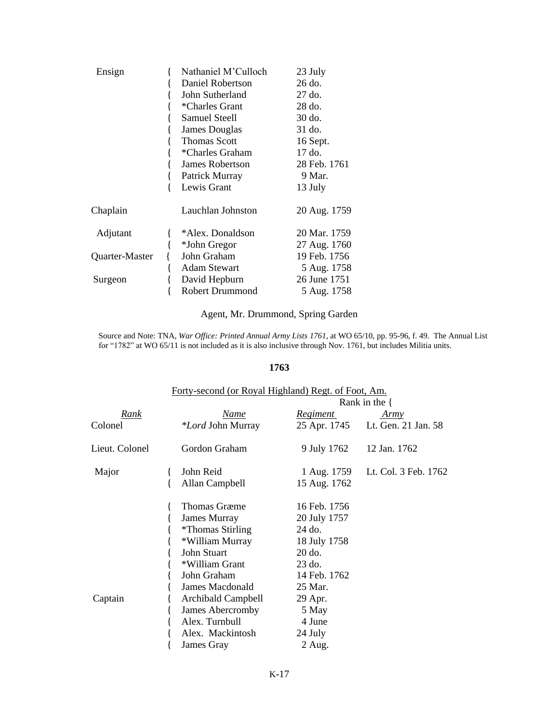| Ensign         | Nathaniel M'Culloch |                        | 23 July      |
|----------------|---------------------|------------------------|--------------|
|                |                     | Daniel Robertson       | 26 do.       |
|                |                     | John Sutherland        | 27 do.       |
|                |                     | *Charles Grant         | 28 do.       |
|                |                     | Samuel Steell          | 30 do.       |
|                |                     | <b>James Douglas</b>   | 31 do.       |
|                |                     | <b>Thomas Scott</b>    | 16 Sept.     |
|                |                     | *Charles Graham        | 17 do.       |
|                |                     | James Robertson        | 28 Feb. 1761 |
|                |                     | Patrick Murray         | 9 Mar.       |
|                |                     | Lewis Grant            | 13 July      |
| Chaplain       |                     | Lauchlan Johnston      | 20 Aug. 1759 |
| Adjutant       |                     | *Alex. Donaldson       | 20 Mar. 1759 |
|                |                     | *John Gregor           | 27 Aug. 1760 |
| Quarter-Master |                     | John Graham            | 19 Feb. 1756 |
|                |                     | <b>Adam Stewart</b>    | 5 Aug. 1758  |
| Surgeon        |                     | David Hepburn          | 26 June 1751 |
|                |                     | <b>Robert Drummond</b> | 5 Aug. 1758  |

# Agent, Mr. Drummond, Spring Garden

Source and Note: TNA, *War Office: Printed Annual Army Lists 1761*, at WO 65/10, pp. 95-96, f. 49. The Annual List for "1782" at WO 65/11 is not included as it is also inclusive through Nov. 1761, but includes Militia units.

#### **1763**

|                | Forty-second (or Royal Highland) Regt. of Foot, Am. |                          |  |                 |                                  |  |
|----------------|-----------------------------------------------------|--------------------------|--|-----------------|----------------------------------|--|
|                |                                                     |                          |  |                 | Rank in the $\{$                 |  |
| Rank           |                                                     | Name                     |  | <u>Regiment</u> | Army                             |  |
| Colonel        |                                                     | <i>*Lord</i> John Murray |  |                 | 25 Apr. 1745 Lt. Gen. 21 Jan. 58 |  |
| Lieut. Colonel |                                                     | Gordon Graham            |  | 9 July 1762     | 12 Jan. 1762                     |  |
| Major          |                                                     | John Reid                |  | 1 Aug. 1759     | Lt. Col. 3 Feb. 1762             |  |
|                |                                                     | Allan Campbell           |  | 15 Aug. 1762    |                                  |  |
|                |                                                     | Thomas Græme             |  | 16 Feb. 1756    |                                  |  |
|                |                                                     | James Murray             |  | 20 July 1757    |                                  |  |
|                |                                                     | <i>*</i> Thomas Stirling |  | 24 do.          |                                  |  |
|                |                                                     | *William Murray          |  | 18 July 1758    |                                  |  |
|                |                                                     | John Stuart              |  | $20$ do.        |                                  |  |
|                |                                                     | *William Grant           |  | $23$ do.        |                                  |  |
|                |                                                     | John Graham              |  | 14 Feb. 1762    |                                  |  |
|                |                                                     | James Macdonald          |  | 25 Mar.         |                                  |  |
| Captain        |                                                     | Archibald Campbell       |  | 29 Apr.         |                                  |  |
|                |                                                     | James Abercromby         |  | 5 May           |                                  |  |
|                |                                                     | Alex. Turnbull           |  | 4 June          |                                  |  |
|                |                                                     | Alex. Mackintosh         |  | 24 July         |                                  |  |
|                |                                                     | James Gray               |  | 2 Aug.          |                                  |  |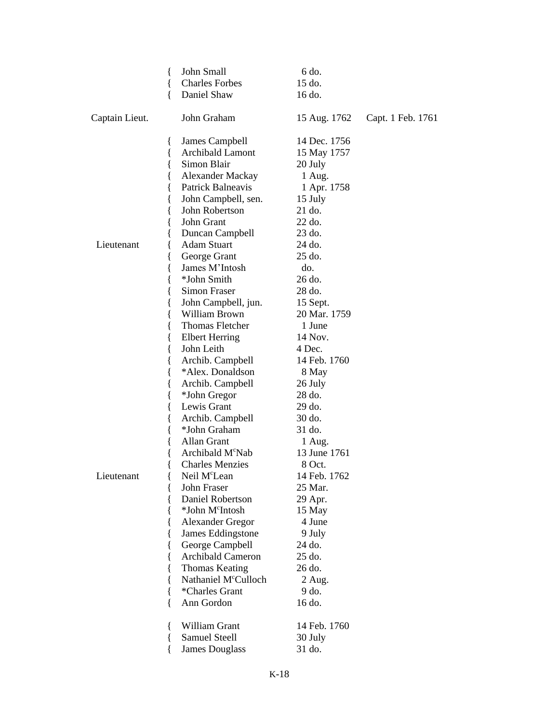|                | { | John Small                   | 6 do.        |                   |
|----------------|---|------------------------------|--------------|-------------------|
|                |   | <b>Charles Forbes</b>        | 15 do.       |                   |
|                | ł | Daniel Shaw                  | 16 do.       |                   |
| Captain Lieut. |   | John Graham                  | 15 Aug. 1762 | Capt. 1 Feb. 1761 |
|                | ł | James Campbell               | 14 Dec. 1756 |                   |
|                | { | <b>Archibald Lamont</b>      | 15 May 1757  |                   |
|                |   | Simon Blair                  | 20 July      |                   |
|                |   | Alexander Mackay             | 1 Aug.       |                   |
|                |   | Patrick Balneavis            | 1 Apr. 1758  |                   |
|                |   | John Campbell, sen.          | 15 July      |                   |
|                |   | John Robertson               | 21 do.       |                   |
|                |   | John Grant                   | 22 do.       |                   |
|                |   | Duncan Campbell              | 23 do.       |                   |
| Lieutenant     |   | <b>Adam Stuart</b>           | 24 do.       |                   |
|                |   | George Grant                 | 25 do.       |                   |
|                |   | James M'Intosh               | do.          |                   |
|                |   | *John Smith                  | 26 do.       |                   |
|                |   | Simon Fraser                 | 28 do.       |                   |
|                |   | John Campbell, jun.          | 15 Sept.     |                   |
|                |   | William Brown                | 20 Mar. 1759 |                   |
|                |   | Thomas Fletcher              | 1 June       |                   |
|                |   | <b>Elbert Herring</b>        | 14 Nov.      |                   |
|                |   | John Leith                   | 4 Dec.       |                   |
|                |   | Archib. Campbell             | 14 Feb. 1760 |                   |
|                |   | *Alex. Donaldson             | 8 May        |                   |
|                | l | Archib. Campbell             | 26 July      |                   |
|                |   | *John Gregor                 | 28 do.       |                   |
|                |   | Lewis Grant                  | 29 do.       |                   |
|                |   | Archib. Campbell             | 30 do.       |                   |
|                |   | *John Graham                 | 31 do.       |                   |
|                |   | Allan Grant                  | 1 Aug.       |                   |
|                |   | Archibald M <sup>c</sup> Nab | 13 June 1761 |                   |
|                |   | <b>Charles Menzies</b>       | 8 Oct.       |                   |
| Lieutenant     |   | Neil M <sup>c</sup> Lean     | 14 Feb. 1762 |                   |
|                |   | John Fraser                  | 25 Mar.      |                   |
|                |   | Daniel Robertson             | 29 Apr.      |                   |
|                |   | *John M <sup>c</sup> Intosh  | 15 May       |                   |
|                |   | <b>Alexander Gregor</b>      | 4 June       |                   |
|                |   | James Eddingstone            | 9 July       |                   |
|                |   | George Campbell              | 24 do.       |                   |
|                |   | <b>Archibald Cameron</b>     | 25 do.       |                   |
|                |   | <b>Thomas Keating</b>        | 26 do.       |                   |
|                |   | Nathaniel McCulloch          | 2 Aug.       |                   |
|                |   | *Charles Grant               | 9 do.        |                   |
|                |   | Ann Gordon                   | 16 do.       |                   |
|                |   |                              |              |                   |
|                | ∤ | William Grant                | 14 Feb. 1760 |                   |
|                |   | <b>Samuel Steell</b>         | 30 July      |                   |
|                |   | <b>James Douglass</b>        | 31 do.       |                   |
|                |   |                              |              |                   |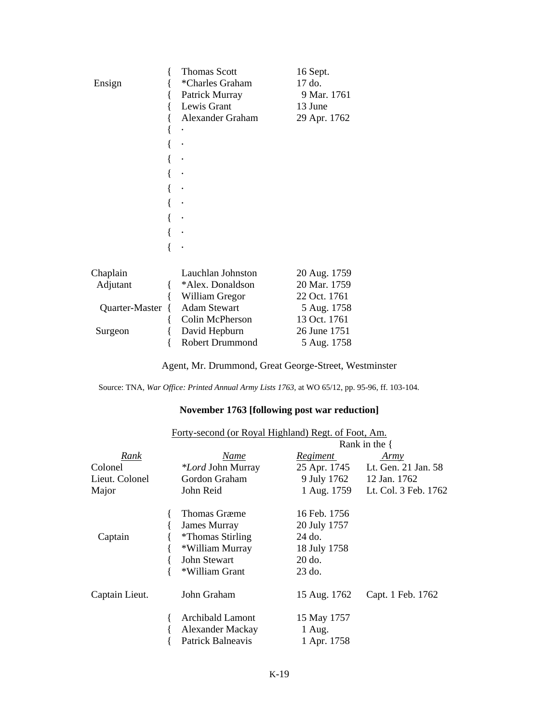|                | <b>Thomas Scott</b>    | 16 Sept.     |
|----------------|------------------------|--------------|
| Ensign         | *Charles Graham        | 17 do.       |
|                | Patrick Murray         | 9 Mar. 1761  |
|                | Lewis Grant            | 13 June      |
|                | Alexander Graham       | 29 Apr. 1762 |
|                |                        |              |
|                |                        |              |
|                |                        |              |
|                |                        |              |
|                |                        |              |
|                |                        |              |
|                |                        |              |
|                |                        |              |
|                |                        |              |
|                |                        |              |
| Chaplain       | Lauchlan Johnston      | 20 Aug. 1759 |
| Adjutant       | *Alex. Donaldson       | 20 Mar. 1759 |
|                | William Gregor         | 22 Oct. 1761 |
| Quarter-Master | <b>Adam Stewart</b>    | 5 Aug. 1758  |
|                | Colin McPherson        | 13 Oct. 1761 |
| Surgeon        | David Hepburn          | 26 June 1751 |
|                | <b>Robert Drummond</b> | 5 Aug. 1758  |

Agent, Mr. Drummond, Great George-Street, Westminster

Source: TNA, *War Office: Printed Annual Army Lists 1763,* at WO 65/12, pp. 95-96, ff. 103-104.

### **November 1763 [following post war reduction]**

|                | Forty-second (or Royal Highland) Regt. of Foot, Am. |                 |                                  |  |  |  |
|----------------|-----------------------------------------------------|-----------------|----------------------------------|--|--|--|
|                | Rank in the $\{$                                    |                 |                                  |  |  |  |
| <u>Rank</u>    | Name                                                | <u>Regiment</u> | Army                             |  |  |  |
| Colonel        | <i>*Lord</i> John Murray                            |                 | 25 Apr. 1745 Lt. Gen. 21 Jan. 58 |  |  |  |
| Lieut. Colonel | Gordon Graham                                       |                 | 9 July 1762 12 Jan. 1762         |  |  |  |
| Major          | John Reid                                           |                 | 1 Aug. 1759 Lt. Col. 3 Feb. 1762 |  |  |  |
|                | <b>Thomas Græme</b>                                 | 16 Feb. 1756    |                                  |  |  |  |
|                | James Murray                                        | 20 July 1757    |                                  |  |  |  |
| Captain        | <i>*</i> Thomas Stirling                            | 24 do.          |                                  |  |  |  |
|                | *William Murray                                     | 18 July 1758    |                                  |  |  |  |
|                | John Stewart                                        | $20$ do.        |                                  |  |  |  |
|                | *William Grant                                      | $23$ do.        |                                  |  |  |  |
| Captain Lieut. | John Graham                                         | 15 Aug. 1762    | Capt. 1 Feb. 1762                |  |  |  |
|                | <b>Archibald Lamont</b>                             | 15 May 1757     |                                  |  |  |  |
|                | Alexander Mackay                                    | 1 Aug.          |                                  |  |  |  |
|                | Patrick Balneavis                                   | 1 Apr. 1758     |                                  |  |  |  |
|                |                                                     |                 |                                  |  |  |  |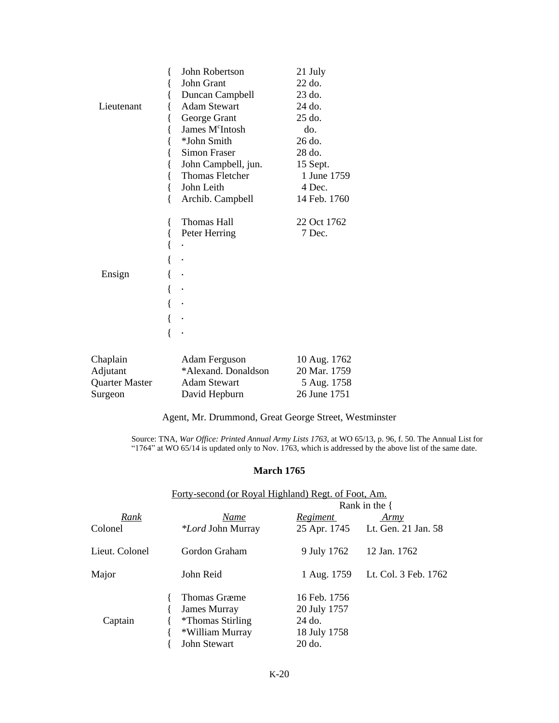|             | John Robertson              | 21 July                  |
|-------------|-----------------------------|--------------------------|
|             | John Grant                  | 22 do.                   |
|             | Duncan Campbell             | 23 do.                   |
| Lieutenant  | <b>Adam Stewart</b>         | 24 do.                   |
|             | George Grant                | 25 do.                   |
|             | James M <sup>c</sup> Intosh | do.                      |
|             | *John Smith                 | 26 do.                   |
|             | <b>Simon Fraser</b>         | 28 do.                   |
|             | John Campbell, jun.         | 15 Sept.                 |
|             | Thomas Fletcher             | 1 June 1759              |
|             | John Leith                  | 4 Dec.                   |
|             | Archib. Campbell            | 14 Feb. 1760             |
|             | Thomas Hall                 | 22 Oct 1762              |
|             | Peter Herring               | 7 Dec.                   |
|             |                             |                          |
|             |                             |                          |
| Ensign      |                             |                          |
|             |                             |                          |
|             |                             |                          |
|             |                             |                          |
|             |                             |                          |
| $Ch$ onlain | Adam Ferguson               | $10 \text{ A}$ ug $1762$ |

| 20 Mar. 1759 |
|--------------|
| 5 Aug. 1758  |
| 26 June 1751 |
|              |

Agent, Mr. Drummond, Great George Street, Westminster

Source: TNA, *War Office: Printed Annual Army Lists 1763*, at WO 65/13, p. 96, f. 50. The Annual List for "1764" at WO 65/14 is updated only to Nov. 1763, which is addressed by the above list of the same date.

#### **March 1765**

|                | Forty-second (or Royal Highland) Regt. of Foot, Am. |                 |                      |  |  |  |
|----------------|-----------------------------------------------------|-----------------|----------------------|--|--|--|
|                |                                                     |                 | Rank in the $\{$     |  |  |  |
| Rank           | Name                                                | <b>Regiment</b> | Army                 |  |  |  |
| Colonel        | <i>*Lord</i> John Murray                            | 25 Apr. 1745    | Lt. Gen. 21 Jan. 58  |  |  |  |
| Lieut. Colonel | Gordon Graham                                       | 9 July 1762     | 12 Jan. 1762         |  |  |  |
| Major          | John Reid                                           | 1 Aug. 1759     | Lt. Col. 3 Feb. 1762 |  |  |  |
|                | Thomas Græme                                        | 16 Feb. 1756    |                      |  |  |  |
| Captain        | James Murray                                        | 20 July 1757    |                      |  |  |  |
|                | <i>*</i> Thomas Stirling                            | 24 do.          |                      |  |  |  |
|                | *William Murray                                     | 18 July 1758    |                      |  |  |  |
|                | <b>John Stewart</b>                                 | 20 do.          |                      |  |  |  |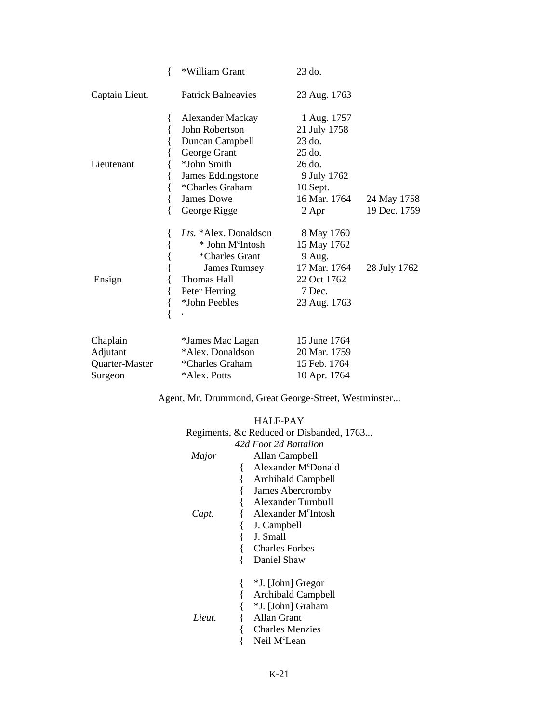|                | { | *William Grant                            | 23 do.                      |              |
|----------------|---|-------------------------------------------|-----------------------------|--------------|
| Captain Lieut. |   | <b>Patrick Balneavies</b>                 | 23 Aug. 1763                |              |
|                | ∤ | <b>Alexander Mackay</b><br>John Robertson | 1 Aug. 1757<br>21 July 1758 |              |
|                |   | Duncan Campbell                           | 23 do.                      |              |
|                |   | George Grant                              | 25 do.                      |              |
| Lieutenant     |   | *John Smith                               | 26 do.                      |              |
|                |   | James Eddingstone                         | 9 July 1762                 |              |
|                |   | *Charles Graham                           | 10 Sept.                    |              |
|                |   | James Dowe                                | 16 Mar. 1764                | 24 May 1758  |
|                |   | George Rigge                              | 2 Apr                       | 19 Dec. 1759 |
|                |   | Lts. *Alex. Donaldson                     | 8 May 1760                  |              |
|                |   | * John M <sup>c</sup> Intosh              | 15 May 1762                 |              |
|                |   | *Charles Grant                            | $9$ Aug.                    |              |
|                |   | James Rumsey                              | 17 Mar. 1764                | 28 July 1762 |
| Ensign         |   | <b>Thomas Hall</b>                        | 22 Oct 1762                 |              |
|                |   | Peter Herring                             | 7 Dec.                      |              |
|                |   | *John Peebles                             | 23 Aug. 1763                |              |
|                |   |                                           |                             |              |
| Chaplain       |   | *James Mac Lagan                          | 15 June 1764                |              |
| Adjutant       |   | *Alex. Donaldson                          | 20 Mar. 1759                |              |
| Quarter-Master |   | *Charles Graham                           | 15 Feb. 1764                |              |
| Surgeon        |   | *Alex. Potts                              | 10 Apr. 1764                |              |

Agent, Mr. Drummond, Great George-Street, Westminster...

### HALF-PAY

|        | Regiments, &c Reduced or Disbanded, 1763 |
|--------|------------------------------------------|
|        | 42d Foot 2d Battalion                    |
| Major  | Allan Campbell                           |
|        | Alexander M <sup>c</sup> Donald          |
|        | <b>Archibald Campbell</b>                |
|        | James Abercromby                         |
|        | Alexander Turnbull                       |
| Capt.  | Alexander M <sup>c</sup> Intosh          |
|        | J. Campbell                              |
|        | J. Small                                 |
|        | <b>Charles Forbes</b>                    |
|        | Daniel Shaw                              |
|        | *J. [John] Gregor                        |
|        | Archibald Campbell                       |
|        | *J. [John] Graham                        |
| Lieut. | Allan Grant                              |
|        | <b>Charles Menzies</b>                   |
|        | Neil M <sup>c</sup> Lean                 |
|        |                                          |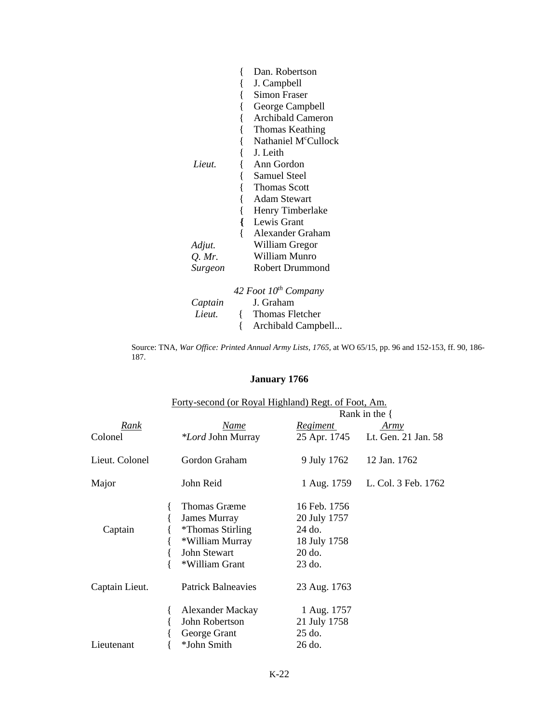|               | Dan. Robertson                                                                  |
|---------------|---------------------------------------------------------------------------------|
|               | J. Campbell                                                                     |
|               | Simon Fraser                                                                    |
|               | George Campbell                                                                 |
|               | <b>Archibald Cameron</b>                                                        |
|               | Thomas Keathing                                                                 |
|               | Nathaniel M <sup>c</sup> Cullock                                                |
|               | J. Leith                                                                        |
| Lieut.        | Ann Gordon                                                                      |
|               | Samuel Steel                                                                    |
|               | Thomas Scott                                                                    |
|               | Adam Stewart                                                                    |
|               | Henry Timberlake                                                                |
|               | Lewis Grant                                                                     |
|               | Alexander Graham                                                                |
| Adjut.        | William Gregor                                                                  |
| <i>O. Mr.</i> | William Munro                                                                   |
| Surgeon       | Robert Drummond                                                                 |
|               | $\overline{12}$ $\overline{12}$ $\overline{12}$ $\overline{12}$ $\overline{12}$ |

|         | 42 Foot $10^{th}$ Company        |
|---------|----------------------------------|
| Captain | J. Graham                        |
| Lieut.  | Thomas Fletcher<br>$\mathcal{L}$ |
|         | { Archibald Campbell             |

Source: TNA, *War Office: Printed Annual Army Lists, 1765*, at WO 65/15, pp. 96 and 152-153, ff. 90, 186- 187.

# **January 1766**

|                |                           | Forty-second (or Royal Highland) Regt. of Foot, Am. |                     |  |  |
|----------------|---------------------------|-----------------------------------------------------|---------------------|--|--|
|                |                           |                                                     | Rank in the {       |  |  |
| Rank           | Name                      | <u>Regiment</u>                                     | Army                |  |  |
| Colonel        | <i>*Lord</i> John Murray  | 25 Apr. 1745                                        | Lt. Gen. 21 Jan. 58 |  |  |
| Lieut. Colonel | Gordon Graham             | 9 July 1762                                         | 12 Jan. 1762        |  |  |
| Major          | John Reid                 | 1 Aug. 1759                                         | L. Col. 3 Feb. 1762 |  |  |
|                | Thomas Græme              | 16 Feb. 1756                                        |                     |  |  |
|                | <b>James Murray</b>       | 20 July 1757                                        |                     |  |  |
| Captain        | <i>*</i> Thomas Stirling  | 24 do.                                              |                     |  |  |
|                | *William Murray           | 18 July 1758                                        |                     |  |  |
|                | John Stewart              | $20$ do.                                            |                     |  |  |
|                | *William Grant            | 23 do.                                              |                     |  |  |
| Captain Lieut. | <b>Patrick Balneavies</b> | 23 Aug. 1763                                        |                     |  |  |
|                | <b>Alexander Mackay</b>   | 1 Aug. 1757                                         |                     |  |  |
|                | John Robertson            | 21 July 1758                                        |                     |  |  |
|                | George Grant              | $25$ do.                                            |                     |  |  |
| Lieutenant     | *John Smith               | 26 do.                                              |                     |  |  |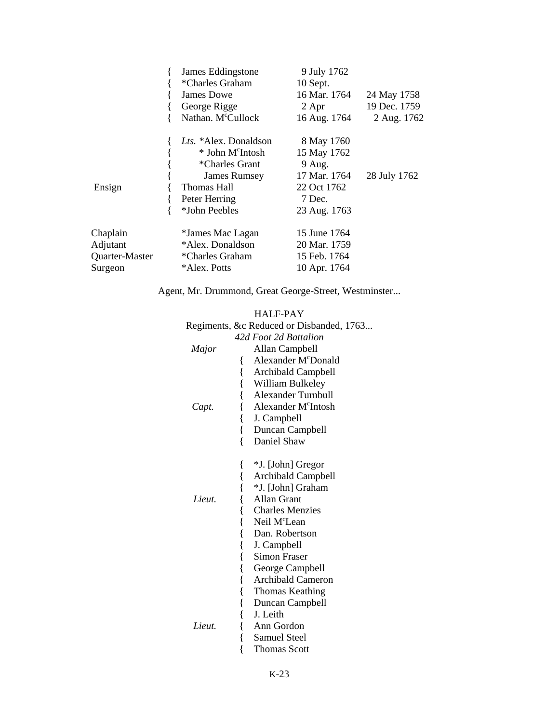|                | James Eddingstone              | 9 July 1762  |              |
|----------------|--------------------------------|--------------|--------------|
|                | *Charles Graham                | 10 Sept.     |              |
|                | James Dowe                     | 16 Mar. 1764 | 24 May 1758  |
|                | George Rigge                   | 2 Apr        | 19 Dec. 1759 |
|                | Nathan. M <sup>c</sup> Cullock | 16 Aug. 1764 | 2 Aug. 1762  |
|                | <i>Lts.</i> *Alex. Donaldson   | 8 May 1760   |              |
|                | * John M <sup>c</sup> Intosh   | 15 May 1762  |              |
|                | *Charles Grant                 | 9 Aug.       |              |
|                | James Rumsey                   | 17 Mar. 1764 | 28 July 1762 |
| Ensign         | Thomas Hall                    | 22 Oct 1762  |              |
|                | Peter Herring                  | 7 Dec.       |              |
|                | *John Peebles                  | 23 Aug. 1763 |              |
| Chaplain       | *James Mac Lagan               | 15 June 1764 |              |
| Adjutant       | *Alex. Donaldson               | 20 Mar. 1759 |              |
| Quarter-Master | *Charles Graham                | 15 Feb. 1764 |              |
| Surgeon        | *Alex. Potts                   | 10 Apr. 1764 |              |

Agent, Mr. Drummond, Great George-Street, Westminster...

|        | <b>HALF-PAY</b>                          |
|--------|------------------------------------------|
|        | Regiments, &c Reduced or Disbanded, 1763 |
|        | 42d Foot 2d Battalion                    |
| Major  | Allan Campbell                           |
|        | Alexander M <sup>c</sup> Donald<br>{     |
|        | $\{$<br><b>Archibald Campbell</b>        |
|        | $\{$<br>William Bulkeley                 |
|        | $\{$<br><b>Alexander Turnbull</b>        |
| Capt.  | Alexander M <sup>c</sup> Intosh<br>{     |
|        | $\{$<br>J. Campbell                      |
|        | {<br>Duncan Campbell                     |
|        | $\{$<br>Daniel Shaw                      |
|        |                                          |
|        | {<br>*J. [John] Gregor                   |
|        | {<br><b>Archibald Campbell</b>           |
|        | {<br>*J. [John] Graham                   |
| Lieut. | $\{$<br><b>Allan Grant</b>               |
|        | $\{$<br><b>Charles Menzies</b>           |
|        | $\{$<br>Neil M <sup>c</sup> Lean         |
|        | $\{$<br>Dan. Robertson                   |
|        | $\{$<br>J. Campbell                      |
|        | $\{$<br>Simon Fraser                     |
|        | $\{$<br>George Campbell                  |
|        | $\{$<br>Archibald Cameron                |
|        | $\{$<br>Thomas Keathing                  |
|        | $\{$<br>Duncan Campbell                  |
|        | $\{$<br>J. Leith                         |
| Lieut. | {<br>Ann Gordon                          |
|        | $\{$<br>Samuel Steel                     |
|        | $\{$<br><b>Thomas Scott</b>              |
|        |                                          |

K-23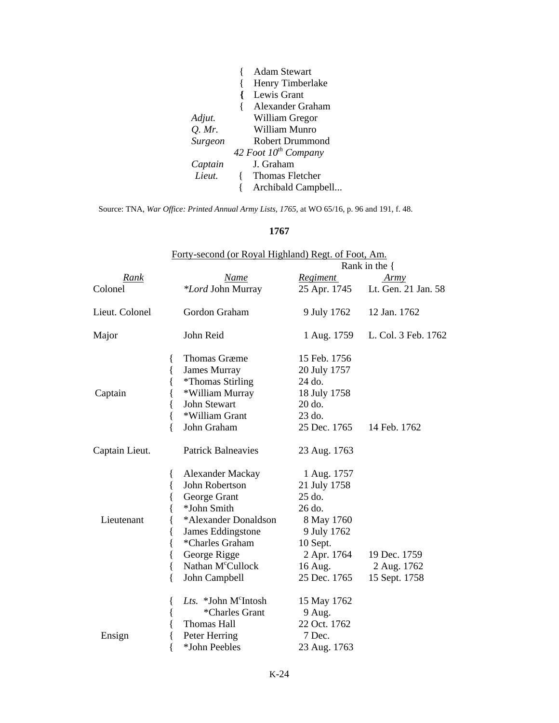|          | <b>Adam Stewart</b>       |
|----------|---------------------------|
|          | Henry Timberlake          |
|          | Lewis Grant               |
|          | Alexander Graham          |
| Adjut.   | William Gregor            |
| $Q.$ Mr. | William Munro             |
| Surgeon  | <b>Robert Drummond</b>    |
|          | 42 Foot $10^{th}$ Company |
| Captain  | J. Graham                 |
| Lieut.   | <b>Thomas Fletcher</b>    |
|          | Archibald Campbell        |

Source: TNA, *War Office: Printed Annual Army Lists, 1765*, at WO 65/16, p. 96 and 191, f. 48.

### **1767**

|                | Forty-second (or Royal Highland) Regt. of Foot, Am.                                                                                                                                                                               |                                                                                                                                    |                                              |  |
|----------------|-----------------------------------------------------------------------------------------------------------------------------------------------------------------------------------------------------------------------------------|------------------------------------------------------------------------------------------------------------------------------------|----------------------------------------------|--|
|                |                                                                                                                                                                                                                                   |                                                                                                                                    | Rank in the $\{$                             |  |
| Rank           | Name                                                                                                                                                                                                                              | <b>Regiment</b>                                                                                                                    | Army                                         |  |
| Colonel        | *Lord John Murray                                                                                                                                                                                                                 | 25 Apr. 1745                                                                                                                       | Lt. Gen. 21 Jan. 58                          |  |
| Lieut. Colonel | Gordon Graham                                                                                                                                                                                                                     | 9 July 1762                                                                                                                        | 12 Jan. 1762                                 |  |
| Major          | John Reid                                                                                                                                                                                                                         | 1 Aug. 1759                                                                                                                        | L. Col. 3 Feb. 1762                          |  |
| Captain        | <b>Thomas Græme</b><br>₹<br><b>James Murray</b><br>₹<br><i>*</i> Thomas Stirling<br>₹<br>*William Murray<br>{<br>John Stewart<br>{<br>*William Grant<br>$\{$<br>John Graham                                                       | 15 Feb. 1756<br>20 July 1757<br>24 do.<br>18 July 1758<br>20 do.<br>23 do.<br>25 Dec. 1765                                         | 14 Feb. 1762                                 |  |
| Captain Lieut. | <b>Patrick Balneavies</b>                                                                                                                                                                                                         | 23 Aug. 1763                                                                                                                       |                                              |  |
| Lieutenant     | <b>Alexander Mackay</b><br>{<br>John Robertson<br>George Grant<br>*John Smith<br>*Alexander Donaldson<br>James Eddingstone<br>*Charles Graham<br>ł<br>George Rigge<br>{<br>Nathan M <sup>c</sup> Cullock<br>$\{$<br>John Campbell | 1 Aug. 1757<br>21 July 1758<br>25 do.<br>26 do.<br>8 May 1760<br>9 July 1762<br>10 Sept.<br>2 Apr. 1764<br>16 Aug.<br>25 Dec. 1765 | 19 Dec. 1759<br>2 Aug. 1762<br>15 Sept. 1758 |  |
| Ensign         | Lts. $*John McIntosh$<br>ł<br>*Charles Grant<br>{<br>Thomas Hall<br>Peter Herring<br>*John Peebles                                                                                                                                | 15 May 1762<br>9 Aug.<br>22 Oct. 1762<br>7 Dec.<br>23 Aug. 1763                                                                    |                                              |  |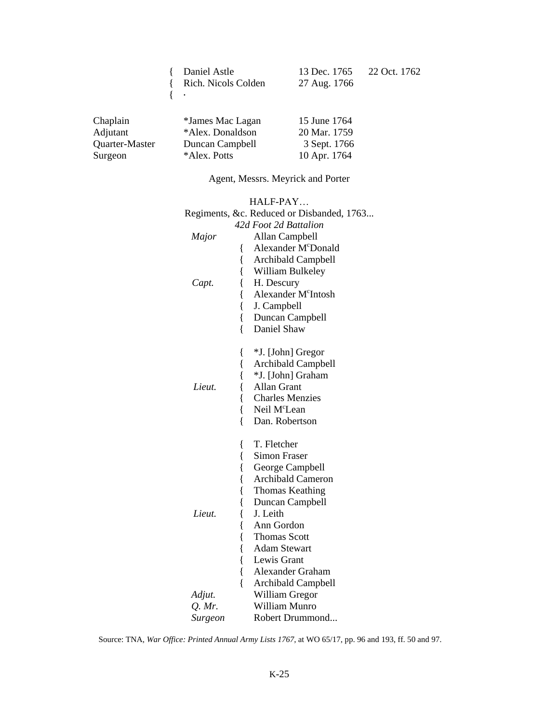| Daniel Astle        |
|---------------------|
| Rich. Nicols Colden |
|                     |

{ **.**

13 Dec. 1765 22 Oct. 1762 27 Aug. 1766

| Chaplain       | *James Mac Lagan | 15 June 1764 |
|----------------|------------------|--------------|
| Adjutant       | *Alex. Donaldson | 20 Mar. 1759 |
| Quarter-Master | Duncan Campbell  | 3 Sept. 1766 |
| Surgeon        | *Alex. Potts     | 10 Apr. 1764 |

Agent, Messrs. Meyrick and Porter

|          | HALF-PAY                                  |
|----------|-------------------------------------------|
|          | Regiments, &c. Reduced or Disbanded, 1763 |
|          | 42d Foot 2d Battalion                     |
| Major    | Allan Campbell                            |
|          | Alexander McDonald<br>{                   |
|          | {<br>Archibald Campbell                   |
|          | {<br>William Bulkeley                     |
| Capt.    | {<br>H. Descury                           |
|          | $\{$<br>Alexander M <sup>c</sup> Intosh   |
|          | $\{$<br>J. Campbell                       |
|          | $\{$<br>Duncan Campbell                   |
|          | $\{$<br>Daniel Shaw                       |
|          |                                           |
|          | *J. [John] Gregor<br>{                    |
|          | {<br>Archibald Campbell                   |
|          | $\{$<br>*J. [John] Graham                 |
| Lieut.   | {<br>Allan Grant                          |
|          | {<br><b>Charles Menzies</b>               |
|          | {<br>Neil M <sup>c</sup> Lean             |
|          | {<br>Dan. Robertson                       |
|          |                                           |
|          | T. Fletcher<br>{                          |
|          | {<br>Simon Fraser                         |
|          | {<br>George Campbell                      |
|          | $\{$<br><b>Archibald Cameron</b>          |
|          | $\{$<br><b>Thomas Keathing</b>            |
|          | {<br>Duncan Campbell                      |
| Lieut.   | $\{$<br>J. Leith                          |
|          | $\{$<br>Ann Gordon                        |
|          | $\{$<br><b>Thomas Scott</b>               |
|          | $\{$<br><b>Adam Stewart</b>               |
|          | $\{$<br>Lewis Grant                       |
|          | $\{$<br>Alexander Graham                  |
|          | $\{$<br>Archibald Campbell                |
| Adjut.   | William Gregor                            |
| $Q.$ Mr. | William Munro                             |
| Surgeon  | Robert Drummond                           |

Source: TNA, *War Office: Printed Annual Army Lists 1767*, at WO 65/17, pp. 96 and 193, ff. 50 and 97.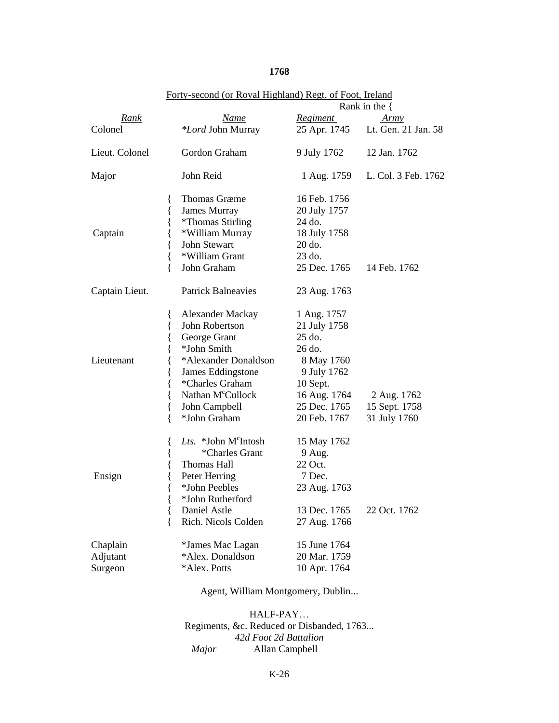### **1768**

|                                 | <u>Forty-second (of Royal Highland) Regt. Of Foot, fieland</u>                                                                                                                                                                                          |                                                                                                                                          | Rank in the $\{$                             |
|---------------------------------|---------------------------------------------------------------------------------------------------------------------------------------------------------------------------------------------------------------------------------------------------------|------------------------------------------------------------------------------------------------------------------------------------------|----------------------------------------------|
| Rank                            | <u>Name</u>                                                                                                                                                                                                                                             | <u>Regiment</u>                                                                                                                          | Army                                         |
| Colonel                         | *Lord John Murray                                                                                                                                                                                                                                       | 25 Apr. 1745                                                                                                                             | Lt. Gen. 21 Jan. 58                          |
| Lieut. Colonel                  | Gordon Graham                                                                                                                                                                                                                                           | 9 July 1762                                                                                                                              | 12 Jan. 1762                                 |
| Major                           | John Reid                                                                                                                                                                                                                                               | 1 Aug. 1759                                                                                                                              | L. Col. 3 Feb. 1762                          |
| Captain                         | <b>Thomas Græme</b><br>₹<br>James Murray<br>{<br>{<br><i>*Thomas Stirling</i><br>*William Murray<br>{<br>John Stewart<br>{<br>*William Grant<br>{<br>{<br>John Graham                                                                                   | 16 Feb. 1756<br>20 July 1757<br>24 do.<br>18 July 1758<br>20 do.<br>$23$ do.<br>25 Dec. 1765                                             | 14 Feb. 1762                                 |
| Captain Lieut.                  | <b>Patrick Balneavies</b>                                                                                                                                                                                                                               | 23 Aug. 1763                                                                                                                             |                                              |
| Lieutenant                      | <b>Alexander Mackay</b><br>₹<br>John Robertson<br>{<br>George Grant<br>{<br>*John Smith<br>{<br>*Alexander Donaldson<br>{<br>James Eddingstone<br>₹<br>*Charles Graham<br>Nathan M <sup>c</sup> Cullock<br>{<br>{<br>John Campbell<br>*John Graham<br>{ | 1 Aug. 1757<br>21 July 1758<br>25 do.<br>26 do.<br>8 May 1760<br>9 July 1762<br>10 Sept.<br>16 Aug. 1764<br>25 Dec. 1765<br>20 Feb. 1767 | 2 Aug. 1762<br>15 Sept. 1758<br>31 July 1760 |
| Ensign                          | Lts. *John M°Intosh<br>{<br>*Charles Grant<br>{<br>{<br>Thomas Hall<br>Peter Herring<br>{<br>*John Peebles<br>{<br>*John Rutherford<br>{<br>Daniel Astle<br>{<br>Rich. Nicols Colden<br>ſ                                                               | 15 May 1762<br>9 Aug.<br>22 Oct.<br>7 Dec.<br>23 Aug. 1763<br>13 Dec. 1765<br>27 Aug. 1766                                               | 22 Oct. 1762                                 |
| Chaplain<br>Adjutant<br>Surgeon | *James Mac Lagan<br>*Alex. Donaldson<br>*Alex. Potts                                                                                                                                                                                                    | 15 June 1764<br>20 Mar. 1759<br>10 Apr. 1764                                                                                             |                                              |

# Forty-second (or Royal Highland) Regt. of Foot, Ireland

Agent, William Montgomery, Dublin...

HALF-PAY… Regiments, &c. Reduced or Disbanded, 1763... *42d Foot 2d Battalion Major* Allan Campbell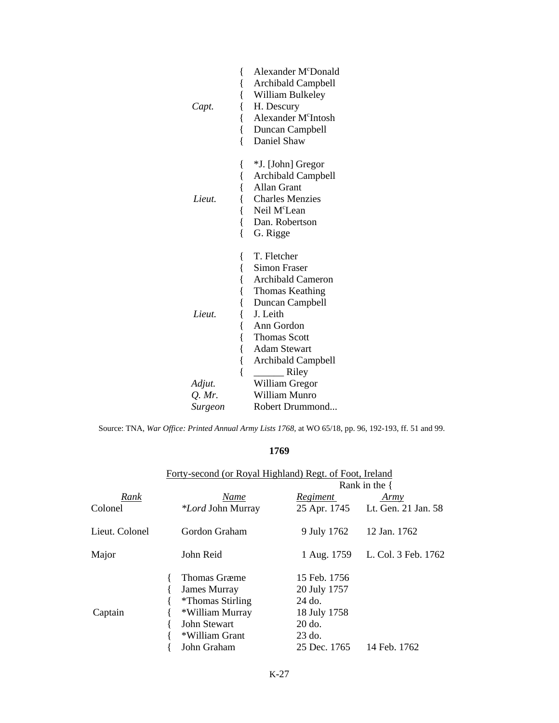| Capt.    | Alexander McDonald<br>{<br>{<br>Archibald Campbell<br>{<br>William Bulkeley<br>H. Descury<br>{<br>Alexander M <sup>c</sup> Intosh<br>{<br>{<br>Duncan Campbell<br>ſ<br>Daniel Shaw                                                                                                 |
|----------|------------------------------------------------------------------------------------------------------------------------------------------------------------------------------------------------------------------------------------------------------------------------------------|
| Lieut.   | *J. [John] Gregor<br>l<br>{<br>Archibald Campbell<br>$\{$<br><b>Allan Grant</b><br><b>Charles Menzies</b><br>{<br>{<br>Neil M <sup>c</sup> Lean<br>{<br>Dan. Robertson<br>$\{$<br>G. Rigge                                                                                         |
| Lieut.   | T. Fletcher<br>{<br>{<br><b>Simon Fraser</b><br>$\{$<br><b>Archibald Cameron</b><br>{<br>Thomas Keathing<br>$\{$<br>Duncan Campbell<br>{<br>J. Leith<br>{<br>Ann Gordon<br><b>Thomas Scott</b><br>{<br>$\{$<br><b>Adam Stewart</b><br>{<br><b>Archibald Campbell</b><br>{<br>Riley |
| Adjut.   | William Gregor                                                                                                                                                                                                                                                                     |
| $Q.$ Mr. | William Munro                                                                                                                                                                                                                                                                      |
| Surgeon  | Robert Drummond                                                                                                                                                                                                                                                                    |

Source: TNA, *War Office: Printed Annual Army Lists 1768,* at WO 65/18, pp. 96, 192-193, ff. 51 and 99.

# **1769**

|                | Forty-second (or Royal Highland) Regt. of Foot, Ireland |                  |                                  |  |
|----------------|---------------------------------------------------------|------------------|----------------------------------|--|
|                |                                                         | Rank in the $\{$ |                                  |  |
| Rank           | Name                                                    | <b>Regiment</b>  | Army                             |  |
| Colonel        | <i>*Lord</i> John Murray                                |                  | 25 Apr. 1745 Lt. Gen. 21 Jan. 58 |  |
| Lieut. Colonel | Gordon Graham                                           | 9 July 1762      | 12 Jan. 1762                     |  |
| Major          | John Reid                                               | 1 Aug. 1759      | L. Col. 3 Feb. 1762              |  |
|                | Thomas Græme                                            | 15 Feb. 1756     |                                  |  |
| Captain        | James Murray                                            | 20 July 1757     |                                  |  |
|                | <i>*</i> Thomas Stirling                                | 24 do.           |                                  |  |
|                | *William Murray                                         | 18 July 1758     |                                  |  |
|                | John Stewart                                            | $20$ do.         |                                  |  |
|                | *William Grant                                          | $23$ do.         |                                  |  |
|                | John Graham                                             | 25 Dec. 1765     | 14 Feb. 1762                     |  |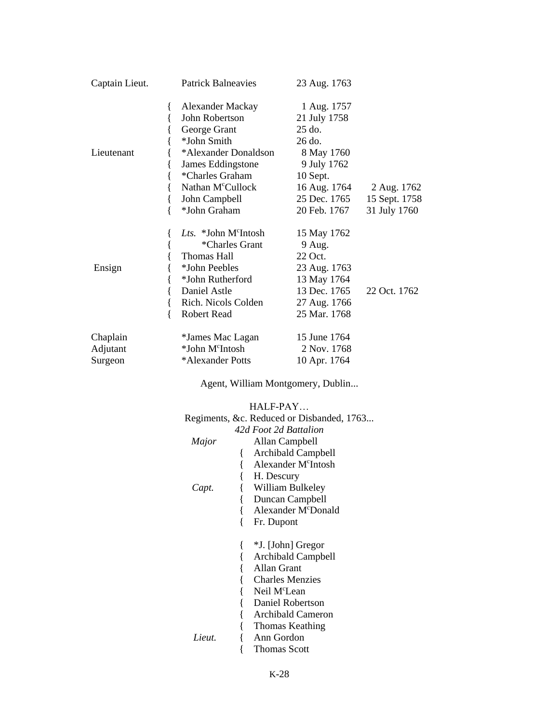| Captain Lieut.                  | <b>Patrick Balneavies</b>                                                                                                                                                                                | 23 Aug. 1763                                                                                                                                   |                                              |
|---------------------------------|----------------------------------------------------------------------------------------------------------------------------------------------------------------------------------------------------------|------------------------------------------------------------------------------------------------------------------------------------------------|----------------------------------------------|
| Lieutenant                      | Alexander Mackay<br>{<br>John Robertson<br>George Grant<br>*John Smith<br>*Alexander Donaldson<br>James Eddingstone<br>*Charles Graham<br>Nathan M <sup>c</sup> Cullock<br>John Campbell<br>*John Graham | 1 Aug. 1757<br>21 July 1758<br>$25$ do.<br>$26$ do.<br>8 May 1760<br>9 July 1762<br>$10$ Sept.<br>16 Aug. 1764<br>25 Dec. 1765<br>20 Feb. 1767 | 2 Aug. 1762<br>15 Sept. 1758<br>31 July 1760 |
| Ensign                          | Lts. *John M°Intosh<br>*Charles Grant<br>Thomas Hall<br>*John Peebles<br>*John Rutherford<br>Daniel Astle<br>Rich. Nicols Colden<br><b>Robert Read</b><br>∤                                              | 15 May 1762<br>9 Aug.<br>22 Oct.<br>23 Aug. 1763<br>13 May 1764<br>13 Dec. 1765<br>27 Aug. 1766<br>25 Mar. 1768                                | 22 Oct. 1762                                 |
| Chaplain<br>Adjutant<br>Surgeon | *James Mac Lagan<br>*John M <sup>c</sup> Intosh<br>*Alexander Potts                                                                                                                                      | 15 June 1764<br>2 Nov. 1768<br>10 Apr. 1764                                                                                                    |                                              |

Agent, William Montgomery, Dublin...

HALF-PAY…

|        | Regiments, &c. Reduced or Disbanded, 1763 |
|--------|-------------------------------------------|
|        | 42d Foot 2d Battalion                     |
| Major  | Allan Campbell                            |
|        | <b>Archibald Campbell</b>                 |
|        | Alexander M <sup>c</sup> Intosh           |
|        | H. Descury                                |
| Capt.  | William Bulkeley                          |
|        | Duncan Campbell                           |
|        | Alexander M <sup>c</sup> Donald           |
|        | Fr. Dupont                                |
|        |                                           |
|        | *J. [John] Gregor                         |
|        | <b>Archibald Campbell</b>                 |
|        | Allan Grant                               |
|        | <b>Charles Menzies</b>                    |
|        | Neil M <sup>c</sup> Lean                  |
|        | Daniel Robertson                          |
|        | Archibald Cameron                         |
|        | Thomas Keathing                           |
| Lieut. | Ann Gordon                                |
|        | Thomas Scott                              |
|        |                                           |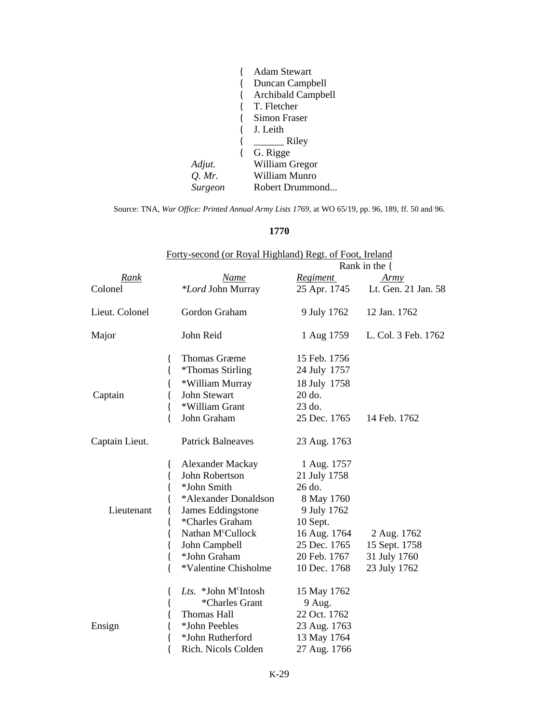|                | <b>Adam Stewart</b> |
|----------------|---------------------|
|                | Duncan Campbell     |
|                | Archibald Campbell  |
|                | T. Fletcher         |
|                | Simon Fraser        |
|                | J. Leith            |
|                | Riley               |
|                | G. Rigge            |
| Adjut.         | William Gregor      |
| $Q.$ Mr.       | William Munro       |
| <b>Surgeon</b> | Robert Drummond     |

Source: TNA, *War Office: Printed Annual Army Lists 1769*, at WO 65/19, pp. 96, 189, ff. 50 and 96.

### **1770**

|                | Forty-second (or Royal Highland) Regt. of Foot, Ireland                                                                                                                                                                                                    |                                                                                                                                                |                                                              |
|----------------|------------------------------------------------------------------------------------------------------------------------------------------------------------------------------------------------------------------------------------------------------------|------------------------------------------------------------------------------------------------------------------------------------------------|--------------------------------------------------------------|
|                |                                                                                                                                                                                                                                                            |                                                                                                                                                | Rank in the $\{$                                             |
| Rank           | Name                                                                                                                                                                                                                                                       | <b>Regiment</b>                                                                                                                                | Army                                                         |
| Colonel        | *Lord John Murray                                                                                                                                                                                                                                          | 25 Apr. 1745                                                                                                                                   | Lt. Gen. 21 Jan. 58                                          |
| Lieut. Colonel | Gordon Graham                                                                                                                                                                                                                                              | 9 July 1762                                                                                                                                    | 12 Jan. 1762                                                 |
| Major          | John Reid                                                                                                                                                                                                                                                  | 1 Aug 1759                                                                                                                                     | L. Col. 3 Feb. 1762                                          |
| Captain        | <b>Thomas Græme</b><br>₹<br>{<br><i>*</i> Thomas Stirling<br>*William Murray<br>{<br>John Stewart<br>{<br>{<br>*William Grant<br>∤<br>John Graham                                                                                                          | 15 Feb. 1756<br>24 July 1757<br>18 July 1758<br>20 do.<br>23 do.<br>25 Dec. 1765                                                               | 14 Feb. 1762                                                 |
| Captain Lieut. | <b>Patrick Balneaves</b>                                                                                                                                                                                                                                   | 23 Aug. 1763                                                                                                                                   |                                                              |
| Lieutenant     | <b>Alexander Mackay</b><br>{<br>John Robertson<br>{<br>*John Smith<br>{<br>*Alexander Donaldson<br>James Eddingstone<br>*Charles Graham<br>₹<br>Nathan M <sup>c</sup> Cullock<br>{<br>John Campbell<br>₹<br>*John Graham<br>{<br>*Valentine Chisholme<br>∤ | 1 Aug. 1757<br>21 July 1758<br>26 do.<br>8 May 1760<br>9 July 1762<br>10 Sept.<br>16 Aug. 1764<br>25 Dec. 1765<br>20 Feb. 1767<br>10 Dec. 1768 | 2 Aug. 1762<br>15 Sept. 1758<br>31 July 1760<br>23 July 1762 |
| Ensign         | Lts. *John M°Intosh<br>₹<br>*Charles Grant<br>l<br><b>Thomas Hall</b><br>*John Peebles<br>{<br>*John Rutherford<br>Rich. Nicols Colden                                                                                                                     | 15 May 1762<br>9 Aug.<br>22 Oct. 1762<br>23 Aug. 1763<br>13 May 1764<br>27 Aug. 1766                                                           |                                                              |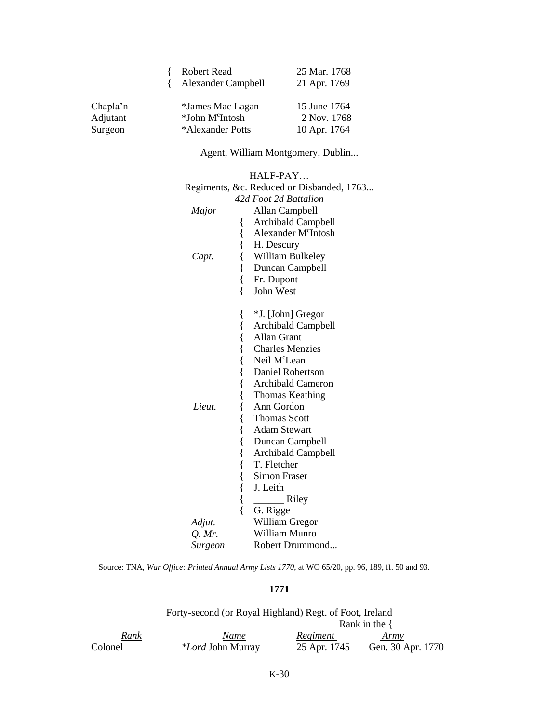|          | <b>Robert Read</b>          | 25 Mar. 1768 |
|----------|-----------------------------|--------------|
|          | Alexander Campbell          | 21 Apr. 1769 |
|          |                             |              |
| Chapla'n | *James Mac Lagan            | 15 June 1764 |
| Adjutant | *John M <sup>c</sup> Intosh | 2 Nov. 1768  |
| Surgeon  | *Alexander Potts            | 10 Apr. 1764 |

# Agent, William Montgomery, Dublin...

|          | HALF-PAY                                  |
|----------|-------------------------------------------|
|          | Regiments, &c. Reduced or Disbanded, 1763 |
|          | 42d Foot 2d Battalion                     |
| Major    | Allan Campbell                            |
|          | Archibald Campbell<br>{                   |
|          | $\{$<br>Alexander M <sup>c</sup> Intosh   |
|          | $\{$<br>H. Descury                        |
| Capt.    | $\{$<br>William Bulkeley                  |
|          | {<br>Duncan Campbell                      |
|          | $\{$<br>Fr. Dupont                        |
|          | {<br>John West                            |
|          | *J. [John] Gregor<br>l                    |
|          | {<br>Archibald Campbell                   |
|          | {<br><b>Allan Grant</b>                   |
|          | {<br><b>Charles Menzies</b>               |
|          | $\{$<br>Neil M <sup>c</sup> Lean          |
|          | $\{$<br>Daniel Robertson                  |
|          | {<br><b>Archibald Cameron</b>             |
|          | $\{$<br>Thomas Keathing                   |
| Lieut.   | {<br>Ann Gordon                           |
|          | {<br><b>Thomas Scott</b>                  |
|          | {<br><b>Adam Stewart</b>                  |
|          | {<br>Duncan Campbell                      |
|          | $\{$<br><b>Archibald Campbell</b>         |
|          | {<br>T. Fletcher                          |
|          | $\{$<br><b>Simon Fraser</b>               |
|          | $\{$<br>J. Leith                          |
|          | $\{$<br>Riley                             |
|          | $\{$<br>G. Rigge                          |
| Adjut.   | William Gregor                            |
| $Q.$ Mr. | William Munro                             |
| Surgeon  | Robert Drummond                           |

Source: TNA, *War Office: Printed Annual Army Lists 1770*, at WO 65/20, pp. 96, 189, ff. 50 and 93.

#### **1771**

|         | Forty-second (or Royal Highland) Regt. of Foot, Ireland |                  |                   |  |  |  |
|---------|---------------------------------------------------------|------------------|-------------------|--|--|--|
|         |                                                         | Rank in the $\{$ |                   |  |  |  |
| Rank    | Name                                                    | Regiment         | Army              |  |  |  |
| Colonel | <i>*Lord</i> John Murray                                | 25 Apr. 1745     | Gen. 30 Apr. 1770 |  |  |  |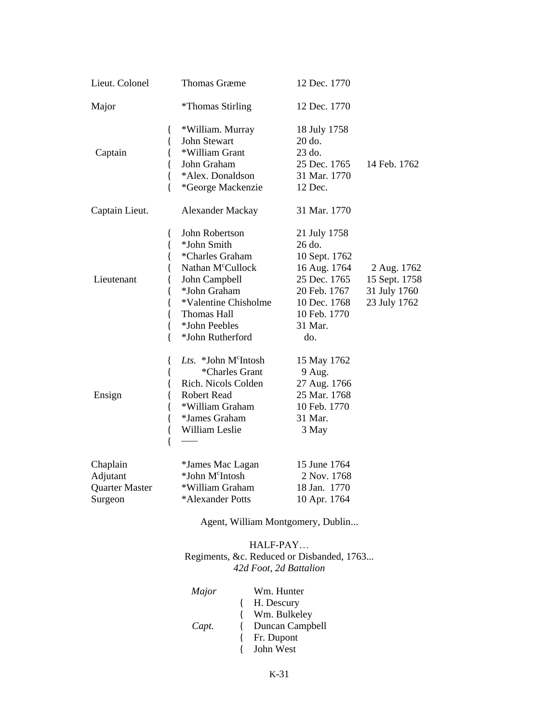| Lieut. Colonel                                    |                                                | <b>Thomas Græme</b>                                                                                                                                                                            | 12 Dec. 1770                                                                                                                              |                                                              |
|---------------------------------------------------|------------------------------------------------|------------------------------------------------------------------------------------------------------------------------------------------------------------------------------------------------|-------------------------------------------------------------------------------------------------------------------------------------------|--------------------------------------------------------------|
| Major                                             |                                                | <i><b>*Thomas Stirling</b></i>                                                                                                                                                                 | 12 Dec. 1770                                                                                                                              |                                                              |
| Captain                                           | {<br>{<br>{<br>{<br>{<br>{                     | *William. Murray<br>John Stewart<br>*William Grant<br>John Graham<br>*Alex. Donaldson<br>*George Mackenzie                                                                                     | 18 July 1758<br>20 do.<br>23 do.<br>25 Dec. 1765<br>31 Mar. 1770<br>12 Dec.                                                               | 14 Feb. 1762                                                 |
| Captain Lieut.                                    |                                                | Alexander Mackay                                                                                                                                                                               | 31 Mar. 1770                                                                                                                              |                                                              |
| Lieutenant                                        | {<br>{<br>{<br>{<br>{<br>{<br>{<br>{<br>{<br>∤ | John Robertson<br>*John Smith<br>*Charles Graham<br>Nathan M <sup>c</sup> Cullock<br>John Campbell<br>*John Graham<br>*Valentine Chisholme<br>Thomas Hall<br>*John Peebles<br>*John Rutherford | 21 July 1758<br>26 do.<br>10 Sept. 1762<br>16 Aug. 1764<br>25 Dec. 1765<br>20 Feb. 1767<br>10 Dec. 1768<br>10 Feb. 1770<br>31 Mar.<br>do. | 2 Aug. 1762<br>15 Sept. 1758<br>31 July 1760<br>23 July 1762 |
| Ensign                                            | {<br>{<br>{<br>{<br>{<br>{<br>{<br>∤           | Lts. *John M <sup>c</sup> Intosh<br>*Charles Grant<br>Rich. Nicols Colden<br><b>Robert Read</b><br>*William Graham<br>*James Graham<br>William Leslie                                          | 15 May 1762<br>9 Aug.<br>27 Aug. 1766<br>25 Mar. 1768<br>10 Feb. 1770<br>31 Mar.<br>3 May                                                 |                                                              |
| Chaplain<br>Adjutant<br>Quarter Master<br>Surgeon |                                                | *James Mac Lagan<br>*John M <sup>c</sup> Intosh<br>*William Graham<br>*Alexander Potts                                                                                                         | 15 June 1764<br>2 Nov. 1768<br>18 Jan. 1770<br>10 Apr. 1764                                                                               |                                                              |

Agent, William Montgomery, Dublin...

### HALF-PAY… Regiments, &c. Reduced or Disbanded, 1763... *42d Foot, 2d Battalion*

| Major | Wm. Hunter      |
|-------|-----------------|
|       | H. Descury      |
|       | { Wm. Bulkeley  |
| Capt. | Duncan Campbell |
|       | {Fr. Dupont     |
|       | { John West     |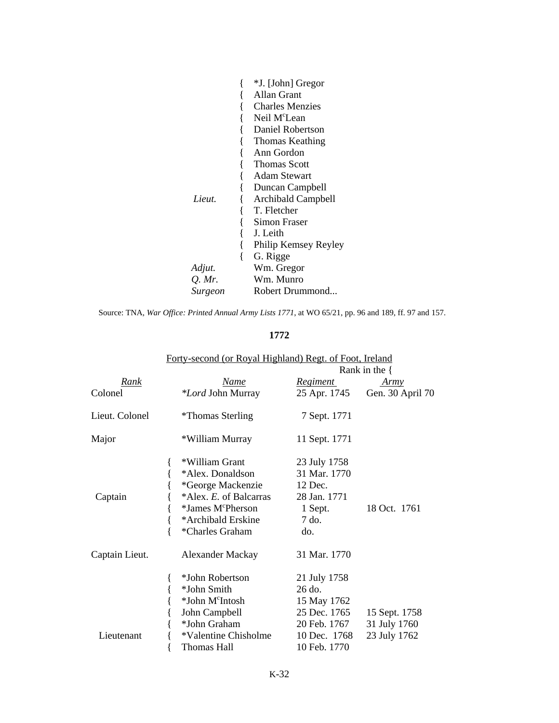|         | *J. [John] Gregor        |
|---------|--------------------------|
|         | Allan Grant              |
|         | <b>Charles Menzies</b>   |
|         | Neil M <sup>c</sup> Lean |
|         | Daniel Robertson         |
|         | Thomas Keathing          |
|         | Ann Gordon               |
|         | <b>Thomas Scott</b>      |
|         | Adam Stewart             |
|         | Duncan Campbell          |
| Lieut.  | Archibald Campbell       |
|         | T. Fletcher              |
|         | Simon Fraser             |
|         | J. Leith                 |
|         | Philip Kemsey Reyley     |
|         | G. Rigge                 |
| Adjut.  | Wm. Gregor               |
| Q. Mr.  | Wm. Munro                |
| Surgeon | Robert Drummond          |

Source: TNA, *War Office: Printed Annual Army Lists 1771*, at WO 65/21, pp. 96 and 189, ff. 97 and 157.

### **1772**

|                | Forty-second (or Royal Highland) Regt. of Foot, Ireland |               | Rank in the $\{$ |
|----------------|---------------------------------------------------------|---------------|------------------|
| Rank           | Name                                                    | Regiment      | Army             |
| Colonel        | <i>*Lord</i> John Murray                                | 25 Apr. 1745  | Gen. 30 April 70 |
| Lieut. Colonel | <i>*</i> Thomas Sterling                                | 7 Sept. 1771  |                  |
| Major          | *William Murray                                         | 11 Sept. 1771 |                  |
|                | *William Grant                                          | 23 July 1758  |                  |
|                | *Alex. Donaldson                                        | 31 Mar. 1770  |                  |
|                | *George Mackenzie                                       | 12 Dec.       |                  |
| Captain        | *Alex. E. of Balcarras                                  | 28 Jan. 1771  |                  |
|                | *James M <sup>c</sup> Pherson                           | 1 Sept.       | 18 Oct. 1761     |
|                | *Archibald Erskine                                      | 7 do.         |                  |
|                | *Charles Graham                                         | do.           |                  |
| Captain Lieut. | Alexander Mackay                                        | 31 Mar. 1770  |                  |
|                | *John Robertson                                         | 21 July 1758  |                  |
|                | *John Smith                                             | $26$ do.      |                  |
|                | *John M <sup>c</sup> Intosh                             | 15 May 1762   |                  |
|                | John Campbell                                           | 25 Dec. 1765  | 15 Sept. 1758    |
|                | *John Graham                                            | 20 Feb. 1767  | 31 July 1760     |
| Lieutenant     | *Valentine Chisholme                                    | 10 Dec. 1768  | 23 July 1762     |
|                | Thomas Hall                                             | 10 Feb. 1770  |                  |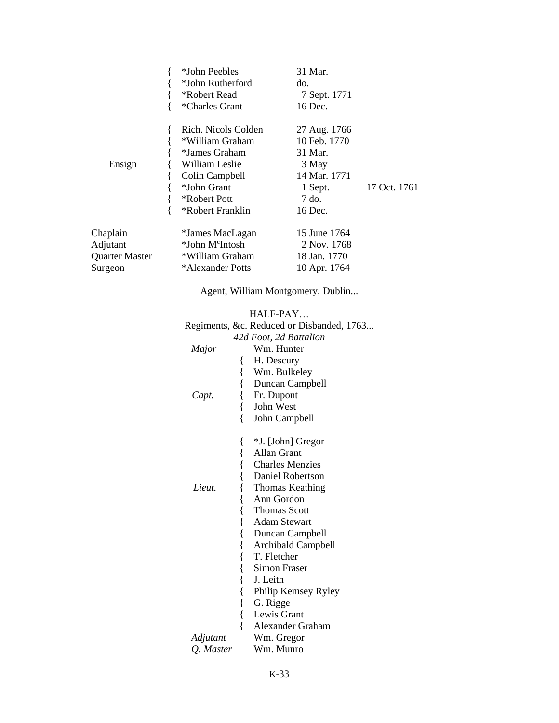|                                                   | *John Peebles<br>*John Rutherford<br>*Robert Read<br>*Charles Grant                                                                            | 31 Mar.<br>do.<br>7 Sept. 1771<br>16 Dec.                                                       |              |
|---------------------------------------------------|------------------------------------------------------------------------------------------------------------------------------------------------|-------------------------------------------------------------------------------------------------|--------------|
| Ensign                                            | Rich. Nicols Colden<br>*William Graham<br>*James Graham<br>William Leslie<br>Colin Campbell<br>*John Grant<br>*Robert Pott<br>*Robert Franklin | 27 Aug. 1766<br>10 Feb. 1770<br>31 Mar.<br>3 May<br>14 Mar. 1771<br>1 Sept.<br>7 do.<br>16 Dec. | 17 Oct. 1761 |
| Chaplain<br>Adjutant<br>Quarter Master<br>Surgeon | *James MacLagan<br>*John M <sup>c</sup> Intosh<br>*William Graham<br>*Alexander Potts                                                          | 15 June 1764<br>2 Nov. 1768<br>18 Jan. 1770<br>10 Apr. 1764                                     |              |

Agent, William Montgomery, Dublin...

|           |           | HALF-PAY                                  |
|-----------|-----------|-------------------------------------------|
|           |           | Regiments, &c. Reduced or Disbanded, 1763 |
|           |           | 42d Foot, 2d Battalion                    |
| Major     |           | Wm. Hunter                                |
|           | {         | H. Descury                                |
|           | {         | Wm. Bulkeley                              |
|           | $\{$      | Duncan Campbell                           |
| Capt.     | {         | Fr. Dupont                                |
|           | {         | John West                                 |
|           | {         | John Campbell                             |
|           |           | *J. [John] Gregor                         |
|           | {<br>{    | Allan Grant                               |
|           |           | <b>Charles Menzies</b>                    |
|           | {<br>$\{$ | Daniel Robertson                          |
| Lieut.    |           |                                           |
|           | $\{$      | Thomas Keathing<br>Ann Gordon             |
|           | $\{$      | <b>Thomas Scott</b>                       |
|           | $\{$      |                                           |
|           | {         | <b>Adam Stewart</b>                       |
|           | $\{$      | Duncan Campbell                           |
|           | {         | <b>Archibald Campbell</b>                 |
|           | $\{$      | T. Fletcher                               |
|           | {         | Simon Fraser                              |
|           | $\{$      | J. Leith                                  |
|           | {         | Philip Kemsey Ryley                       |
|           | $\{$      | G. Rigge                                  |
|           | $\{$      | Lewis Grant                               |
|           |           | Alexander Graham                          |
| Adjutant  |           | Wm. Gregor                                |
| Q. Master |           | Wm. Munro                                 |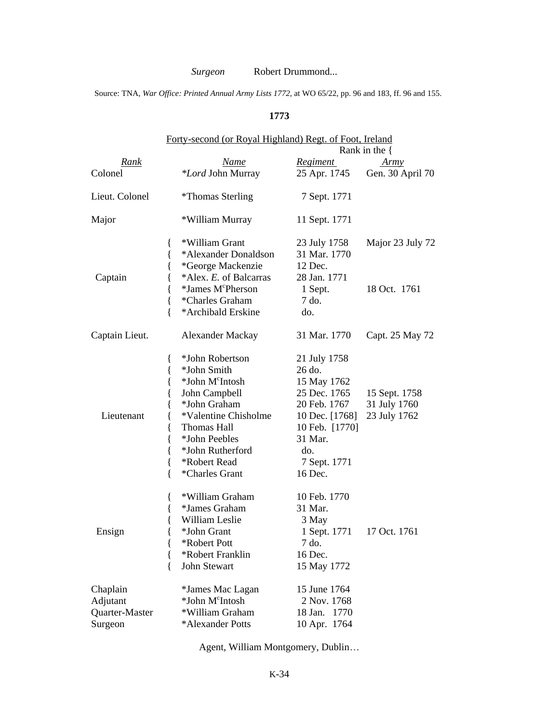### *Surgeon* Robert Drummond...

Source: TNA, *War Office: Printed Annual Army Lists 1772*, at WO 65/22, pp. 96 and 183, ff. 96 and 155.

#### **1773**

|                                                   | Forty-second (or Royal Highland) Regt. of Foot, Ireland                                                                                                                                                                                              |                                                                                                                                                        |                                               |  |
|---------------------------------------------------|------------------------------------------------------------------------------------------------------------------------------------------------------------------------------------------------------------------------------------------------------|--------------------------------------------------------------------------------------------------------------------------------------------------------|-----------------------------------------------|--|
|                                                   |                                                                                                                                                                                                                                                      |                                                                                                                                                        | Rank in the $\{$                              |  |
| Rank                                              | Name                                                                                                                                                                                                                                                 | Regiment                                                                                                                                               | <u>Army</u>                                   |  |
| Colonel                                           | *Lord John Murray                                                                                                                                                                                                                                    | 25 Apr. 1745                                                                                                                                           | Gen. 30 April 70                              |  |
| Lieut. Colonel                                    | <i>*</i> Thomas Sterling                                                                                                                                                                                                                             | 7 Sept. 1771                                                                                                                                           |                                               |  |
| Major                                             | *William Murray                                                                                                                                                                                                                                      | 11 Sept. 1771                                                                                                                                          |                                               |  |
| Captain                                           | *William Grant<br>$\{$<br>{<br>*Alexander Donaldson<br>*George Mackenzie<br>{<br>*Alex. E. of Balcarras<br>*James M <sup>c</sup> Pherson<br>{                                                                                                        | 23 July 1758<br>31 Mar. 1770<br>12 Dec.<br>28 Jan. 1771<br>1 Sept.                                                                                     | Major 23 July 72<br>18 Oct. 1761              |  |
|                                                   | *Charles Graham<br>{<br>∤<br>*Archibald Erskine                                                                                                                                                                                                      | 7 do.<br>do.                                                                                                                                           |                                               |  |
| Captain Lieut.                                    | <b>Alexander Mackay</b>                                                                                                                                                                                                                              | 31 Mar. 1770                                                                                                                                           | Capt. 25 May 72                               |  |
| Lieutenant                                        | *John Robertson<br>{<br>{<br>*John Smith<br>*John M <sup>c</sup> Intosh<br>{<br>John Campbell<br>*John Graham<br>*Valentine Chisholme<br>Thomas Hall<br>{<br>*John Peebles<br>{<br>*John Rutherford<br>{<br>*Robert Read<br>{<br>{<br>*Charles Grant | 21 July 1758<br>26 do.<br>15 May 1762<br>25 Dec. 1765<br>20 Feb. 1767<br>10 Dec. [1768]<br>10 Feb. [1770]<br>31 Mar.<br>do.<br>7 Sept. 1771<br>16 Dec. | 15 Sept. 1758<br>31 July 1760<br>23 July 1762 |  |
| Ensign                                            | *William Graham<br>{<br>*James Graham<br>{<br>William Leslie<br>*John Grant<br>*Robert Pott<br>ί<br>*Robert Franklin<br>{<br><b>John Stewart</b><br>{                                                                                                | 10 Feb. 1770<br>31 Mar.<br>3 May<br>1 Sept. 1771<br>7 do.<br>16 Dec.<br>15 May 1772                                                                    | 17 Oct. 1761                                  |  |
| Chaplain<br>Adjutant<br>Quarter-Master<br>Surgeon | *James Mac Lagan<br>*John M <sup>c</sup> Intosh<br>*William Graham<br>*Alexander Potts                                                                                                                                                               | 15 June 1764<br>2 Nov. 1768<br>1770<br>18 Jan.<br>10 Apr. 1764                                                                                         |                                               |  |

Agent, William Montgomery, Dublin…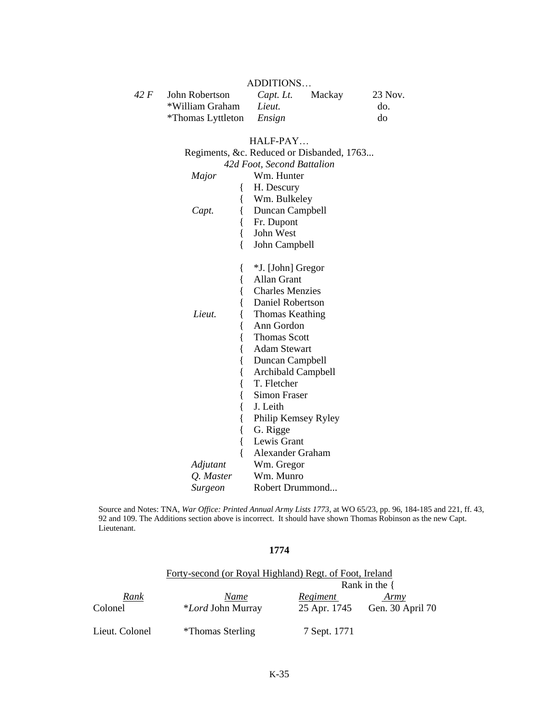|      |                                         | ADDITIONS |        |         |
|------|-----------------------------------------|-----------|--------|---------|
| 42 F | John Robertson                          | Capt. Lt. | Mackay | 23 Nov. |
|      | *William Graham                         | Lieut.    |        | do.     |
|      | <i>*</i> Thomas Lyttleton <i>Ensign</i> |           |        | do      |

ADDITIONS…

### HALF-PAY… Regiments, &c. Reduced or Disbanded, 1763... *42d Foot, Second Battalion Major* Wm. Hunter { H. Descury { Wm. Bulkeley *Capt.* { Duncan Campbell { Fr. Dupont { John West { John Campbell { \*J. [John] Gregor { Allan Grant { Charles Menzies Daniel Robertson *Lieut.* { Thomas Keathing { Ann Gordon { Thomas Scott { Adam Stewart { Duncan Campbell { Archibald Campbell { T. Fletcher { Simon Fraser { J. Leith Philip Kemsey Ryley { G. Rigge Lewis Grant { Alexander Graham *Adjutant* Wm. Gregor *Q. Master* Wm. Munro *Surgeon* Robert Drummond...

Source and Notes: TNA, *War Office: Printed Annual Army Lists 1773*, at WO 65/23, pp. 96, 184-185 and 221, ff. 43, 92 and 109. The Additions section above is incorrect. It should have shown Thomas Robinson as the new Capt. Lieutenant.

#### **1774**

|                 | Forty-second (or Royal Highland) Regt. of Foot, Ireland |                          |                          |
|-----------------|---------------------------------------------------------|--------------------------|--------------------------|
|                 |                                                         |                          | Rank in the $\{$         |
| Rank<br>Colonel | Name<br><i>*Lord</i> John Murray                        | Regiment<br>25 Apr. 1745 | Army<br>Gen. 30 April 70 |
| Lieut. Colonel  | *Thomas Sterling                                        | 7 Sept. 1771             |                          |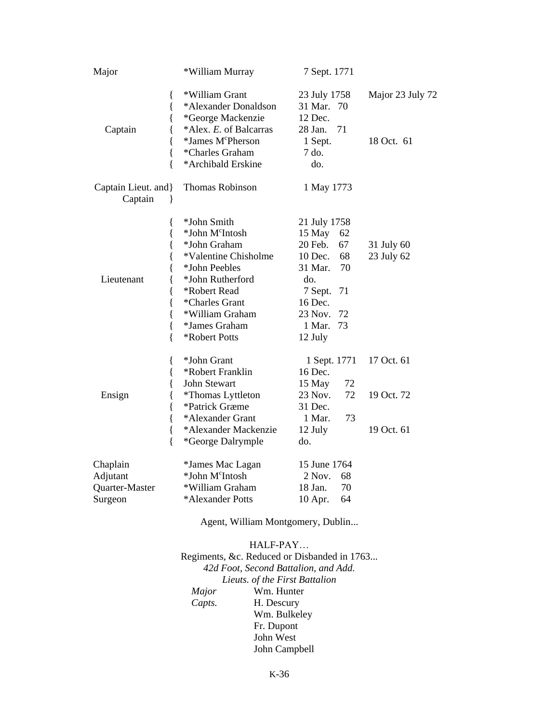| Major                                                   | *William Murray                                                                                                                                                                                                | 7 Sept. 1771                                                                                                                                                       |                                        |
|---------------------------------------------------------|----------------------------------------------------------------------------------------------------------------------------------------------------------------------------------------------------------------|--------------------------------------------------------------------------------------------------------------------------------------------------------------------|----------------------------------------|
| ∤<br>{<br>Captain<br>{<br>{<br>ſ                        | *William Grant<br>*Alexander Donaldson<br>*George Mackenzie<br>*Alex. E. of Balcarras<br>*James M <sup>c</sup> Pherson<br>*Charles Graham<br>*Archibald Erskine                                                | 23 July 1758<br>31 Mar.<br>70<br>12 Dec.<br>28 Jan.<br>71<br>1 Sept.<br>7 do.<br>do.                                                                               | Major 23 July 72<br>18 Oct. 61         |
| Captain Lieut. and }<br>Captain<br>ł                    | Thomas Robinson                                                                                                                                                                                                | 1 May 1773                                                                                                                                                         |                                        |
| {<br>{<br>{<br>{<br>Lieutenant<br>{<br>ł<br>ł<br>ł<br>∤ | *John Smith<br>*John M <sup>c</sup> Intosh<br>*John Graham<br>*Valentine Chisholme<br>*John Peebles<br>*John Rutherford<br>*Robert Read<br>*Charles Grant<br>*William Graham<br>*James Graham<br>*Robert Potts | 21 July 1758<br>$15$ May<br>62<br>20 Feb.<br>67<br>$10$ Dec.<br>68<br>70<br>31 Mar.<br>do.<br>71<br>7 Sept.<br>16 Dec.<br>72<br>23 Nov.<br>73<br>1 Mar.<br>12 July | 31 July 60<br>23 July 62               |
| ∤<br>{<br>Ensign<br>{<br>{<br>{                         | *John Grant<br>*Robert Franklin<br>John Stewart<br>*Thomas Lyttleton<br>*Patrick Græme<br>*Alexander Grant<br>*Alexander Mackenzie<br>*George Dalrymple                                                        | 1 Sept. 1771<br>16 Dec.<br>15 May<br>72<br>23 Nov.<br>72<br>31 Dec.<br>1 Mar.<br>73<br>12 July<br>do.                                                              | 17 Oct. 61<br>19 Oct. 72<br>19 Oct. 61 |
| Chaplain<br>Adjutant<br>Quarter-Master<br>Surgeon       | *James Mac Lagan<br>*John M <sup>c</sup> Intosh<br>*William Graham<br>*Alexander Potts                                                                                                                         | 15 June 1764<br>2 Nov.<br>68<br>18 Jan.<br>70<br>64<br>10 Apr.                                                                                                     |                                        |

Agent, William Montgomery, Dublin...

### HALF-PAY… Regiments, &c. Reduced or Disbanded in 1763... *42d Foot, Second Battalion, and Add. Lieuts. of the First Battalion Major* Wm. Hunter<br>*Capts*. H. Descury **H.** Descury Wm. Bulkeley Fr. Dupont John West John Campbell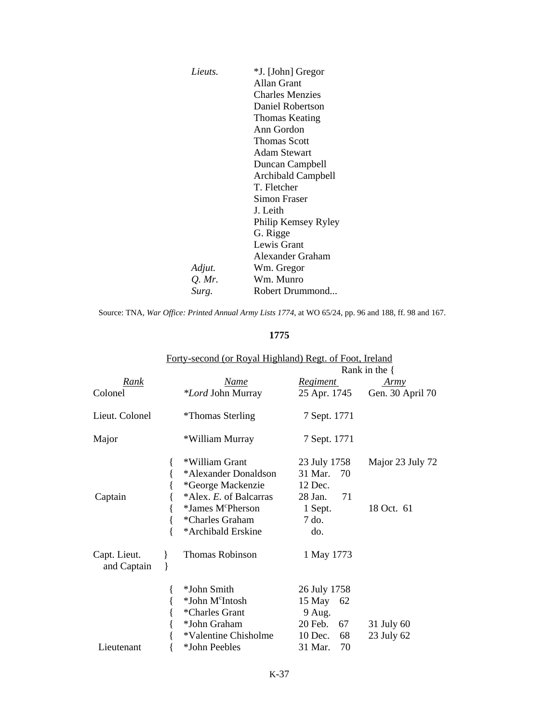| *J. [John] Gregor         |
|---------------------------|
| Allan Grant               |
| <b>Charles Menzies</b>    |
| Daniel Robertson          |
| Thomas Keating            |
| Ann Gordon                |
| Thomas Scott              |
| Adam Stewart              |
| Duncan Campbell           |
| <b>Archibald Campbell</b> |
| T. Fletcher               |
| Simon Fraser              |
| J. Leith                  |
| Philip Kemsey Ryley       |
| G. Rigge                  |
| Lewis Grant               |
| Alexander Graham          |
| Wm. Gregor                |
| Wm. Munro                 |
| Robert Drummond           |
|                           |

Source: TNA, *War Office: Printed Annual Army Lists 1774*, at WO 65/24, pp. 96 and 188, ff. 98 and 167.

### **1775**

|                | $\frac{1}{2}$                 |                 | Rank in the $\{$ |
|----------------|-------------------------------|-----------------|------------------|
| Rank           | Name                          | <i>Regiment</i> | Army             |
| Colonel        | <i>*Lord</i> John Murray      | 25 Apr. 1745    | Gen. 30 April 70 |
| Lieut. Colonel | <i>*</i> Thomas Sterling      | 7 Sept. 1771    |                  |
| Major          | *William Murray               | 7 Sept. 1771    |                  |
|                | *William Grant                | 23 July 1758    | Major 23 July 72 |
|                | *Alexander Donaldson          | 31 Mar.<br>70   |                  |
|                | *George Mackenzie             | 12 Dec.         |                  |
| Captain        | *Alex. E. of Balcarras        | 28 Jan.<br>71   |                  |
|                | *James M <sup>c</sup> Pherson | 1 Sept.         | 18 Oct. 61       |
|                | *Charles Graham               | 7 do.           |                  |
|                | *Archibald Erskine            | do.             |                  |
| Capt. Lieut.   | Thomas Robinson               | 1 May 1773      |                  |
| and Captain    |                               |                 |                  |
|                | *John Smith                   | 26 July 1758    |                  |
|                | *John M <sup>c</sup> Intosh   | 15 May 62       |                  |
|                | *Charles Grant                | 9 Aug.          |                  |
|                | *John Graham                  | 20 Feb.<br>67   | 31 July 60       |
|                | *Valentine Chisholme          | 10 Dec.<br>68   | 23 July 62       |
| Lieutenant     | *John Peebles                 | 31 Mar.<br>70   |                  |

#### Forty-second (or Royal Highland) Regt. of Foot, Ireland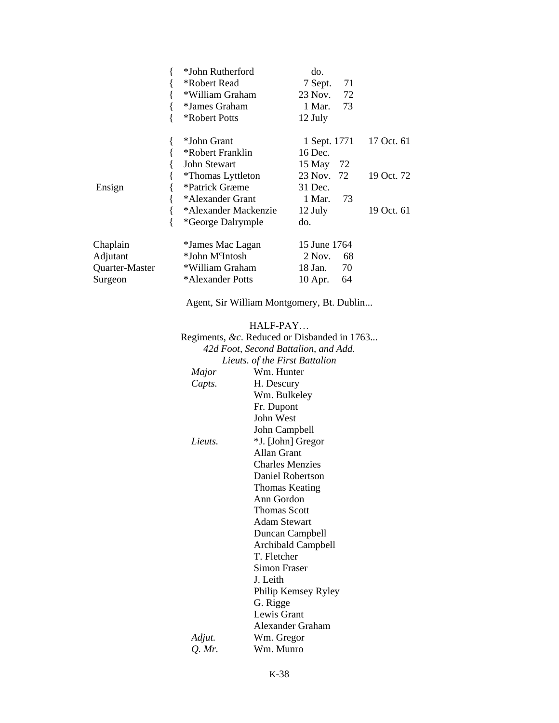|                                                   | {<br>*John Rutherford<br>*Robert Read<br>{<br>*William Graham<br>{<br>*James Graham<br>{<br>*Robert Potts<br>{                                                                                        | do.<br>7 Sept.<br>23 Nov.<br>1 Mar.<br>12 July                                                                                                                                | 71<br>72<br>73                                           |
|---------------------------------------------------|-------------------------------------------------------------------------------------------------------------------------------------------------------------------------------------------------------|-------------------------------------------------------------------------------------------------------------------------------------------------------------------------------|----------------------------------------------------------|
| Ensign                                            | *John Grant<br>{<br>*Robert Franklin<br>{<br>John Stewart<br>{<br><i>*</i> Thomas Lyttleton<br>*Patrick Græme<br>{<br>{<br>*Alexander Grant<br>{<br>*Alexander Mackenzie<br>$\{$<br>*George Dalrymple | 1 Sept. 1771<br>16 Dec.<br>15 May<br>23 Nov.<br>31 Dec.<br>1 Mar.<br>12 July<br>do.                                                                                           | 17 Oct. 61<br>72<br>72<br>19 Oct. 72<br>73<br>19 Oct. 61 |
| Chaplain<br>Adjutant<br>Quarter-Master<br>Surgeon | *James Mac Lagan<br>*John M <sup>c</sup> Intosh<br>*William Graham<br>*Alexander Potts                                                                                                                | 15 June 1764<br>2 Nov.<br>18 Jan.<br>10 Apr.<br>Agent, Sir William Montgomery, Bt. Dublin                                                                                     | 68<br>70<br>64                                           |
|                                                   | Major<br>Capts.                                                                                                                                                                                       | HALF-PAY<br>Regiments, &c. Reduced or Disbanded in 1763<br>42d Foot, Second Battalion, and Add.<br>Lieuts. of the First Battalion<br>Wm. Hunter<br>H. Descury<br>Wm. Bulkeley |                                                          |
|                                                   | Lieuts.                                                                                                                                                                                               | Fr. Dupont<br>John West<br>John Campbell<br>*J. [John] Gregor<br>Allan Grant<br><b>Charles Menzies</b><br>Daniel Robertson<br><b>Thomas Keating</b>                           |                                                          |
|                                                   |                                                                                                                                                                                                       | Ann Gordon<br><b>Thomas Scott</b><br><b>Adam Stewart</b><br>Duncan Campbell<br>Archibald Campbell<br>T. Fletcher<br>Simon Fraser<br>J. Leith                                  |                                                          |
|                                                   | Adjut.<br>$Q.$ Mr.                                                                                                                                                                                    | Philip Kemsey Ryley<br>G. Rigge<br>Lewis Grant<br>Alexander Graham<br>Wm. Gregor<br>Wm. Munro                                                                                 |                                                          |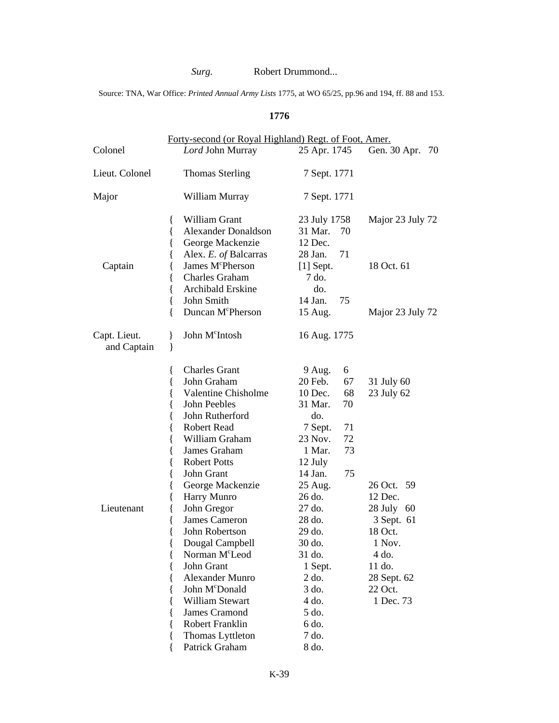# *Surg.* Robert Drummond...

Source: TNA, War Office: *Printed Annual Army Lists* 1775, at WO 65/25, pp.96 and 194, ff. 88 and 153.

## **1776**

| Lord John Murray                                                                                                                                                                                                                                                                                                                                                                                                                                                                                                                                              | 25 Apr. 1745                                                                                                                                                                                                                                                                                | Gen. 30 Apr.<br>70                                                                                                                                           |
|---------------------------------------------------------------------------------------------------------------------------------------------------------------------------------------------------------------------------------------------------------------------------------------------------------------------------------------------------------------------------------------------------------------------------------------------------------------------------------------------------------------------------------------------------------------|---------------------------------------------------------------------------------------------------------------------------------------------------------------------------------------------------------------------------------------------------------------------------------------------|--------------------------------------------------------------------------------------------------------------------------------------------------------------|
| <b>Thomas Sterling</b>                                                                                                                                                                                                                                                                                                                                                                                                                                                                                                                                        | 7 Sept. 1771                                                                                                                                                                                                                                                                                |                                                                                                                                                              |
| William Murray                                                                                                                                                                                                                                                                                                                                                                                                                                                                                                                                                | 7 Sept. 1771                                                                                                                                                                                                                                                                                |                                                                                                                                                              |
| William Grant<br>{<br><b>Alexander Donaldson</b><br>{<br>George Mackenzie<br>{<br>Alex. E. of Balcarras<br>ł<br>James M <sup>c</sup> Pherson<br>∤<br>Charles Graham<br>Archibald Erskine<br>John Smith<br>₹<br>Duncan M <sup>c</sup> Pherson<br>{                                                                                                                                                                                                                                                                                                             | 23 July 1758<br>31 Mar.<br>70<br>12 Dec.<br>71<br>28 Jan.<br>$[1]$ Sept.<br>7 do.<br>do.<br>14 Jan.<br>75<br>15 Aug.                                                                                                                                                                        | Major 23 July 72<br>18 Oct. 61<br>Major 23 July 72                                                                                                           |
| John M <sup>c</sup> Intosh<br>ł<br>ł                                                                                                                                                                                                                                                                                                                                                                                                                                                                                                                          | 16 Aug. 1775                                                                                                                                                                                                                                                                                |                                                                                                                                                              |
| <b>Charles Grant</b><br>₹<br>John Graham<br>{<br><b>Valentine Chisholme</b><br>John Peebles<br>ł<br>John Rutherford<br>ł<br>Robert Read<br>ł<br>William Graham<br>₹<br>James Graham<br>{<br><b>Robert Potts</b><br>{<br>John Grant<br>{<br>George Mackenzie<br>∤<br>Harry Munro<br>John Gregor<br><b>James Cameron</b><br>John Robertson<br>₹<br>{<br>Dougal Campbell<br>Norman M <sup>c</sup> Leod<br>{<br>John Grant<br>₹<br><b>Alexander Munro</b><br>John McDonald<br>William Stewart<br><b>James Cramond</b><br>Robert Franklin<br>Thomas Lyttleton<br>₹ | 9 Aug.<br>6<br>20 Feb.<br>67<br>68<br>10 Dec.<br>31 Mar.<br>70<br>do.<br>7 Sept.<br>71<br>72<br>23 Nov.<br>73<br>1 Mar.<br>12 July<br>14 Jan.<br>75<br>25 Aug.<br>26 do.<br>27 do.<br>28 do.<br>29 do.<br>30 do.<br>31 do.<br>1 Sept.<br>2 do.<br>3 do.<br>4 do.<br>5 do.<br>6 do.<br>7 do. | 31 July 60<br>23 July 62<br>26 Oct. 59<br>12 Dec.<br>28 July 60<br>3 Sept. 61<br>18 Oct.<br>1 Nov.<br>4 do.<br>11 do.<br>28 Sept. 62<br>22 Oct.<br>1 Dec. 73 |
|                                                                                                                                                                                                                                                                                                                                                                                                                                                                                                                                                               | Patrick Graham                                                                                                                                                                                                                                                                              | Forty-second (or Royal Highland) Regt. of Foot, Amer.<br>8 do.                                                                                               |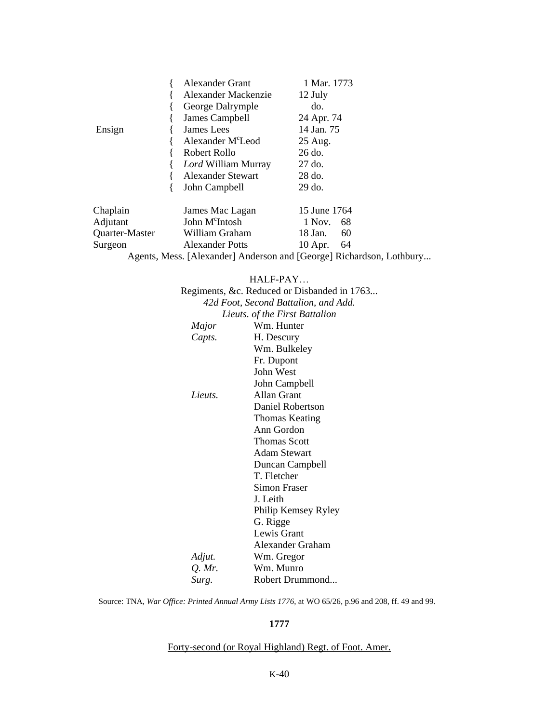|                | <b>Alexander Grant</b>                                               | 1 Mar. 1773  |    |  |
|----------------|----------------------------------------------------------------------|--------------|----|--|
|                | Alexander Mackenzie                                                  | 12 July      |    |  |
|                | George Dalrymple                                                     | do.          |    |  |
|                | James Campbell                                                       | 24 Apr. 74   |    |  |
| Ensign         | James Lees                                                           | 14 Jan. 75   |    |  |
|                | Alexander M <sup>c</sup> Leod                                        | 25 Aug.      |    |  |
|                | Robert Rollo                                                         | 26 do.       |    |  |
|                | Lord William Murray                                                  | 27 do.       |    |  |
|                | <b>Alexander Stewart</b>                                             | 28 do.       |    |  |
|                | John Campbell                                                        | 29 do.       |    |  |
| Chaplain       | James Mac Lagan                                                      | 15 June 1764 |    |  |
| Adjutant       | John M <sup>c</sup> Intosh                                           | 1 Nov.       | 68 |  |
| Quarter-Master | William Graham                                                       | 18 Jan.      | 60 |  |
| Surgeon        | <b>Alexander Potts</b>                                               | $10$ Apr.    | 64 |  |
|                | Agents, Mess. [Alexander] Anderson and [George] Richardson, Lothbury |              |    |  |

#### HALF-PAY…

|          | Regiments, &c. Reduced or Disbanded in 1763 |
|----------|---------------------------------------------|
|          | 42d Foot, Second Battalion, and Add.        |
|          | Lieuts. of the First Battalion              |
| Major    | Wm. Hunter                                  |
| Capts.   | H. Descury                                  |
|          | Wm. Bulkeley                                |
|          | Fr. Dupont                                  |
|          | John West                                   |
|          | John Campbell                               |
| Lieuts.  | Allan Grant                                 |
|          | Daniel Robertson                            |
|          | Thomas Keating                              |
|          | Ann Gordon                                  |
|          | <b>Thomas Scott</b>                         |
|          | <b>Adam Stewart</b>                         |
|          | Duncan Campbell                             |
|          | T. Fletcher                                 |
|          | Simon Fraser                                |
|          | J. Leith                                    |
|          | Philip Kemsey Ryley                         |
|          | G. Rigge                                    |
|          | Lewis Grant                                 |
|          | Alexander Graham                            |
| Adjut.   | Wm. Gregor                                  |
| $Q.$ Mr. | Wm. Munro                                   |
| Surg.    | Robert Drummond                             |

Source: TNA, *War Office: Printed Annual Army Lists 1776*, at WO 65/26, p.96 and 208, ff. 49 and 99.

### **1777**

#### Forty-second (or Royal Highland) Regt. of Foot. Amer.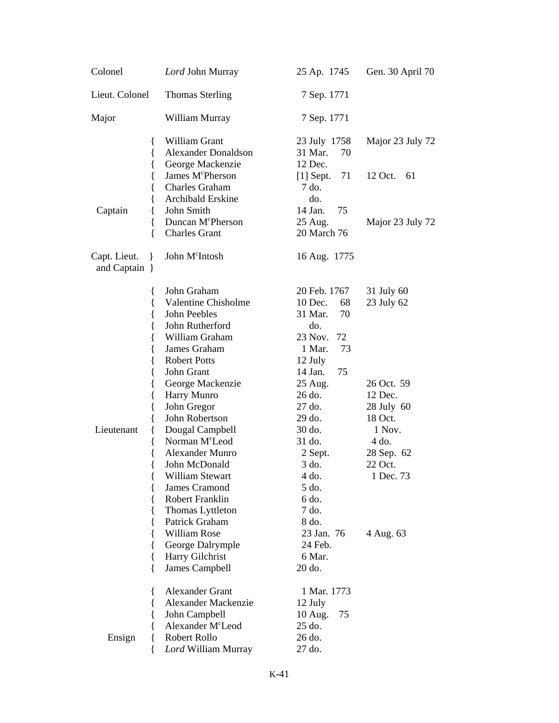| Colonel                                                           | Lord John Murray                                                                                                                                                                                                                                                                                            | 25 Ap. 1745                                                                                                                                                          | Gen. 30 April 70                                                                                                       |
|-------------------------------------------------------------------|-------------------------------------------------------------------------------------------------------------------------------------------------------------------------------------------------------------------------------------------------------------------------------------------------------------|----------------------------------------------------------------------------------------------------------------------------------------------------------------------|------------------------------------------------------------------------------------------------------------------------|
| Lieut. Colonel                                                    | <b>Thomas Sterling</b>                                                                                                                                                                                                                                                                                      | 7 Sep. 1771                                                                                                                                                          |                                                                                                                        |
| Major                                                             | William Murray                                                                                                                                                                                                                                                                                              | 7 Sep. 1771                                                                                                                                                          |                                                                                                                        |
| {<br>{<br>{                                                       | William Grant<br><b>Alexander Donaldson</b><br>George Mackenzie<br>James M <sup>c</sup> Pherson<br><b>Charles Graham</b>                                                                                                                                                                                    | 23 July 1758<br>31 Mar.<br>70<br>12 Dec.<br>71<br>$[1]$ Sept.<br>7 do.                                                                                               | Major 23 July 72<br>12 Oct.<br>61                                                                                      |
| Captain<br>{<br>{<br>ſ                                            | Archibald Erskine<br>John Smith<br>Duncan M <sup>c</sup> Pherson<br><b>Charles Grant</b>                                                                                                                                                                                                                    | do.<br>14 Jan.<br>75<br>25 Aug.<br>20 March 76                                                                                                                       | Major 23 July 72                                                                                                       |
| Capt. Lieut.<br>$\mathcal{L}$<br>and Captain }                    | John M <sup>c</sup> Intosh                                                                                                                                                                                                                                                                                  | 16 Aug. 1775                                                                                                                                                         |                                                                                                                        |
| ∤<br>{<br>{<br>{<br>{<br>{<br>{                                   | John Graham<br><b>Valentine Chisholme</b><br>John Peebles<br>John Rutherford<br>William Graham<br>James Graham<br><b>Robert Potts</b>                                                                                                                                                                       | 20 Feb. 1767<br>10 Dec.<br>68<br>70<br>31 Mar.<br>do.<br>23 Nov.<br>72<br>73<br>1 Mar.<br>12 July                                                                    | 31 July 60<br>23 July 62                                                                                               |
| {<br>{<br>{<br>{<br>Lieutenant<br>₹<br>{<br>{<br>{<br>ί<br>∤<br>{ | John Grant<br>George Mackenzie<br>Harry Munro<br>John Gregor<br>John Robertson<br>Dougal Campbell<br>Norman M <sup>c</sup> Leod<br><b>Alexander Munro</b><br>John McDonald<br>William Stewart<br>James Cramond<br>Robert Franklin<br>Thomas Lyttleton<br>Patrick Graham<br>William Rose<br>George Dalrymple | 14 Jan.<br>75<br>25 Aug.<br>26 do.<br>27 do.<br>29 do.<br>30 do.<br>31 do.<br>2 Sept.<br>3 do.<br>4 do.<br>5 do.<br>6 do.<br>7 do.<br>8 do.<br>23 Jan. 76<br>24 Feb. | 26 Oct. 59<br>12 Dec.<br>28 July 60<br>18 Oct.<br>1 Nov.<br>$4$ do.<br>28 Sep. 62<br>22 Oct.<br>1 Dec. 73<br>4 Aug. 63 |
| {<br>∤<br>Ensign<br>{<br>₹                                        | Harry Gilchrist<br>James Campbell<br><b>Alexander Grant</b><br>Alexander Mackenzie<br>John Campbell<br>Alexander M <sup>c</sup> Leod<br>Robert Rollo<br>Lord William Murray                                                                                                                                 | 6 Mar.<br>20 do.<br>1 Mar. 1773<br>12 July<br>10 Aug.<br>75<br>25 do.<br>26 do.<br>27 do.                                                                            |                                                                                                                        |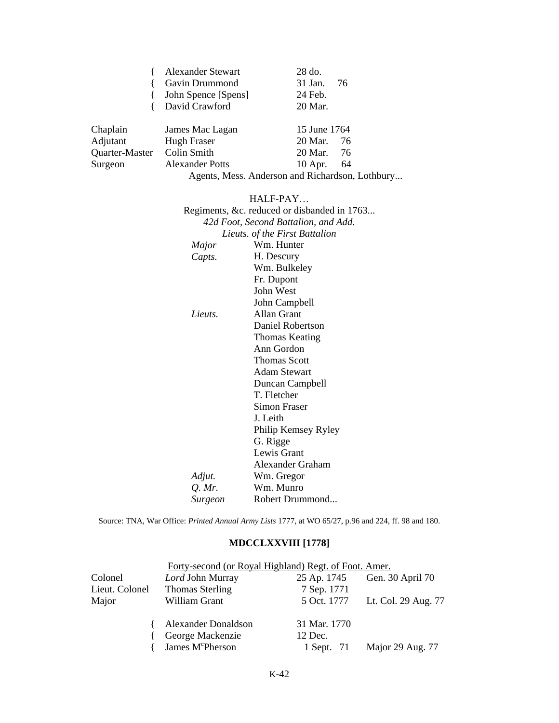|                | <b>Alexander Stewart</b>    | 28 do.            |
|----------------|-----------------------------|-------------------|
|                | Gavin Drummond              | 31 Jan.<br>-76    |
|                | John Spence [Spens]         | 24 Feb.           |
|                | David Crawford              | 20 Mar.           |
| Chaplain       | James Mac Lagan             | 15 June 1764      |
| Adjutant       | Hugh Fraser                 | 20 Mar.<br>76     |
| Quarter-Master | Colin Smith                 | 20 Mar.<br>76     |
| Surgeon        | <b>Alexander Potts</b>      | 10 Apr.<br>64     |
|                | $\sim$ $\sim$ $\sim$ $\sim$ | $\cdots$ $\cdots$ |

Agents, Mess. Anderson and Richardson, Lothbury...

HALF-PAY…

|          | Regiments, &c. reduced or disbanded in 1763 |
|----------|---------------------------------------------|
|          | 42d Foot, Second Battalion, and Add.        |
|          | Lieuts. of the First Battalion              |
| Major    | Wm. Hunter                                  |
| Capts.   | H. Descury                                  |
|          | Wm. Bulkeley                                |
|          | Fr. Dupont                                  |
|          | John West                                   |
|          | John Campbell                               |
| Lieuts.  | Allan Grant                                 |
|          | Daniel Robertson                            |
|          | Thomas Keating                              |
|          | Ann Gordon                                  |
|          | <b>Thomas Scott</b>                         |
|          | <b>Adam Stewart</b>                         |
|          | Duncan Campbell                             |
|          | T. Fletcher                                 |
|          | Simon Fraser                                |
|          | J. Leith                                    |
|          | Philip Kemsey Ryley                         |
|          | G. Rigge                                    |
|          | Lewis Grant                                 |
|          | Alexander Graham                            |
| Adjut.   | Wm. Gregor                                  |
| $Q.$ Mr. | Wm. Munro                                   |
| Surgeon  | Robert Drummond                             |

Source: TNA, War Office: *Printed Annual Army Lists* 1777, at WO 65/27, p.96 and 224, ff. 98 and 180.

# **MDCCLXXVIII [1778]**

| Lord John Murray             | 25 Ap. 1745  | Gen. 30 April 70                                      |
|------------------------------|--------------|-------------------------------------------------------|
| <b>Thomas Sterling</b>       | 7 Sep. 1771  |                                                       |
| William Grant                | 5 Oct. 1777  | Lt. Col. 29 Aug. 77                                   |
| <b>Alexander Donaldson</b>   | 31 Mar. 1770 |                                                       |
| George Mackenzie             | 12 Dec.      |                                                       |
| James M <sup>c</sup> Pherson | 1 Sept. 71   | Major 29 Aug. 77                                      |
|                              |              | Forty-second (or Royal Highland) Regt. of Foot. Amer. |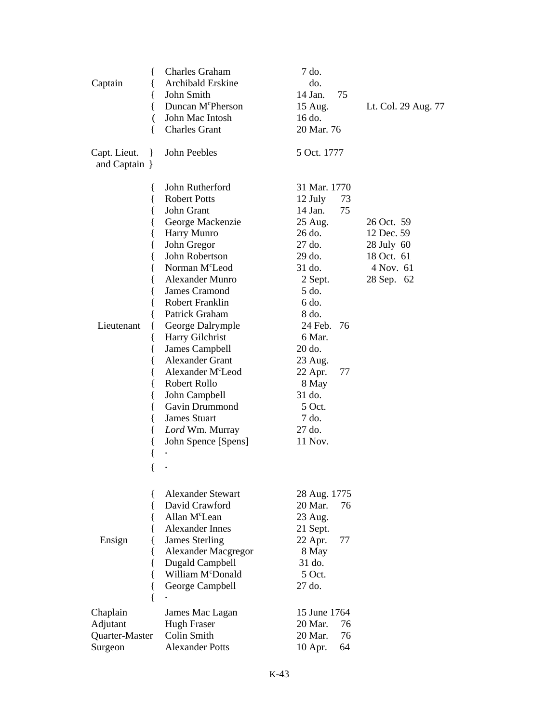| {<br>Captain<br>₹<br>₹<br>(<br>{                                               | <b>Charles Graham</b><br>Archibald Erskine<br>John Smith<br>Duncan M <sup>c</sup> Pherson<br>John Mac Intosh<br><b>Charles Grant</b>                                                                                                                                                                                                                                                                                                                             | 7 do.<br>do.<br>14 Jan.<br>75<br>15 Aug.<br>16 do.<br>20 Mar. 76                                                                                                                                                                                                      | Lt. Col. 29 Aug. 77                                                             |
|--------------------------------------------------------------------------------|------------------------------------------------------------------------------------------------------------------------------------------------------------------------------------------------------------------------------------------------------------------------------------------------------------------------------------------------------------------------------------------------------------------------------------------------------------------|-----------------------------------------------------------------------------------------------------------------------------------------------------------------------------------------------------------------------------------------------------------------------|---------------------------------------------------------------------------------|
| Capt. Lieut.<br>$\mathcal{F}$<br>and Captain }                                 | John Peebles                                                                                                                                                                                                                                                                                                                                                                                                                                                     | 5 Oct. 1777                                                                                                                                                                                                                                                           |                                                                                 |
| ł<br>₹<br>{<br>{<br>{<br>{<br>{<br>Lieutenant<br>{<br>{<br>{<br>₹<br>$\{$<br>{ | John Rutherford<br><b>Robert Potts</b><br>John Grant<br>George Mackenzie<br>Harry Munro<br>John Gregor<br>John Robertson<br>Norman M <sup>c</sup> Leod<br>Alexander Munro<br>James Cramond<br>Robert Franklin<br>Patrick Graham<br>George Dalrymple<br>Harry Gilchrist<br>James Campbell<br>Alexander Grant<br>Alexander M <sup>c</sup> Leod<br>Robert Rollo<br>John Campbell<br>Gavin Drummond<br><b>James Stuart</b><br>Lord Wm. Murray<br>John Spence [Spens] | 31 Mar. 1770<br>73<br>12 July<br>75<br>14 Jan.<br>25 Aug.<br>26 do.<br>$27$ do.<br>29 do.<br>31 do.<br>2 Sept.<br>5 do.<br>6 do.<br>8 do.<br>24 Feb.<br>76<br>6 Mar.<br>20 do.<br>23 Aug.<br>22 Apr.<br>77<br>8 May<br>31 do.<br>5 Oct.<br>7 do.<br>27 do.<br>11 Nov. | 26 Oct. 59<br>12 Dec. 59<br>28 July 60<br>18 Oct. 61<br>4 Nov. 61<br>28 Sep. 62 |
| Ensign<br>{<br>{<br>{<br>{<br>∤<br>Chaplain                                    | <b>Alexander Stewart</b><br>David Crawford<br>Allan M <sup>c</sup> Lean<br>Alexander Innes<br><b>James Sterling</b><br><b>Alexander Macgregor</b><br>Dugald Campbell<br>William M <sup>c</sup> Donald<br>George Campbell<br>James Mac Lagan                                                                                                                                                                                                                      | 28 Aug. 1775<br>20 Mar.<br>76<br>23 Aug.<br>21 Sept.<br>22 Apr.<br>77<br>8 May<br>31 do.<br>5 Oct.<br>27 do.<br>15 June 1764                                                                                                                                          |                                                                                 |
| Adjutant                                                                       | <b>Hugh Fraser</b>                                                                                                                                                                                                                                                                                                                                                                                                                                               | 20 Mar.<br>76                                                                                                                                                                                                                                                         |                                                                                 |
| Quarter-Master                                                                 | Colin Smith                                                                                                                                                                                                                                                                                                                                                                                                                                                      | 76<br>20 Mar.                                                                                                                                                                                                                                                         |                                                                                 |
| Surgeon                                                                        | <b>Alexander Potts</b>                                                                                                                                                                                                                                                                                                                                                                                                                                           | 64<br>10 Apr.                                                                                                                                                                                                                                                         |                                                                                 |
|                                                                                |                                                                                                                                                                                                                                                                                                                                                                                                                                                                  |                                                                                                                                                                                                                                                                       |                                                                                 |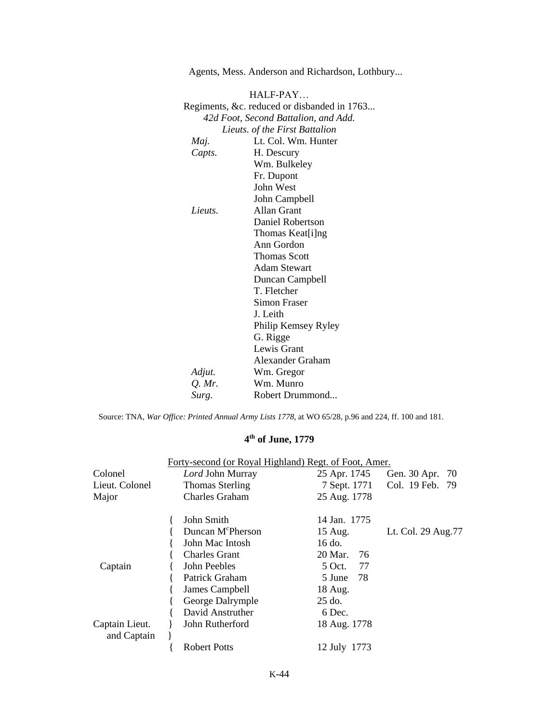HALF-PAY… Regiments, &c. reduced or disbanded in 1763... *42d Foot, Second Battalion, and Add. Lieuts. of the First Battalion Maj.* Lt. Col. Wm. Hunter *Capts.* H. Descury Wm. Bulkeley Fr. Dupont John West John Campbell *Lieuts.* Allan Grant Daniel Robertson Thomas Keat[i]ng Ann Gordon Thomas Scott Adam Stewart Duncan Campbell T. Fletcher Simon Fraser J. Leith Philip Kemsey Ryley G. Rigge Lewis Grant Alexander Graham *Adjut.* Wm. Gregor *Q. Mr.* Wm. Munro *Surg.* Robert Drummond...

Source: TNA, *War Office: Printed Annual Army Lists 1778*, at WO 65/28, p.96 and 224, ff. 100 and 181.

#### **4 th of June, 1779**

|                               | Forty-second (or Royal Highland) Regt. of Foot, Amer. |               |                      |
|-------------------------------|-------------------------------------------------------|---------------|----------------------|
| Colonel                       | Lord John Murray                                      | 25 Apr. 1745  | Gen. 30 Apr.<br>- 70 |
| Lieut. Colonel                | <b>Thomas Sterling</b>                                | 7 Sept. 1771  | Col. 19 Feb. 79      |
| Major                         | <b>Charles Graham</b>                                 | 25 Aug. 1778  |                      |
|                               | John Smith                                            | 14 Jan. 1775  |                      |
|                               | Duncan M <sup>c</sup> Pherson                         | 15 Aug.       | Lt. Col. 29 Aug.77   |
|                               | John Mac Intosh                                       | 16 do.        |                      |
|                               | <b>Charles Grant</b>                                  | 20 Mar.<br>76 |                      |
| Captain                       | John Peebles                                          | 5 Oct. 77     |                      |
|                               | Patrick Graham                                        | 5 June 78     |                      |
|                               | James Campbell                                        | 18 Aug.       |                      |
|                               | George Dalrymple                                      | $25$ do.      |                      |
|                               | David Anstruther                                      | 6 Dec.        |                      |
| Captain Lieut.<br>and Captain | John Rutherford                                       | 18 Aug. 1778  |                      |
|                               | <b>Robert Potts</b>                                   | 12 July 1773  |                      |

Agents, Mess. Anderson and Richardson, Lothbury...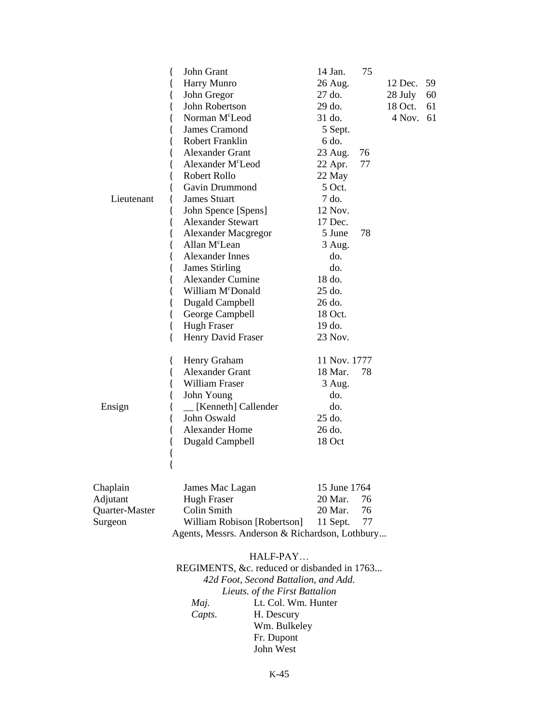|                | John Grant<br>{                                 | 14 Jan.      | 75      |         |    |  |
|----------------|-------------------------------------------------|--------------|---------|---------|----|--|
|                | Harry Munro<br>{                                | 26 Aug.      |         | 12 Dec. | 59 |  |
|                | John Gregor<br>{                                | 27 do.       |         | 28 July | 60 |  |
|                | John Robertson<br>{                             | 29 do.       |         | 18 Oct. | 61 |  |
|                | Norman M <sup>c</sup> Leod<br>∤                 | 31 do.       |         | 4 Nov.  | 61 |  |
|                | James Cramond                                   | 5 Sept.      |         |         |    |  |
|                | <b>Robert Franklin</b><br>{                     | 6 do.        |         |         |    |  |
|                | <b>Alexander Grant</b><br>{                     | 23 Aug.      | 76      |         |    |  |
|                | Alexander M <sup>c</sup> Leod<br>{              | 22 Apr.      | 77      |         |    |  |
|                | Robert Rollo                                    | 22 May       |         |         |    |  |
|                | Gavin Drummond                                  | 5 Oct.       |         |         |    |  |
| Lieutenant     | <b>James Stuart</b>                             | 7 do.        |         |         |    |  |
|                | John Spence [Spens]<br>{                        | 12 Nov.      |         |         |    |  |
|                | <b>Alexander Stewart</b><br>{                   | 17 Dec.      |         |         |    |  |
|                | <b>Alexander Macgregor</b><br>{                 | 5 June       | 78      |         |    |  |
|                | Allan M <sup>c</sup> Lean<br>₹                  | 3 Aug.       |         |         |    |  |
|                | Alexander Innes                                 | do.          |         |         |    |  |
|                | <b>James Stirling</b>                           | do.          |         |         |    |  |
|                | <b>Alexander Cumine</b><br>{                    | 18 do.       |         |         |    |  |
|                | William McDonald<br>{                           | 25 do.       |         |         |    |  |
|                | Dugald Campbell<br>{                            | 26 do.       |         |         |    |  |
|                | George Campbell<br>{                            | 18 Oct.      |         |         |    |  |
|                | {<br><b>Hugh Fraser</b>                         | 19 do.       |         |         |    |  |
|                | Henry David Fraser<br>ſ                         | 23 Nov.      |         |         |    |  |
|                | Henry Graham<br>$\{$                            | 11 Nov. 1777 |         |         |    |  |
|                | <b>Alexander Grant</b><br>{                     | 18 Mar.      | 78      |         |    |  |
|                | <b>William Fraser</b><br>{                      | 3 Aug.       |         |         |    |  |
|                | John Young<br>∤                                 | do.          |         |         |    |  |
| Ensign         | [Kenneth] Callender<br>{                        | do.          |         |         |    |  |
|                | John Oswald<br>{                                | 25 do.       |         |         |    |  |
|                | <b>Alexander Home</b><br>{                      | 26 do.       |         |         |    |  |
|                | <b>Dugald Campbell</b><br>{                     | 18 Oct       |         |         |    |  |
|                | {                                               |              |         |         |    |  |
|                | $\{$                                            |              |         |         |    |  |
| Chaplain       | James Mac Lagan                                 | 15 June 1764 |         |         |    |  |
| Adjutant       | <b>Hugh Fraser</b>                              | 20 Mar.      | 76      |         |    |  |
| Quarter-Master | Colin Smith                                     | 20 Mar.      | 76      |         |    |  |
| Surgeon        | William Robison [Robertson]                     | 11 Sept.     | $77 \,$ |         |    |  |
|                | Agents, Messrs. Anderson & Richardson, Lothbury |              |         |         |    |  |

### HALF-PAY…

REGIMENTS, &c. reduced or disbanded in 1763... *42d Foot, Second Battalion, and Add. Lieuts. of the First Battalion Maj.* Lt. Col. Wm. Hunter Capts. H. Descury **H.** Descury Wm. Bulkeley Fr. Dupont John West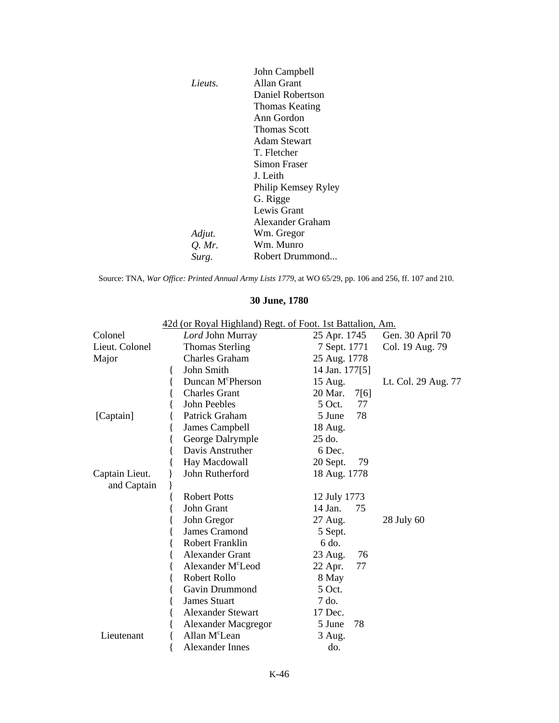|         | John Campbell         |
|---------|-----------------------|
| Lieuts. | Allan Grant           |
|         | Daniel Robertson      |
|         | <b>Thomas Keating</b> |
|         | Ann Gordon            |
|         | <b>Thomas Scott</b>   |
|         | Adam Stewart          |
|         | T. Fletcher           |
|         | Simon Fraser          |
|         | J. Leith              |
|         | Philip Kemsey Ryley   |
|         | G. Rigge              |
|         | Lewis Grant           |
|         | Alexander Graham      |
| Adjut.  | Wm. Gregor            |
| Q. Mr.  | Wm. Munro             |
| Surg.   | Robert Drummond       |

Source: TNA, *War Office: Printed Annual Army Lists 1779*, at WO 65/29, pp. 106 and 256, ff. 107 and 210.

|                | 42d (or Royal Highland) Regt. of Foot. 1st Battalion, Am. |                 |                     |
|----------------|-----------------------------------------------------------|-----------------|---------------------|
| Colonel        | Lord John Murray                                          | 25 Apr. 1745    | Gen. 30 April 70    |
| Lieut. Colonel | <b>Thomas Sterling</b>                                    | 7 Sept. 1771    | Col. 19 Aug. 79     |
| Major          | <b>Charles Graham</b>                                     | 25 Aug. 1778    |                     |
|                | John Smith<br>₹                                           | 14 Jan. 177[5]  |                     |
|                | Duncan M <sup>c</sup> Pherson                             | 15 Aug.         | Lt. Col. 29 Aug. 77 |
|                | <b>Charles Grant</b>                                      | 20 Mar.<br>7[6] |                     |
|                | John Peebles                                              | $5$ Oct.<br>77  |                     |
| [Captain]      | Patrick Graham                                            | 78<br>5 June    |                     |
|                | James Campbell                                            | 18 Aug.         |                     |
|                | George Dalrymple                                          | 25 do.          |                     |
|                | Davis Anstruther                                          | 6 Dec.          |                     |
|                | Hay Macdowall                                             | 20 Sept.<br>79  |                     |
| Captain Lieut. | John Rutherford                                           | 18 Aug. 1778    |                     |
| and Captain    |                                                           |                 |                     |
|                | <b>Robert Potts</b>                                       | 12 July 1773    |                     |
|                | John Grant                                                | 14 Jan.<br>75   |                     |
|                | John Gregor                                               | 27 Aug.         | 28 July 60          |
|                | <b>James Cramond</b>                                      | 5 Sept.         |                     |
|                | <b>Robert Franklin</b>                                    | 6 do.           |                     |
|                | <b>Alexander Grant</b>                                    | 23 Aug.<br>76   |                     |
|                | Alexander M <sup>c</sup> Leod                             | 77<br>22 Apr.   |                     |
|                | Robert Rollo                                              | 8 May           |                     |
|                | Gavin Drummond                                            | 5 Oct.          |                     |
|                | <b>James Stuart</b><br>í                                  | 7 do.           |                     |
|                | <b>Alexander Stewart</b>                                  | 17 Dec.         |                     |
|                | <b>Alexander Macgregor</b>                                | 5 June<br>78    |                     |
| Lieutenant     | Allan M <sup>c</sup> Lean                                 | 3 Aug.          |                     |
|                | Alexander Innes                                           | do.             |                     |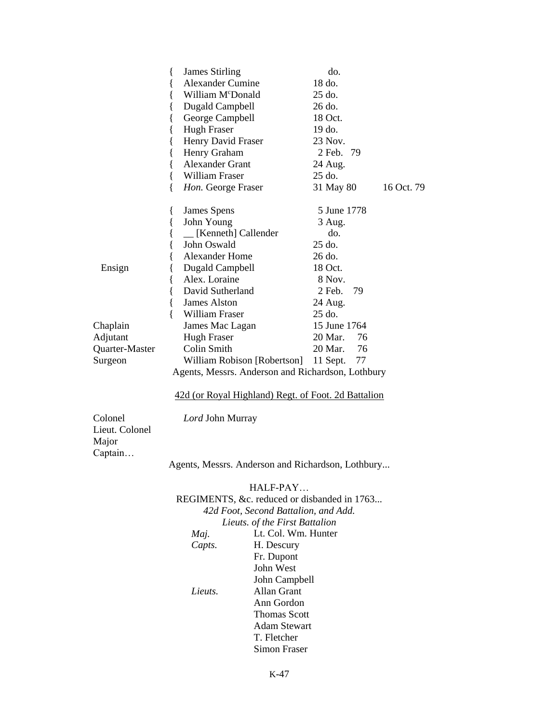|                                    | <b>James Stirling</b><br>{                          | do.            |            |
|------------------------------------|-----------------------------------------------------|----------------|------------|
|                                    | <b>Alexander Cumine</b><br>{                        | 18 do.         |            |
|                                    | William McDonald<br>{                               | 25 do.         |            |
|                                    | <b>Dugald Campbell</b><br>{                         | 26 do.         |            |
|                                    | {<br>George Campbell                                | 18 Oct.        |            |
|                                    | {<br><b>Hugh Fraser</b>                             | 19 do.         |            |
|                                    | Henry David Fraser<br>{                             | 23 Nov.        |            |
|                                    | {<br>Henry Graham                                   | 2 Feb. 79      |            |
|                                    | <b>Alexander Grant</b><br>$\{$                      | 24 Aug.        |            |
|                                    | $\{$<br>William Fraser                              | 25 do.         |            |
|                                    | $\{$<br>Hon. George Fraser                          | 31 May 80      | 16 Oct. 79 |
|                                    | $\{$<br>James Spens                                 | 5 June 1778    |            |
|                                    | John Young<br>$\{$                                  | 3 Aug.         |            |
|                                    | [Kenneth] Callender<br>{                            | do.            |            |
|                                    | John Oswald<br>{                                    | $25$ do.       |            |
|                                    | Alexander Home<br>{                                 | 26 do.         |            |
| Ensign                             | <b>Dugald Campbell</b><br>{                         | 18 Oct.        |            |
|                                    | Alex. Loraine<br>{                                  | 8 Nov.         |            |
|                                    | David Sutherland<br>{                               | 2 Feb.<br>79   |            |
|                                    | $\{$<br>James Alston                                | 24 Aug.        |            |
|                                    | $\{$<br>William Fraser                              | 25 do.         |            |
| Chaplain                           | James Mac Lagan                                     | 15 June 1764   |            |
| Adjutant                           | <b>Hugh Fraser</b>                                  | 20 Mar.<br>76  |            |
| Quarter-Master                     | Colin Smith                                         | 76<br>20 Mar.  |            |
| Surgeon                            | William Robison [Robertson]                         | 77<br>11 Sept. |            |
|                                    | Agents, Messrs. Anderson and Richardson, Lothbury   |                |            |
|                                    | 42d (or Royal Highland) Regt. of Foot. 2d Battalion |                |            |
| Colonel<br>Lieut. Colonel<br>Major | Lord John Murray                                    |                |            |
| Captain                            |                                                     |                |            |
|                                    | Agents, Messrs. Anderson and Richardson, Lothbury   |                |            |
|                                    | HALF-PAY                                            |                |            |
|                                    | REGIMENTS, &c. reduced or disbanded in 1763         |                |            |
|                                    |                                                     |                |            |

*42d Foot, Second Battalion, and Add. Lieuts. of the First Battalion Maj.* Lt. Col. Wm. Hunter Capts. H. Descury **H.** Descury Fr. Dupont John West John Campbell *Lieuts.* Allan Grant Ann Gordon Thomas Scott Adam Stewart T. Fletcher Simon Fraser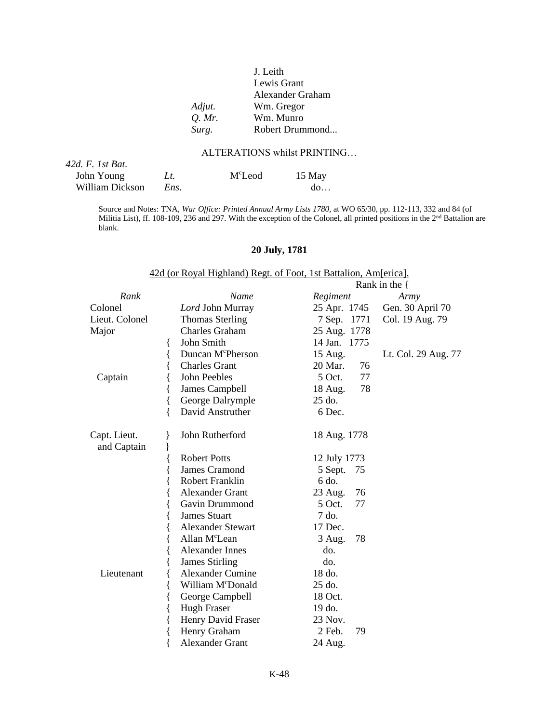### J. Leith Lewis Grant Alexander Graham *Adjut.* Wm. Gregor *Q. Mr.* Wm. Munro *Surg.* Robert Drummond...

#### ALTERATIONS whilst PRINTING…

| $42d$ , F. 1st Bat. |      |                     |        |
|---------------------|------|---------------------|--------|
| John Young          | Lt.  | M <sup>c</sup> Leod | 15 May |
| William Dickson     | Ens. |                     | do     |

Source and Notes: TNA, *War Office: Printed Annual Army Lists 1780,* at WO 65/30, pp. 112-113, 332 and 84 (of Militia List), ff. 108-109, 236 and 297. With the exception of the Colonel, all printed positions in the 2<sup>nd</sup> Battalion are blank.

#### **20 July, 1781**

42d (or Royal Highland) Regt. of Foot, 1st Battalion, Am[erica].

|                             |                               |                 | Rank in the $\{$    |
|-----------------------------|-------------------------------|-----------------|---------------------|
| Rank                        | Name                          | <b>Regiment</b> | Army                |
| Colonel                     | Lord John Murray              | 25 Apr. 1745    | Gen. 30 April 70    |
| Lieut. Colonel              | <b>Thomas Sterling</b>        | 7 Sep. 1771     | Col. 19 Aug. 79     |
| Major                       | Charles Graham                | 25 Aug. 1778    |                     |
|                             | John Smith                    | 14 Jan. 1775    |                     |
|                             | Duncan M <sup>c</sup> Pherson | 15 Aug.         | Lt. Col. 29 Aug. 77 |
|                             | <b>Charles Grant</b>          | 20 Mar.<br>76   |                     |
| Captain                     | John Peebles                  | $5$ Oct.<br>77  |                     |
|                             | James Campbell                | 78<br>18 Aug.   |                     |
|                             | George Dalrymple<br>$\{$      | 25 do.          |                     |
|                             | David Anstruther              | 6 Dec.          |                     |
| Capt. Lieut.<br>and Captain | John Rutherford               | 18 Aug. 1778    |                     |
|                             | <b>Robert Potts</b>           | 12 July 1773    |                     |
|                             | <b>James Cramond</b>          | 75<br>5 Sept.   |                     |
|                             | <b>Robert Franklin</b>        | 6 do.           |                     |
|                             | <b>Alexander Grant</b>        | 23 Aug.<br>76   |                     |
|                             | Gavin Drummond                | $5$ Oct.<br>77  |                     |
|                             | <b>James Stuart</b>           | 7 do.           |                     |
|                             | <b>Alexander Stewart</b>      | 17 Dec.         |                     |
|                             | Allan M <sup>c</sup> Lean     | 78<br>3 Aug.    |                     |
|                             | <b>Alexander Innes</b>        | do.             |                     |
|                             | <b>James Stirling</b>         | do.             |                     |
| Lieutenant                  | <b>Alexander Cumine</b>       | 18 do.          |                     |
|                             | William M <sup>c</sup> Donald | 25 do.          |                     |
|                             | George Campbell               | 18 Oct.         |                     |
|                             | <b>Hugh Fraser</b>            | 19 do.          |                     |
|                             | Henry David Fraser            | 23 Nov.         |                     |
|                             | Henry Graham                  | 2 Feb.<br>79    |                     |
|                             | <b>Alexander Grant</b>        | 24 Aug.         |                     |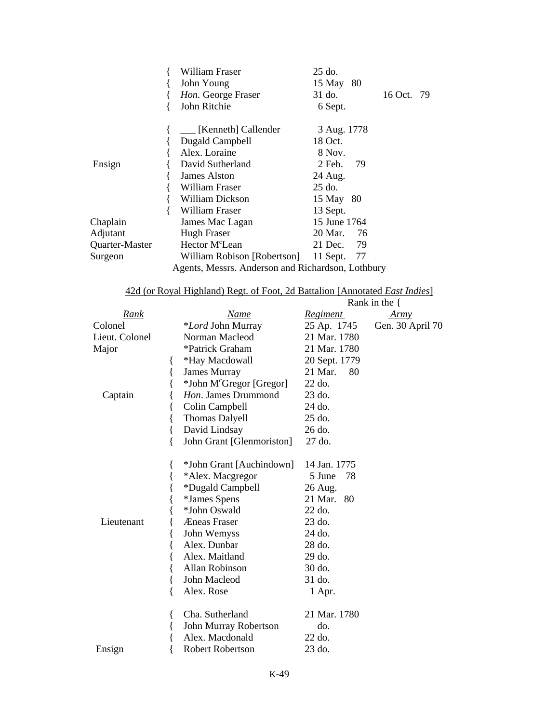|                | William Fraser                                    | 25 do.               |  |  |
|----------------|---------------------------------------------------|----------------------|--|--|
|                | John Young                                        | 15 May 80            |  |  |
|                | Hon. George Fraser                                | 31 do.<br>16 Oct. 79 |  |  |
|                | John Ritchie                                      | 6 Sept.              |  |  |
|                | [Kenneth] Callender                               | 3 Aug. 1778          |  |  |
|                | Dugald Campbell                                   | 18 Oct.              |  |  |
|                | Alex. Loraine                                     | 8 Nov.               |  |  |
| Ensign         | David Sutherland                                  | $2$ Feb.<br>-79      |  |  |
|                | James Alston                                      | 24 Aug.              |  |  |
|                | William Fraser                                    | $25$ do.             |  |  |
|                | William Dickson                                   | 15 May 80            |  |  |
|                | William Fraser                                    | 13 Sept.             |  |  |
| Chaplain       | James Mac Lagan                                   | 15 June 1764         |  |  |
| Adjutant       | <b>Hugh Fraser</b>                                | 20 Mar.<br>76        |  |  |
| Quarter-Master | Hector M <sup>c</sup> Lean                        | 21 Dec.<br>- 79      |  |  |
| Surgeon        | William Robison [Robertson]                       | 11 Sept.<br>77       |  |  |
|                | Agents, Messrs. Anderson and Richardson, Lothbury |                      |  |  |

|                |                                      |                 | Rank in the $\{$ |
|----------------|--------------------------------------|-----------------|------------------|
| <u>Rank</u>    | <u>Name</u>                          | <u>Regiment</u> | Army             |
| Colonel        | <i>*Lord</i> John Murray             | 25 Ap. 1745     | Gen. 30 April 70 |
| Lieut. Colonel | Norman Macleod                       | 21 Mar. 1780    |                  |
| Major          | *Patrick Graham                      | 21 Mar. 1780    |                  |
|                | *Hay Macdowall                       | 20 Sept. 1779   |                  |
|                | <b>James Murray</b>                  | 21 Mar.<br>80   |                  |
|                | *John M <sup>c</sup> Gregor [Gregor] | 22 do.          |                  |
| Captain        | Hon. James Drummond                  | 23 do.          |                  |
|                | Colin Campbell                       | 24 do.          |                  |
|                | <b>Thomas Dalyell</b>                | 25 do.          |                  |
|                | David Lindsay<br>{                   | 26 do.          |                  |
|                | John Grant [Glenmoriston]            | 27 do.          |                  |
| Lieutenant     | *John Grant [Auchindown]             | 14 Jan. 1775    |                  |
|                | *Alex. Macgregor                     | 5 June<br>78    |                  |
|                | *Dugald Campbell                     | 26 Aug.         |                  |
|                | *James Spens                         | 21 Mar.<br>80   |                  |
|                | *John Oswald                         | 22 do.          |                  |
|                | Æneas Fraser                         | 23 do.          |                  |
|                | John Wemyss                          | $24$ do.        |                  |
|                | Alex. Dunbar                         | 28 do.          |                  |
|                | Alex. Maitland                       | 29 do.          |                  |
|                | Allan Robinson                       | 30 do.          |                  |
|                | John Macleod                         | 31 do.          |                  |
|                | Alex. Rose                           | 1 Apr.          |                  |
|                | Cha. Sutherland                      | 21 Mar. 1780    |                  |
|                | John Murray Robertson                | do.             |                  |
|                | Alex. Macdonald                      | $22$ do.        |                  |
| Ensign         | <b>Robert Robertson</b>              | 23 do.          |                  |

42d (or Royal Highland) Regt. of Foot, 2d Battalion [Annotated *East Indies*]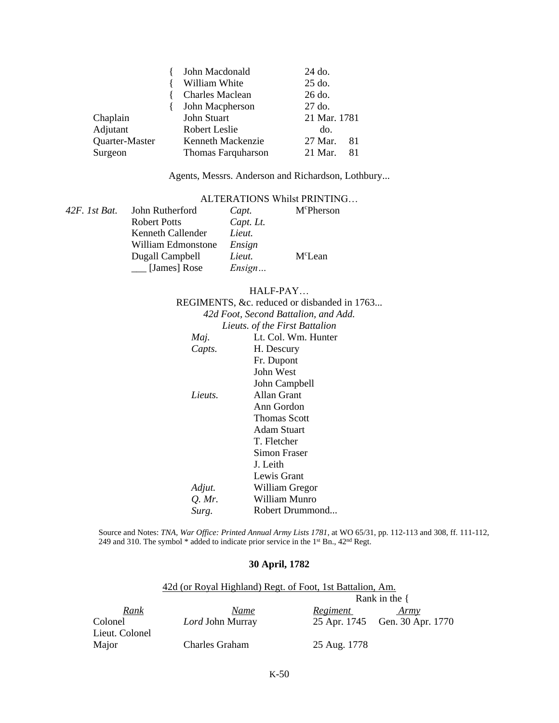|                | John Macdonald            | 24 do.         |  |
|----------------|---------------------------|----------------|--|
|                | William White             | $25$ do.       |  |
|                | <b>Charles Maclean</b>    | 26 do.         |  |
|                | John Macpherson           | $27$ do.       |  |
| Chaplain       | John Stuart               | 21 Mar. 1781   |  |
| Adjutant       | Robert Leslie             | do.            |  |
| Quarter-Master | Kenneth Mackenzie         | 27 Mar.<br>-81 |  |
| Surgeon        | <b>Thomas Farquharson</b> | 21 Mar.<br>81  |  |

Agents, Messrs. Anderson and Richardson, Lothbury...

### ALTERATIONS Whilst PRINTING…

| 42F. 1st Bat. | John Rutherford     | Capt.     | M <sup>c</sup> Pherson |
|---------------|---------------------|-----------|------------------------|
|               | <b>Robert Potts</b> | Capt. Lt. |                        |
|               | Kenneth Callender   | Lieut.    |                        |
|               | William Edmonstone  | Ensign    |                        |
|               | Dugall Campbell     | Lieut.    | M <sup>c</sup> Lean    |
|               | [James] Rose        | Ensign    |                        |

#### HALF-PAY…

|          | REGIMENTS, &c. reduced or disbanded in 1763 |
|----------|---------------------------------------------|
|          | 42d Foot, Second Battalion, and Add.        |
|          | Lieuts. of the First Battalion              |
| Maj.     | Lt. Col. Wm. Hunter                         |
| Capts.   | H. Descury                                  |
|          | Fr. Dupont                                  |
|          | John West                                   |
|          | John Campbell                               |
| Lieuts.  | Allan Grant                                 |
|          | Ann Gordon                                  |
|          | <b>Thomas Scott</b>                         |
|          | Adam Stuart                                 |
|          | T. Fletcher                                 |
|          | Simon Fraser                                |
|          | J. Leith                                    |
|          | Lewis Grant                                 |
| Adjut.   | William Gregor                              |
| $Q.$ Mr. | William Munro                               |
| Surg.    | Robert Drummond                             |
|          |                                             |

Source and Notes: *TNA, War Office: Printed Annual Army Lists 1781*, at WO 65/31, pp. 112-113 and 308, ff. 111-112, 249 and 310. The symbol \* added to indicate prior service in the 1<sup>st</sup> Bn., 42<sup>nd</sup> Regt.

#### **30 April, 1782**

| 42d (or Royal Highland) Regt. of Foot, 1st Battalion, Am. |                  |                  |                                |
|-----------------------------------------------------------|------------------|------------------|--------------------------------|
|                                                           |                  | Rank in the $\{$ |                                |
| <u>Rank</u>                                               | Name             | Regiment         | Army                           |
| Colonel                                                   | Lord John Murray |                  | 25 Apr. 1745 Gen. 30 Apr. 1770 |
| Lieut. Colonel                                            |                  |                  |                                |
| Major                                                     | Charles Graham   | 25 Aug. 1778     |                                |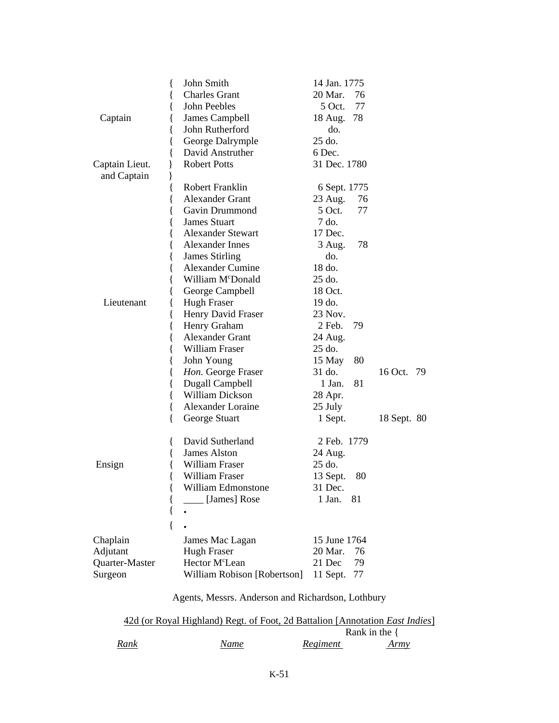|                               | John Smith<br>ł               | 14 Jan. 1775                  |               |
|-------------------------------|-------------------------------|-------------------------------|---------------|
|                               | <b>Charles Grant</b><br>{     | 20 Mar.<br>76                 |               |
|                               | John Peebles<br>ł             | 77<br>5 Oct.                  |               |
| Captain                       | James Campbell<br>{           | 18 Aug. 78                    |               |
|                               | John Rutherford<br>{          | do.                           |               |
|                               | George Dalrymple<br>{         | 25 do.                        |               |
|                               | {<br>David Anstruther         | 6 Dec.                        |               |
| Captain Lieut.<br>and Captain | <b>Robert Potts</b><br>ł<br>ł | 31 Dec. 1780                  |               |
|                               | Robert Franklin               | 6 Sept. 1775                  |               |
|                               | <b>Alexander Grant</b><br>₹   | 23 Aug.<br>76                 |               |
|                               | Gavin Drummond<br>ł           | $5$ Oct.<br>77                |               |
|                               | <b>James Stuart</b><br>{      | 7 do.                         |               |
|                               | <b>Alexander Stewart</b><br>{ | 17 Dec.                       |               |
|                               | Alexander Innes<br>{          | 78<br>3 Aug.                  |               |
|                               | <b>James Stirling</b><br>∤    | do.                           |               |
|                               | <b>Alexander Cumine</b><br>{  | 18 do.                        |               |
|                               | William M <sup>c</sup> Donald | 25 do.                        |               |
|                               | George Campbell               | 18 Oct.                       |               |
| Lieutenant                    | <b>Hugh Fraser</b><br>∤       | 19 do.                        |               |
|                               | Henry David Fraser<br>₹       | 23 Nov.                       |               |
|                               | Henry Graham<br>{             | 2 Feb.<br>79                  |               |
|                               | <b>Alexander Grant</b><br>{   | 24 Aug.                       |               |
|                               | William Fraser<br>{           | 25 do.                        |               |
|                               | {<br>John Young               | 15 May<br>80                  |               |
|                               | Hon. George Fraser<br>{       | 31 do.                        | 16 Oct.<br>79 |
|                               | Dugall Campbell<br>₹          | 1 Jan.<br>81                  |               |
|                               | William Dickson               | 28 Apr.                       |               |
|                               | Alexander Loraine             | 25 July                       |               |
|                               | George Stuart<br>Ł            | 1 Sept.                       | 18 Sept. 80   |
|                               | David Sutherland<br>$\{$      | 2 Feb. 1779                   |               |
|                               | James Alston                  | 24 Aug.                       |               |
| Ensign                        | William Fraser                | 25 do.                        |               |
|                               | William Fraser                | 13 Sept.<br>80                |               |
|                               | William Edmonstone<br>ĺ       | 31 Dec.                       |               |
|                               | [James] Rose<br>ί             | 1 Jan.<br>81                  |               |
|                               | {                             |                               |               |
|                               |                               |                               |               |
| Chaplain                      | James Mac Lagan               | 15 June 1764<br>20 Mar.<br>76 |               |
| Adjutant                      | <b>Hugh Fraser</b>            |                               |               |
| Quarter-Master                | Hector M <sup>c</sup> Lean    | 21 Dec<br>79                  |               |
| Surgeon                       | William Robison [Robertson]   | 11 Sept.<br>77                |               |

Agents, Messrs. Anderson and Richardson, Lothbury

|      | 42d (or Royal Highland) Regt. of Foot, 2d Battalion [Annotation <i>East Indies</i> ] |          |                  |
|------|--------------------------------------------------------------------------------------|----------|------------------|
|      |                                                                                      |          | Rank in the $\{$ |
| Rank | Name                                                                                 | Regiment | <u>Army</u>      |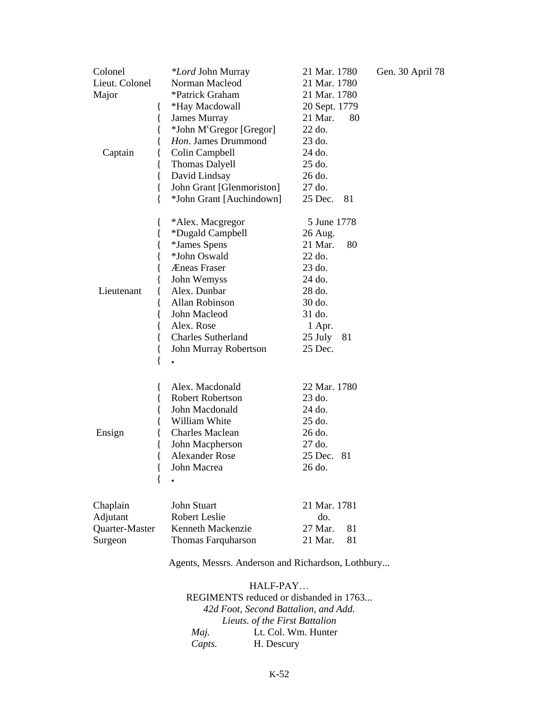| Colonel<br>Lieut. Colonel<br>Major<br>ł<br>Captain | <i>*Lord</i> John Murray<br>Norman Macleod<br>*Patrick Graham<br>*Hay Macdowall<br>James Murray<br>*John M <sup>c</sup> Gregor [Gregor]<br>Hon. James Drummond<br>Colin Campbell<br>Thomas Dalyell | 21 Mar. 1780<br>21 Mar. 1780<br>21 Mar. 1780<br>20 Sept. 1779<br>21 Mar.<br>80<br>22 do.<br>23 do.<br>24 do.<br>25 do. | Gen. 30 April 78 |
|----------------------------------------------------|----------------------------------------------------------------------------------------------------------------------------------------------------------------------------------------------------|------------------------------------------------------------------------------------------------------------------------|------------------|
| {<br>{<br>{                                        | David Lindsay<br>John Grant [Glenmoriston]<br>*John Grant [Auchindown]                                                                                                                             | 26 do.<br>27 do.<br>25 Dec.<br>81                                                                                      |                  |
| l<br>{                                             | *Alex. Macgregor<br>*Dugald Campbell                                                                                                                                                               | 5 June 1778<br>26 Aug.                                                                                                 |                  |
|                                                    | <i>*James Spens</i>                                                                                                                                                                                | 21 Mar.<br>80                                                                                                          |                  |
|                                                    | *John Oswald                                                                                                                                                                                       | 22 do.                                                                                                                 |                  |
|                                                    | Æneas Fraser                                                                                                                                                                                       | $23$ do.                                                                                                               |                  |
|                                                    | John Wemyss                                                                                                                                                                                        | 24 do.                                                                                                                 |                  |
| Lieutenant                                         | Alex. Dunbar                                                                                                                                                                                       | 28 do.                                                                                                                 |                  |
|                                                    | Allan Robinson                                                                                                                                                                                     | 30 do.                                                                                                                 |                  |
|                                                    | John Macleod                                                                                                                                                                                       | 31 do.                                                                                                                 |                  |
|                                                    | Alex. Rose                                                                                                                                                                                         | 1 Apr.                                                                                                                 |                  |
|                                                    | <b>Charles Sutherland</b>                                                                                                                                                                          | 25 July<br>81                                                                                                          |                  |
| l                                                  | John Murray Robertson                                                                                                                                                                              | 25 Dec.                                                                                                                |                  |
| {                                                  |                                                                                                                                                                                                    |                                                                                                                        |                  |
| ł                                                  | Alex. Macdonald                                                                                                                                                                                    | 22 Mar. 1780                                                                                                           |                  |
|                                                    | <b>Robert Robertson</b>                                                                                                                                                                            | 23 do.                                                                                                                 |                  |
|                                                    | John Macdonald                                                                                                                                                                                     | 24 do.                                                                                                                 |                  |
|                                                    | William White                                                                                                                                                                                      | 25 do.                                                                                                                 |                  |
| Ensign                                             | <b>Charles Maclean</b>                                                                                                                                                                             | 26 do.                                                                                                                 |                  |
|                                                    | John Macpherson                                                                                                                                                                                    | 27 do.                                                                                                                 |                  |
|                                                    | <b>Alexander Rose</b>                                                                                                                                                                              | 25 Dec.<br>81                                                                                                          |                  |
| {                                                  | John Macrea                                                                                                                                                                                        | 26 do.                                                                                                                 |                  |
|                                                    |                                                                                                                                                                                                    |                                                                                                                        |                  |
| Chaplain                                           | John Stuart                                                                                                                                                                                        | 21 Mar. 1781                                                                                                           |                  |
| Adjutant                                           | Robert Leslie                                                                                                                                                                                      | do.                                                                                                                    |                  |
| Quarter-Master                                     | Kenneth Mackenzie                                                                                                                                                                                  | 27 Mar.<br>81                                                                                                          |                  |
| Surgeon                                            | Thomas Farquharson                                                                                                                                                                                 | 21 Mar.<br>81                                                                                                          |                  |
|                                                    | Agents, Messrs. Anderson and Richardson, Lothbury                                                                                                                                                  |                                                                                                                        |                  |

HALF-PAY… REGIMENTS reduced or disbanded in 1763... *42d Foot, Second Battalion, and Add. Lieuts. of the First Battalion Maj.* Lt. Col. Wm. Hunter *Capts.* H. Descury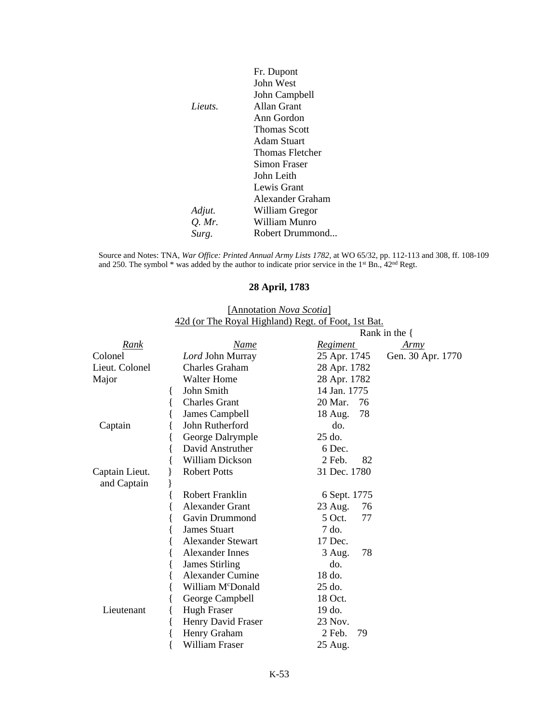|          | Fr. Dupont       |
|----------|------------------|
|          | John West        |
|          | John Campbell    |
| Lieuts.  | Allan Grant      |
|          | Ann Gordon       |
|          | Thomas Scott     |
|          | Adam Stuart      |
|          | Thomas Fletcher  |
|          | Simon Fraser     |
|          | John Leith       |
|          | Lewis Grant      |
|          | Alexander Graham |
| Adjut.   | William Gregor   |
| $Q.$ Mr. | William Munro    |
| Surg.    | Robert Drummond  |

Source and Notes: TNA, *War Office: Printed Annual Army Lists 1782*, at WO 65/32, pp. 112-113 and 308, ff. 108-109 and 250. The symbol  $*$  was added by the author to indicate prior service in the 1<sup>st</sup> Bn.,  $42<sup>nd</sup>$  Regt.

## **28 April, 1783**

#### [Annotation *Nova Scotia*] 42d (or The Royal Highland) Regt. of Foot, 1st Bat.

|                |                          |                | Rank in the $\{$  |
|----------------|--------------------------|----------------|-------------------|
| <u>Rank</u>    | <u>Name</u>              | Regiment       | Army              |
| Colonel        | Lord John Murray         | 25 Apr. 1745   | Gen. 30 Apr. 1770 |
| Lieut. Colonel | <b>Charles Graham</b>    | 28 Apr. 1782   |                   |
| Major          | <b>Walter Home</b>       | 28 Apr. 1782   |                   |
|                | John Smith               | 14 Jan. 1775   |                   |
|                | <b>Charles Grant</b>     | 20 Mar.<br>-76 |                   |
|                | James Campbell           | 78<br>18 Aug.  |                   |
| Captain        | John Rutherford          | do.            |                   |
|                | George Dalrymple         | 25 do.         |                   |
|                | David Anstruther         | 6 Dec.         |                   |
|                | <b>William Dickson</b>   | $2$ Feb.<br>82 |                   |
| Captain Lieut. | <b>Robert Potts</b>      | 31 Dec. 1780   |                   |
| and Captain    |                          |                |                   |
|                | <b>Robert Franklin</b>   | 6 Sept. 1775   |                   |
|                | <b>Alexander Grant</b>   | 23 Aug.<br>76  |                   |
|                | Gavin Drummond           | 5 Oct.<br>77   |                   |
|                | <b>James Stuart</b>      | 7 do.          |                   |
|                | <b>Alexander Stewart</b> | 17 Dec.        |                   |
|                | Alexander Innes          | 78<br>3 Aug.   |                   |
|                | James Stirling           | do.            |                   |
|                | <b>Alexander Cumine</b>  | $18$ do.       |                   |
|                | William McDonald         | 25 do.         |                   |
|                | George Campbell          | 18 Oct.        |                   |
| Lieutenant     | <b>Hugh Fraser</b>       | 19 do.         |                   |
|                | Henry David Fraser       | 23 Nov.        |                   |
|                | Henry Graham             | $2$ Feb.<br>79 |                   |
|                | William Fraser           | 25 Aug.        |                   |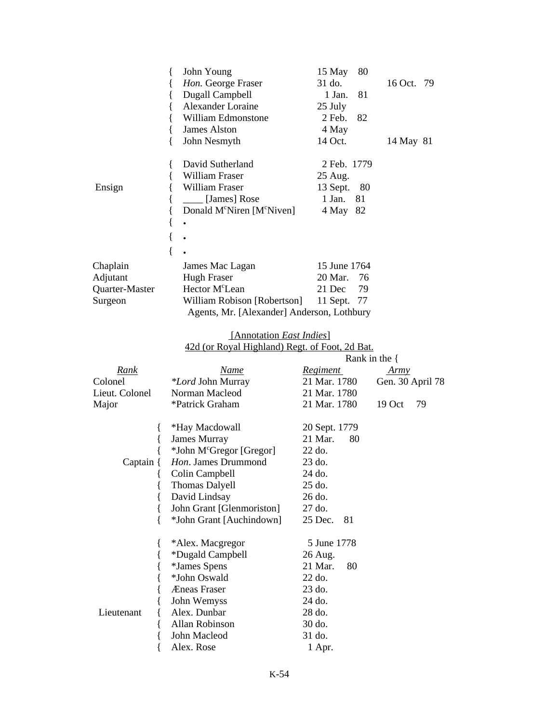|                | John Young                                         | 15 May       | 80   |            |  |
|----------------|----------------------------------------------------|--------------|------|------------|--|
|                | Hon. George Fraser                                 | 31 do.       |      | 16 Oct. 79 |  |
|                | Dugall Campbell                                    | 1 Jan.       | 81   |            |  |
|                | Alexander Loraine                                  | 25 July      |      |            |  |
|                | William Edmonstone                                 | 2 Feb. 82    |      |            |  |
|                | James Alston                                       | 4 May        |      |            |  |
|                | John Nesmyth                                       | 14 Oct.      |      | 14 May 81  |  |
|                | David Sutherland                                   | 2 Feb. 1779  |      |            |  |
|                | William Fraser                                     | 25 Aug.      |      |            |  |
| Ensign         | William Fraser                                     | 13 Sept.     | - 80 |            |  |
|                | [James] Rose                                       | 1 Jan.       | 81   |            |  |
|                | Donald M <sup>c</sup> Niren [M <sup>c</sup> Niven] | 4 May        | 82   |            |  |
|                |                                                    |              |      |            |  |
|                |                                                    |              |      |            |  |
|                |                                                    |              |      |            |  |
| Chaplain       | James Mac Lagan                                    | 15 June 1764 |      |            |  |
| Adjutant       | Hugh Fraser                                        | 20 Mar.      | 76   |            |  |
| Quarter-Master | Hector M <sup>c</sup> Lean                         | 21 Dec       | 79   |            |  |
| Surgeon        | William Robison [Robertson]                        | 11 Sept.     | -77  |            |  |
|                | Agents, Mr. [Alexander] Anderson, Lothbury         |              |      |            |  |

#### [Annotation *East Indies*] 42d (or Royal Highland) Regt. of Foot, 2d Bat.

|                |                                      | Rank in the $\{$ |                  |  |
|----------------|--------------------------------------|------------------|------------------|--|
| Rank           | <b>Name</b>                          | Regiment         | <u>Army</u>      |  |
| Colonel        | <i>*Lord</i> John Murray             | 21 Mar. 1780     | Gen. 30 April 78 |  |
| Lieut. Colonel | Norman Macleod                       | 21 Mar. 1780     |                  |  |
| Major          | *Patrick Graham                      | 21 Mar. 1780     | 19 Oct<br>79     |  |
|                | *Hay Macdowall                       | 20 Sept. 1779    |                  |  |
|                | <b>James Murray</b>                  | 21 Mar.<br>80    |                  |  |
|                | *John M <sup>c</sup> Gregor [Gregor] | 22 do.           |                  |  |
| Captain {      | Hon. James Drummond                  | 23 do.           |                  |  |
|                | Colin Campbell                       | 24 do.           |                  |  |
|                | Thomas Dalyell                       | 25 do.           |                  |  |
|                | David Lindsay                        | 26 do.           |                  |  |
|                | John Grant [Glenmoriston]            | 27 do.           |                  |  |
|                | *John Grant [Auchindown]             | 25 Dec.<br>81    |                  |  |
|                | *Alex. Macgregor                     | 5 June 1778      |                  |  |
|                | *Dugald Campbell                     | 26 Aug.          |                  |  |
|                | *James Spens                         | 21 Mar.<br>80    |                  |  |
|                | *John Oswald                         | 22 do.           |                  |  |
|                | Æneas Fraser                         | 23 do.           |                  |  |
|                | John Wemyss                          | 24 do.           |                  |  |
| Lieutenant     | Alex. Dunbar                         | 28 do.           |                  |  |
|                | Allan Robinson                       | 30 do.           |                  |  |
|                | John Macleod                         | 31 do.           |                  |  |
|                | Alex. Rose                           | 1 Apr.           |                  |  |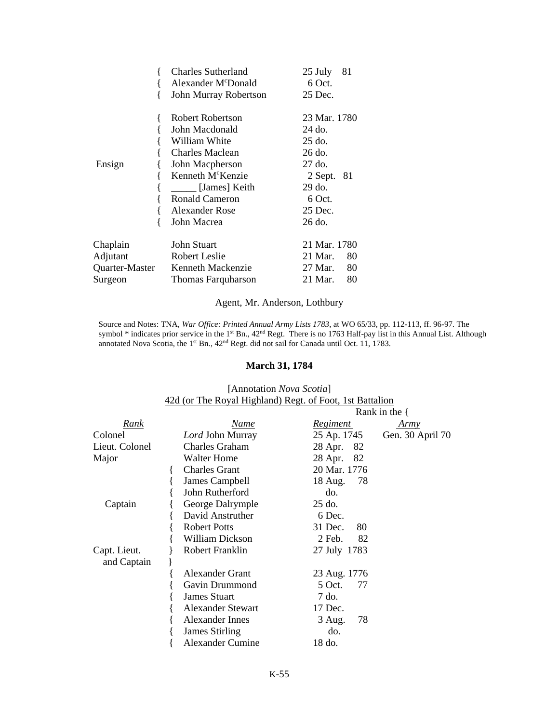|                | Charles Sutherland              | 81<br>25 July  |
|----------------|---------------------------------|----------------|
|                | Alexander M <sup>c</sup> Donald | 6 Oct.         |
|                | John Murray Robertson           | 25 Dec.        |
|                | Robert Robertson                | 23 Mar. 1780   |
|                | John Macdonald                  | 24 do.         |
|                | William White                   | 25 do.         |
|                | <b>Charles Maclean</b>          | 26 do.         |
| Ensign         | John Macpherson                 | 27 do.         |
|                | Kenneth M <sup>c</sup> Kenzie   | 2 Sept.<br>-81 |
|                | [James] Keith                   | 29 do.         |
|                | <b>Ronald Cameron</b>           | 6 Oct.         |
|                | Alexander Rose                  | 25 Dec.        |
|                | John Macrea                     | 26 do.         |
| Chaplain       | John Stuart                     | 21 Mar. 1780   |
| Adjutant       | Robert Leslie                   | 21 Mar.<br>80  |
| Quarter-Master | Kenneth Mackenzie               | 27 Mar.<br>80  |
| Surgeon        | Thomas Farquharson              | 21 Mar.<br>80  |

# Agent, Mr. Anderson, Lothbury

Source and Notes: TNA, *War Office: Printed Annual Army Lists 1783*, at WO 65/33, pp. 112-113, ff. 96-97. The symbol \* indicates prior service in the 1<sup>st</sup> Bn., 42<sup>nd</sup> Regt. There is no 1763 Half-pay list in this Annual List. Although annotated Nova Scotia, the 1<sup>st</sup> Bn., 42<sup>nd</sup> Regt. did not sail for Canada until Oct. 11, 1783.

#### **March 31, 1784**

#### [Annotation *Nova Scotia*] 42d (or The Royal Highland) Regt. of Foot, 1st Battalion

|                |                          |                 | Rank in the $\{$ |
|----------------|--------------------------|-----------------|------------------|
| <u>Rank</u>    | Name                     | <u>Regiment</u> | Army             |
| Colonel        | Lord John Murray         | 25 Ap. 1745     | Gen. 30 April 70 |
| Lieut. Colonel | <b>Charles Graham</b>    | 28 Apr.<br>82   |                  |
| Major          | <b>Walter Home</b>       | 28 Apr.<br>- 82 |                  |
|                | <b>Charles Grant</b>     | 20 Mar. 1776    |                  |
|                | James Campbell           | 18 Aug.<br>78   |                  |
|                | John Rutherford          | do.             |                  |
| Captain        | George Dalrymple         | 25 do.          |                  |
|                | David Anstruther         | 6 Dec.          |                  |
|                | <b>Robert Potts</b>      | 31 Dec.<br>80   |                  |
|                | William Dickson          | $2$ Feb.<br>82  |                  |
| Capt. Lieut.   | Robert Franklin          | 27 July 1783    |                  |
| and Captain    |                          |                 |                  |
|                | <b>Alexander Grant</b>   | 23 Aug. 1776    |                  |
|                | Gavin Drummond           | 5 Oct.<br>77    |                  |
|                | <b>James Stuart</b>      | 7 do.           |                  |
|                | <b>Alexander Stewart</b> | 17 Dec.         |                  |
|                | <b>Alexander Innes</b>   | 78<br>3 Aug.    |                  |
|                | <b>James Stirling</b>    | do.             |                  |
|                | Alexander Cumine         | 18 do.          |                  |
|                |                          |                 |                  |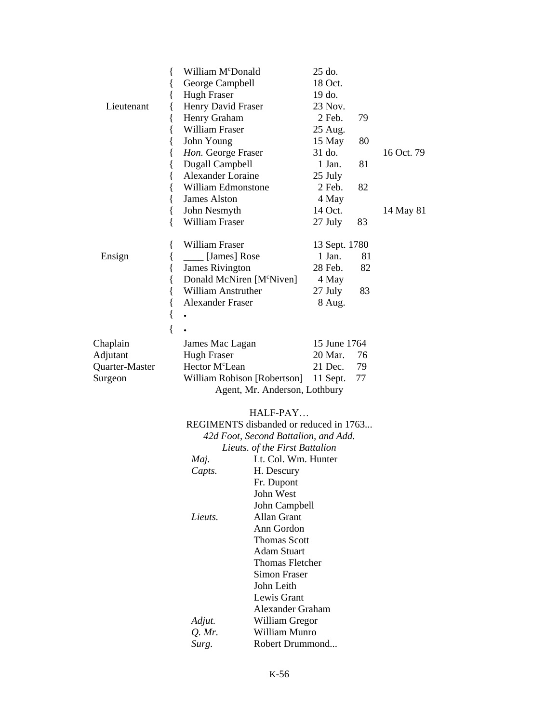|                | William M <sup>c</sup> Donald<br>ł<br>George Campbell<br>{                                |                                      | 25 do.        |    |            |
|----------------|-------------------------------------------------------------------------------------------|--------------------------------------|---------------|----|------------|
|                |                                                                                           |                                      | 18 Oct.       |    |            |
|                | <b>Hugh Fraser</b><br>{                                                                   |                                      | 19 do.        |    |            |
| Lieutenant     | Henry David Fraser<br>{                                                                   |                                      | 23 Nov.       |    |            |
|                | Henry Graham<br>{                                                                         |                                      | 2 Feb.        | 79 |            |
|                | William Fraser<br>{<br>John Young<br>{<br>Hon. George Fraser<br>ł<br>Dugall Campbell<br>l |                                      | 25 Aug.       |    |            |
|                |                                                                                           |                                      | 15 May        | 80 |            |
|                |                                                                                           |                                      | 31 do.        |    | 16 Oct. 79 |
|                |                                                                                           |                                      | 1 Jan.        | 81 |            |
|                | l                                                                                         | <b>Alexander Loraine</b>             |               |    |            |
|                | William Edmonstone<br>{                                                                   |                                      | 2 Feb.        | 82 |            |
|                | <b>James Alston</b><br>{                                                                  |                                      | 4 May         |    |            |
|                | John Nesmyth<br>{                                                                         |                                      | 14 Oct.       |    | 14 May 81  |
|                | William Fraser<br>∤                                                                       |                                      | 27 July       | 83 |            |
|                | William Fraser<br>ł                                                                       |                                      | 13 Sept. 1780 |    |            |
| Ensign         | [James] Rose<br>{                                                                         |                                      | 1 Jan.        | 81 |            |
|                | James Rivington<br>{                                                                      |                                      | 28 Feb.       | 82 |            |
|                | Donald McNiren [M°Niven]<br>l                                                             |                                      | 4 May         |    |            |
|                | <b>William Anstruther</b><br>{                                                            |                                      | 27 July       | 83 |            |
|                | <b>Alexander Fraser</b><br>{                                                              |                                      | 8 Aug.        |    |            |
|                | {                                                                                         |                                      |               |    |            |
|                | {                                                                                         |                                      |               |    |            |
| Chaplain       | James Mac Lagan                                                                           |                                      | 15 June 1764  |    |            |
| Adjutant       | <b>Hugh Fraser</b>                                                                        |                                      | 20 Mar.       | 76 |            |
| Quarter-Master | Hector M <sup>c</sup> Lean                                                                |                                      | 21 Dec.       | 79 |            |
| Surgeon        | William Robison [Robertson]                                                               |                                      | 11 Sept.      | 77 |            |
|                | Agent, Mr. Anderson, Lothbury                                                             |                                      |               |    |            |
|                |                                                                                           | HALF-PAY                             |               |    |            |
|                | REGIMENTS disbanded or reduced in 1763                                                    |                                      |               |    |            |
|                |                                                                                           | 42d Foot, Second Battalion, and Add. |               |    |            |
|                |                                                                                           | Lieuts. of the First Battalion       |               |    |            |
|                | Lt. Col. Wm. Hunter<br>Maj.                                                               |                                      |               |    |            |
|                | Capts.                                                                                    |                                      |               |    |            |
|                |                                                                                           |                                      |               |    |            |
|                |                                                                                           | Fr. Dupont<br>John West              |               |    |            |
|                |                                                                                           | John Campbell                        |               |    |            |
|                | Allan Grant<br>Lieuts.                                                                    |                                      |               |    |            |
|                |                                                                                           | Ann Gordon                           |               |    |            |
|                |                                                                                           | <b>Thomas Scott</b>                  |               |    |            |
|                | <b>Adam Stuart</b>                                                                        |                                      |               |    |            |

*Q. Mr.* William Munro Robert Drummond...

*Adjut.* William Gregor *Q. Mr.* William Munro Surg. Robert Drummon

Thomas Fletcher Simon Fraser John Leith Lewis Grant Alexander Graham